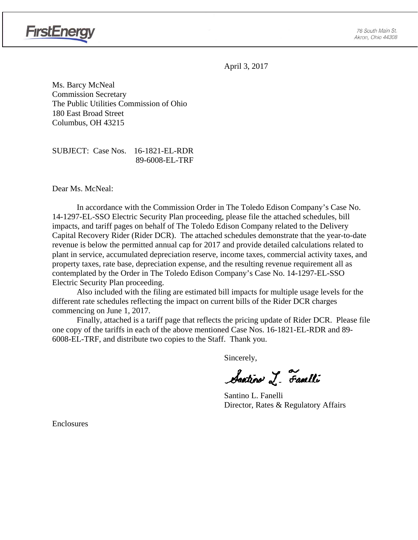

April 3, 2017

Ms. Barcy McNeal Commission Secretary The Public Utilities Commission of Ohio 180 East Broad Street Columbus, OH 43215

SUBJECT: Case Nos. 16-1821-EL-RDR 89-6008-EL-TRF

Dear Ms. McNeal:

In accordance with the Commission Order in The Toledo Edison Company's Case No. 14-1297-EL-SSO Electric Security Plan proceeding, please file the attached schedules, bill impacts, and tariff pages on behalf of The Toledo Edison Company related to the Delivery Capital Recovery Rider (Rider DCR). The attached schedules demonstrate that the year-to-date revenue is below the permitted annual cap for 2017 and provide detailed calculations related to plant in service, accumulated depreciation reserve, income taxes, commercial activity taxes, and property taxes, rate base, depreciation expense, and the resulting revenue requirement all as contemplated by the Order in The Toledo Edison Company's Case No. 14-1297-EL-SSO Electric Security Plan proceeding.

Also included with the filing are estimated bill impacts for multiple usage levels for the different rate schedules reflecting the impact on current bills of the Rider DCR charges commencing on June 1, 2017.

Finally, attached is a tariff page that reflects the pricing update of Rider DCR. Please file one copy of the tariffs in each of the above mentioned Case Nos. 16-1821-EL-RDR and 89- 6008-EL-TRF, and distribute two copies to the Staff. Thank you.

Sincerely,

Santino J. Familli

 Santino L. Fanelli Director, Rates & Regulatory Affairs

Enclosures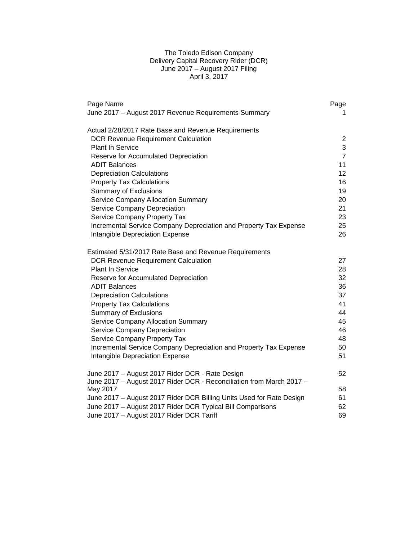# The Toledo Edison Company Delivery Capital Recovery Rider (DCR) June 2017 – August 2017 Filing April 3, 2017

| Page Name<br>June 2017 - August 2017 Revenue Requirements Summary    | Page<br>1      |
|----------------------------------------------------------------------|----------------|
|                                                                      |                |
| Actual 2/28/2017 Rate Base and Revenue Requirements                  |                |
| <b>DCR Revenue Requirement Calculation</b>                           | 2              |
| <b>Plant In Service</b>                                              | 3              |
| Reserve for Accumulated Depreciation                                 | $\overline{7}$ |
| ADIT Balances                                                        | 11             |
| <b>Depreciation Calculations</b>                                     | 12             |
| <b>Property Tax Calculations</b>                                     | 16             |
| <b>Summary of Exclusions</b>                                         | 19             |
| Service Company Allocation Summary                                   | 20             |
| Service Company Depreciation                                         | 21             |
| Service Company Property Tax                                         | 23             |
| Incremental Service Company Depreciation and Property Tax Expense    | 25             |
| Intangible Depreciation Expense                                      | 26             |
| Estimated 5/31/2017 Rate Base and Revenue Requirements               |                |
| <b>DCR Revenue Requirement Calculation</b>                           | 27             |
| <b>Plant In Service</b>                                              | 28             |
| Reserve for Accumulated Depreciation                                 | 32             |
| <b>ADIT Balances</b>                                                 | 36             |
| <b>Depreciation Calculations</b>                                     | 37             |
| <b>Property Tax Calculations</b>                                     | 41             |
| <b>Summary of Exclusions</b>                                         | 44             |
| <b>Service Company Allocation Summary</b>                            | 45             |
| Service Company Depreciation                                         | 46             |
| Service Company Property Tax                                         | 48             |
| Incremental Service Company Depreciation and Property Tax Expense    | 50             |
| Intangible Depreciation Expense                                      | 51             |
| June 2017 - August 2017 Rider DCR - Rate Design                      | 52             |
| June 2017 - August 2017 Rider DCR - Reconciliation from March 2017 - |                |
| May 2017                                                             | 58             |
| June 2017 - August 2017 Rider DCR Billing Units Used for Rate Design | 61             |
| June 2017 - August 2017 Rider DCR Typical Bill Comparisons           | 62             |
| June 2017 - August 2017 Rider DCR Tariff                             | 69             |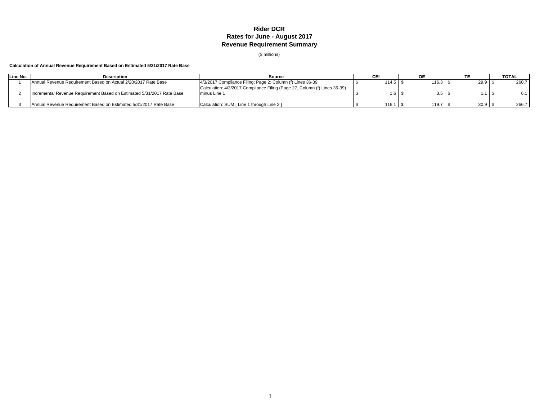## **Rider DCR Rates for June - August 2017 Revenue Requirement Summary**

(\$ millions)

## **Calculation of Annual Revenue Requirement Based on Estimated 5/31/2017 Rate Base**

| Line No. | <b>Description</b>                                                     | Source                                                                                    |                                |                  |      | <b>TOTAL</b> |
|----------|------------------------------------------------------------------------|-------------------------------------------------------------------------------------------|--------------------------------|------------------|------|--------------|
|          | Annual Revenue Requirement Based on Actual 2/28/2017 Rate Base         | 4/3/2017 Compliance Filing; Page 2; Column (f) Lines 36-39                                | $114.5$   $\lambda$            | 116.3   ນ        | 29.9 | 260.7        |
|          | Incremental Revenue Requirement Based on Estimated 5/31/2017 Rate Base | Calculation: 4/3/2017 Compliance Filing (Page 27, Column (f) Lines 36-39)<br>minus Line 1 | $1.6$ $\overline{\phantom{0}}$ | 3.5 <sup>5</sup> |      |              |
|          | Annual Revenue Requirement Based on Estimated 5/31/2017 Rate Base      | Calculation: SUM [ Line 1 through Line 2 ]                                                | 116.1                          | 119.7            | 30.9 | 266.7        |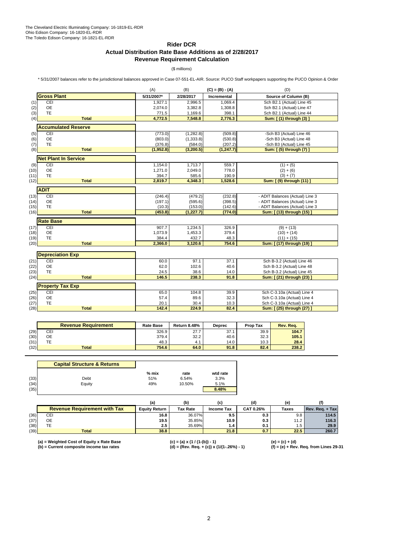## **Rider DCR Actual Distribution Rate Base Additions as of 2/28/2017 Revenue Requirement Calculation**

(\$ millions)

\* 5/31/2007 balances refer to the jurisdictional balances approved in Case 07-551-EL-AIR. Source: PUCO Staff workpapers supporting the PUCO Opinion & Order

|      |                                | (A)        | (B)<br>$(C) = (B) - (A)$ |             | (D)                             |
|------|--------------------------------|------------|--------------------------|-------------|---------------------------------|
|      | <b>Gross Plant</b>             | 5/31/2007* | 2/28/2017                | Incremental | Source of Column (B)            |
| (1)  | CEI                            | 1,927.1    | 2.996.5                  | 1.069.4     | Sch B2.1 (Actual) Line 45       |
| (2)  | OE                             | 2,074.0    | 3,382.8                  | 1,308.8     | Sch B2.1 (Actual) Line 47       |
| (3)  | <b>TE</b>                      | 771.5      | 1,169.6                  | 398.1       | Sch B2.1 (Actual) Line 44       |
| (4)  | <b>Total</b>                   | 4,772.5    | 7,548.8                  | 2,776.3     | Sum: [(1) through (3) ]         |
|      | <b>Accumulated Reserve</b>     |            |                          |             |                                 |
| (5)  | CEI                            | (773.0)    | (1,282.8)                | (509.8)     | -Sch B3 (Actual) Line 46        |
| (6)  | <b>OE</b>                      | (803.0)    | (1, 333.8)               | (530.8)     | -Sch B3 (Actual) Line 48        |
| (7)  | <b>TE</b>                      | (376.8)    | (584.0)                  | (207.2)     | -Sch B3 (Actual) Line 45        |
| (8)  | <b>Total</b>                   | (1,952.8)  | (3, 200.5)               | (1, 247.7)  | Sum: [(5) through (7) ]         |
|      | <b>Net Plant In Service</b>    |            |                          |             |                                 |
| (9)  | CEI                            | 1,154.0    | 1,713.7                  | 559.7       | $(1) + (5)$                     |
| (10) | <b>OE</b>                      | 1,271.0    | 2,049.0                  | 778.0       | $(2) + (6)$                     |
| (11) | <b>TE</b>                      | 394.7      | 585.6                    | 190.9       | $(3) + (7)$                     |
| (12) | <b>Total</b>                   | 2,819.7    | 4,348.3                  | 1,528.6     | Sum: [ (9) through (11) ]       |
|      | <b>ADIT</b>                    |            |                          |             |                                 |
| (13) | CEI                            | (246.4)    | (479.2)                  | (232.8)     | - ADIT Balances (Actual) Line 3 |
| (14) | <b>OE</b>                      | (197.1)    | (595.6)                  | (398.5)     | - ADIT Balances (Actual) Line 3 |
| (15) | <b>TE</b>                      | (10.3)     | (153.0)                  | (142.6)     | - ADIT Balances (Actual) Line 3 |
| (16) | <b>Total</b>                   | (453.8)    | (1, 227.7)               | (774.0)     | Sum: [ (13) through (15) ]      |
|      | <b>Rate Base</b>               |            |                          |             |                                 |
| (17) | CEI                            | 907.7      | 1,234.5                  | 326.9       | $(9) + (13)$                    |
| (18) | OE                             | 1,073.9    | 1,453.3                  | 379.4       | $(10) + (14)$                   |
| (19) | TE                             | 384.4      | 432.7                    | 48.3        | $(11) + (15)$                   |
| (20) | <b>Total</b>                   | 2,366.0    | 3,120.6                  | 754.6       | Sum: [ (17) through (19)        |
|      |                                |            |                          |             |                                 |
|      | <b>Depreciation Exp</b><br>CEI |            |                          |             | Sch B-3.2 (Actual) Line 46      |
| (21) |                                | 60.0       | 97.1                     | 37.1        |                                 |
| (22) | OE                             | 62.0       | 102.6                    | 40.6        | Sch B-3.2 (Actual) Line 48      |
| (23) | <b>TE</b>                      | 24.5       | 38.6                     | 14.0        | Sch B-3.2 (Actual) Line 45      |
| (24) | <b>Total</b>                   | 146.5      | 238.3                    | 91.8        | Sum: [ (21) through (23) ]      |
|      | <b>Property Tax Exp</b>        |            |                          |             |                                 |
| (25) | CEI                            | 65.0       | 104.8                    | 39.9        | Sch C-3.10a (Actual) Line 4     |
| (26) | <b>OE</b>                      | 57.4       | 89.6                     | 32.3        | Sch C-3.10a (Actual) Line 4     |
| (27) | <b>TE</b>                      | 20.1       | 30.4                     | 10.3        | Sch C-3.10a (Actual) Line 4     |
| (28) | <b>Total</b>                   | 142.4      | 224.9                    | 82.4        | Sum: [ (25) through (27) ]      |
|      |                                |            |                          |             |                                 |

|      | <b>Revenue Requirement</b> | <b>Rate Base</b> | <b>Return 8.48%</b> | <b>Deprec</b> | <b>Prop Tax</b> | Rev. Rea. |
|------|----------------------------|------------------|---------------------|---------------|-----------------|-----------|
| (29) | CEI                        | 326.9            | 27.7                | 37.1          | 39.9            | 104.7     |
| (30) | ОE                         | 379.4            | 32.2                | 40.6          | 32.3            | 105.1     |
| (31) | ТE                         | 48.3             | 4.1                 | 14.0          | 10.3            | 28.4      |
| (32) | <b>Total</b>               | 754.6            | 64.0                | 91.8          | 82.4            | 238.2     |

|      | <b>Capital Structure &amp; Returns</b> |         |        |          |
|------|----------------------------------------|---------|--------|----------|
|      |                                        | $%$ mix | rate   | wtd rate |
| (33) | Debt                                   | 51%     | 6.54%  | 3.3%     |
| (34) | Equity                                 | 49%     | 10.50% | 5.1%     |
| (35) |                                        |         |        | 8.48%    |

|      |                                     | (a)                  | (b)             | (c                | (d)       | (e)   |                 |
|------|-------------------------------------|----------------------|-----------------|-------------------|-----------|-------|-----------------|
|      | <b>Revenue Requirement with Tax</b> | <b>Equity Return</b> | <b>Tax Rate</b> | <b>Income Tax</b> | CAT 0.26% | Taxes | Rev. Reg. + Tax |
| (36) | CEI                                 | 16.8                 | 36.07%          | 9.5               | 0.3       | 9.8   | 114.5           |
| (37) | ОE                                  | 19.5                 | 35.85%          | 10.9              | 0.3       | 11.2  | 116.3           |
| (38) |                                     | 2.5                  | 35.69%          | 1.4               | 0.1       | 1.5   | 29.9            |
| (39) | <b>Total</b>                        | 38.8                 |                 | 21.8              | 0.7       | 22.5  | 260.7           |

**(a) = Weighted Cost of Equity x Rate Base (c) = (a) x (1 / (1-(b)) - 1) (e) = (c) + (d) (b) = Current composite income tax rates (d) = (Rev. Req. + (c)) x (1/(1-.26%) - 1) (f) = (e) + Rev. Req. from Lines 29-31**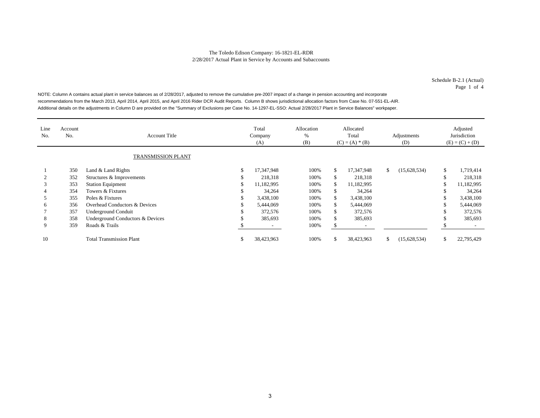Schedule B-2.1 (Actual) Page 1 of 4

NOTE: Column A contains actual plant in service balances as of 2/28/2017, adjusted to remove the cumulative pre-2007 impact of a change in pension accounting and incorporate recommendations from the March 2013, April 2014, April 2015, and April 2016 Rider DCR Audit Reports. Column B shows jurisdictional allocation factors from Case No. 07-551-EL-AIR. Additional details on the adjustments in Column D are provided on the "Summary of Exclusions per Case No. 14-1297-EL-SSO: Actual 2/28/2017 Plant in Service Balances" workpaper.

| Line<br>No. | Account<br>No.     | Account Title                    | Total<br>Company<br>(A) | Allocation<br>%<br>(B) |               | Allocated<br>Total<br>$(C) = (A) * (B)$ | Adjustments<br>(D) | Adjusted<br>Jurisdiction<br>$(E) = (C) + (D)$ |
|-------------|--------------------|----------------------------------|-------------------------|------------------------|---------------|-----------------------------------------|--------------------|-----------------------------------------------|
|             | TRANSMISSION PLANT |                                  |                         |                        |               |                                         |                    |                                               |
|             | 350                | Land & Land Rights               | 17.347.948              | 100%                   | <sup>\$</sup> | 17,347,948                              | \$<br>(15,628,534) | \$<br>1,719,414                               |
|             | 352                | Structures & Improvements        | 218,318                 | 100%                   | -S            | 218,318                                 |                    | \$<br>218,318                                 |
| 3           | 353                | <b>Station Equipment</b>         | 11.182.995              | 100%                   | S.            | 11,182,995                              |                    | \$<br>11,182,995                              |
|             | 354                | Towers & Fixtures                | 34,264                  | 100%                   |               | 34,264                                  |                    | \$<br>34,264                                  |
|             | 355                | Poles & Fixtures                 | 3,438,100               | 100%                   | S.            | 3,438,100                               |                    | \$<br>3,438,100                               |
| 6           | 356                | Overhead Conductors & Devices    | 5,444,069               | 100%                   | \$.           | 5,444,069                               |                    | \$<br>5,444,069                               |
|             | 357                | <b>Underground Conduit</b>       | 372,576                 | 100%                   | <sup>\$</sup> | 372,576                                 |                    | \$<br>372,576                                 |
| 8           | 358                | Underground Conductors & Devices | 385,693                 | 100%                   | <sup>\$</sup> | 385,693                                 |                    | \$<br>385,693                                 |
| 9           | 359                | Roads & Trails                   |                         | 100%                   |               |                                         |                    |                                               |
| 10          |                    | <b>Total Transmission Plant</b>  | 38,423,963              | 100%                   | S.            | 38,423,963                              | \$<br>(15,628,534) | \$<br>22,795,429                              |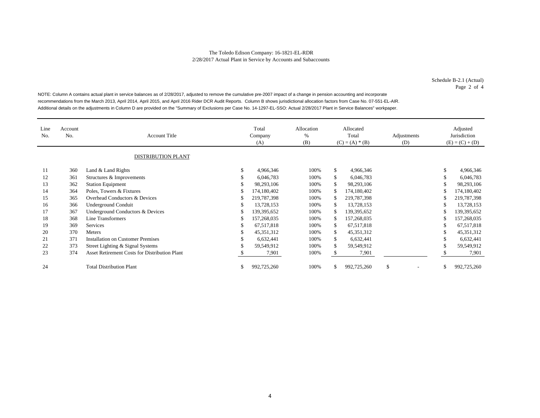Schedule B-2.1 (Actual) Page 2 of 4

NOTE: Column A contains actual plant in service balances as of 2/28/2017, adjusted to remove the cumulative pre-2007 impact of a change in pension accounting and incorporate recommendations from the March 2013, April 2014, April 2015, and April 2016 Rider DCR Audit Reports. Column B shows jurisdictional allocation factors from Case No. 07-551-EL-AIR. Additional details on the adjustments in Column D are provided on the "Summary of Exclusions per Case No. 14-1297-EL-SSO: Actual 2/28/2017 Plant in Service Balances" workpaper.

| Line<br>No. | Account<br>No. | <b>Account Title</b><br><b>DISTRIBUTION PLANT</b>    |   | Total<br>Company<br>(A) | Allocation<br>%<br>(B) |     | Allocated<br>Total<br>$(C) = (A) * (B)$ | Adjustments<br>(D) | Adjusted<br>Jurisdiction<br>$(E) = (C) + (D)$ |
|-------------|----------------|------------------------------------------------------|---|-------------------------|------------------------|-----|-----------------------------------------|--------------------|-----------------------------------------------|
| 11          | 360            | Land & Land Rights                                   | S | 4,966,346               | 100%                   | \$  | 4,966,346                               |                    | \$<br>4,966,346                               |
| 12          | 361            | Structures & Improvements                            | ъ | 6,046,783               | 100%                   | \$  | 6,046,783                               |                    | \$<br>6,046,783                               |
| 13          | 362            | <b>Station Equipment</b>                             | ъ | 98,293,106              | 100%                   | \$  | 98,293,106                              |                    | \$<br>98,293,106                              |
| 14          | 364            | Poles, Towers & Fixtures                             |   | 174,180,402             | 100%                   |     | 174,180,402                             |                    | 174,180,402                                   |
| 15          | 365            | Overhead Conductors & Devices                        |   | 219,787,398             | 100%                   | \$  | 219,787,398                             |                    | 219,787,398                                   |
| 16          | 366            | <b>Underground Conduit</b>                           | S | 13,728,153              | 100%                   | S   | 13,728,153                              |                    | \$<br>13,728,153                              |
| 17          | 367            | Underground Conductors & Devices                     | S | 139, 395, 652           | 100%                   |     | 139, 395, 652                           |                    | 139, 395, 652                                 |
| 18          | 368            | Line Transformers                                    | ъ | 157,268,035             | 100%                   |     | 157,268,035                             |                    | \$<br>157,268,035                             |
| 19          | 369            | Services                                             | S | 67,517,818              | 100%                   | \$. | 67,517,818                              |                    | \$<br>67,517,818                              |
| 20          | 370            | <b>Meters</b>                                        | S | 45, 351, 312            | 100%                   | \$  | 45, 351, 312                            |                    | \$<br>45, 351, 312                            |
| 21          | 371            | <b>Installation on Customer Premises</b>             |   | 6,632,441               | 100%                   | \$  | 6,632,441                               |                    | \$<br>6,632,441                               |
| 22          | 373            | Street Lighting & Signal Systems                     |   | 59,549,912              | 100%                   | \$. | 59,549,912                              |                    | \$<br>59,549,912                              |
| 23          | 374            | <b>Asset Retirement Costs for Distribution Plant</b> |   | 7,901                   | 100%                   |     | 7,901                                   |                    | 7,901                                         |
| 24          |                | <b>Total Distribution Plant</b>                      |   | 992,725,260             | 100%                   |     | 992,725,260                             | \$                 | \$<br>992,725,260                             |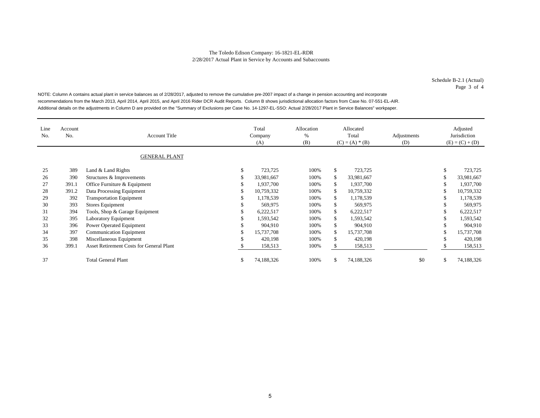Schedule B-2.1 (Actual) Page 3 of 4

NOTE: Column A contains actual plant in service balances as of 2/28/2017, adjusted to remove the cumulative pre-2007 impact of a change in pension accounting and incorporate recommendations from the March 2013, April 2014, April 2015, and April 2016 Rider DCR Audit Reports. Column B shows jurisdictional allocation factors from Case No. 07-551-EL-AIR. Additional details on the adjustments in Column D are provided on the "Summary of Exclusions per Case No. 14-1297-EL-SSO: Actual 2/28/2017 Plant in Service Balances" workpaper.

| Line<br>No. | Account<br>No. | <b>Account Title</b>                     |   | Total<br>Company<br>(A) | Allocation<br>$\%$<br>(B) | Allocated<br>Total<br>$(C) = (A) * (B)$ |            | Adjustments<br>(D) | Adjusted<br>Jurisdiction<br>$(E) = (C) + (D)$ |
|-------------|----------------|------------------------------------------|---|-------------------------|---------------------------|-----------------------------------------|------------|--------------------|-----------------------------------------------|
|             |                | <b>GENERAL PLANT</b>                     |   |                         |                           |                                         |            |                    |                                               |
| 25          | 389            | Land & Land Rights                       | ъ | 723,725                 | 100%                      | \$                                      | 723,725    |                    | \$<br>723,725                                 |
| 26          | 390            | Structures & Improvements                |   | 33,981,667              | 100%                      |                                         | 33,981,667 |                    | 33,981,667                                    |
| 27          | 391.1          | Office Furniture & Equipment             |   | 1,937,700               | 100%                      | \$                                      | 1,937,700  |                    | 1,937,700                                     |
| 28          | 391.2          | Data Processing Equipment                |   | 10,759,332              | 100%                      | <sup>\$</sup>                           | 10,759,332 |                    | 10,759,332                                    |
| 29          | 392            | <b>Transportation Equipment</b>          |   | 1,178,539               | 100%                      | \$                                      | 1,178,539  |                    | 1,178,539                                     |
| 30          | 393            | Stores Equipment                         |   | 569,975                 | 100%                      | \$                                      | 569,975    |                    | 569,975                                       |
| 31          | 394            | Tools, Shop & Garage Equipment           |   | 6,222,517               | 100%                      | <sup>\$</sup>                           | 6,222,517  |                    | 6,222,517                                     |
| 32          | 395            | <b>Laboratory Equipment</b>              |   | 1,593,542               | 100%                      | \$.                                     | 1,593,542  |                    | 1,593,542                                     |
| 33          | 396            | Power Operated Equipment                 |   | 904,910                 | 100%                      | \$                                      | 904,910    |                    | 904,910                                       |
| 34          | 397            | <b>Communication Equipment</b>           |   | 15,737,708              | 100%                      | <sup>\$</sup>                           | 15,737,708 |                    | 15,737,708                                    |
| 35          | 398            | Miscellaneous Equipment                  |   | 420,198                 | 100%                      | <sup>\$</sup>                           | 420,198    |                    | 420,198                                       |
| 36          | 399.1          | Asset Retirement Costs for General Plant |   | 158,513                 | 100%                      |                                         | 158,513    |                    | 158,513                                       |
| 37          |                | <b>Total General Plant</b>               |   | 74,188,326              | 100%                      | <sup>\$</sup>                           | 74,188,326 | \$0                | \$<br>74,188,326                              |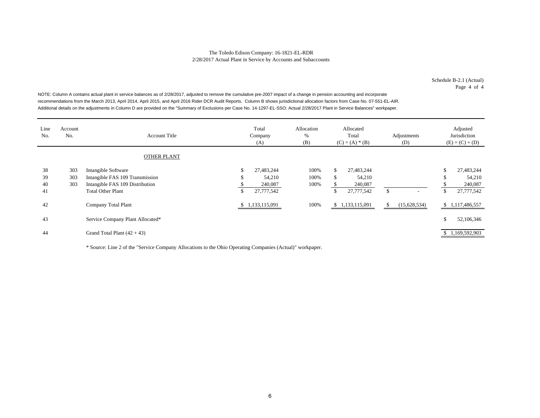Schedule B-2.1 (Actual) Page 4 of 4

NOTE: Column A contains actual plant in service balances as of 2/28/2017, adjusted to remove the cumulative pre-2007 impact of a change in pension accounting and incorporate recommendations from the March 2013, April 2014, April 2015, and April 2016 Rider DCR Audit Reports. Column B shows jurisdictional allocation factors from Case No. 07-551-EL-AIR. Additional details on the adjustments in Column D are provided on the "Summary of Exclusions per Case No. 14-1297-EL-SSO: Actual 2/28/2017 Plant in Service Balances" workpaper.

| Line<br>No.          | Account<br>No.    | <b>Account Title</b>                                                                                                  |                | Total<br>Company<br>(A)                       | Allocation<br>%<br>(B) | Allocated<br>Total<br>$(C) = (A) * (B)$ |                                               | Adjustments<br>(D) |              |              | Adjusted<br>Jurisdiction<br>$(E) = (C) + (D)$ |
|----------------------|-------------------|-----------------------------------------------------------------------------------------------------------------------|----------------|-----------------------------------------------|------------------------|-----------------------------------------|-----------------------------------------------|--------------------|--------------|--------------|-----------------------------------------------|
|                      |                   | <b>OTHER PLANT</b>                                                                                                    |                |                                               |                        |                                         |                                               |                    |              |              |                                               |
| 38<br>39<br>40<br>41 | 303<br>303<br>303 | Intangible Software<br>Intangible FAS 109 Transmission<br>Intangible FAS 109 Distribution<br><b>Total Other Plant</b> | \$<br>J.<br>\$ | 27,483,244<br>54,210<br>240,087<br>27,777,542 | 100%<br>100%<br>100%   | \$<br>\$<br>\$                          | 27,483,244<br>54,210<br>240,087<br>27,777,542 | $\mathbb{S}$       |              | C<br>ъ<br>\$ | 27,483,244<br>54,210<br>240,087<br>27,777,542 |
| 42                   |                   | <b>Company Total Plant</b>                                                                                            |                | \$1,133,115,091                               | 100%                   |                                         | \$1,133,115,091                               | S                  | (15,628,534) |              | \$1,117,486,557                               |
| 43                   |                   | Service Company Plant Allocated*                                                                                      |                |                                               |                        |                                         |                                               |                    |              | \$           | 52,106,346                                    |
| 44                   |                   | Grand Total Plant $(42 + 43)$                                                                                         |                |                                               |                        |                                         |                                               |                    |              |              | \$1,169,592,903                               |

\* Source: Line 2 of the "Service Company Allocations to the Ohio Operating Companies (Actual)" workpaper.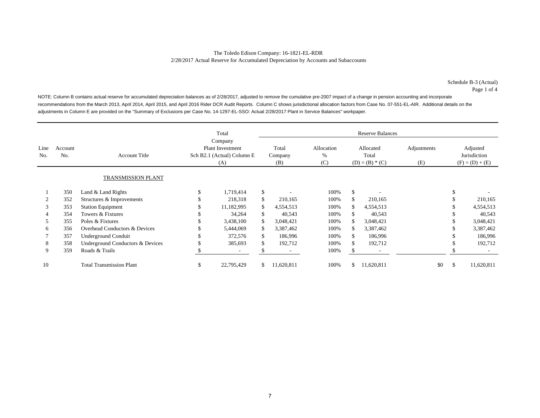Schedule B-3 (Actual) Page 1 of 4

NOTE: Column B contains actual reserve for accumulated depreciation balances as of 2/28/2017, adjusted to remove the cumulative pre-2007 impact of a change in pension accounting and incorporate recommendations from the March 2013, April 2014, April 2015, and April 2016 Rider DCR Audit Reports. Column C shows jurisdictional allocation factors from Case No. 07-551-EL-AIR. Additional details on the adjustments in Column E are provided on the "Summary of Exclusions per Case No. 14-1297-EL-SSO: Actual 2/28/2017 Plant in Service Balances" workpaper.

|             |                |                                  |                                                                         | Total                    | <b>Reserve Balances</b> |                         |                           |     |                                         |                    |    |                                               |  |  |
|-------------|----------------|----------------------------------|-------------------------------------------------------------------------|--------------------------|-------------------------|-------------------------|---------------------------|-----|-----------------------------------------|--------------------|----|-----------------------------------------------|--|--|
| Line<br>No. | Account<br>No. | <b>Account Title</b>             | Company<br><b>Plant Investment</b><br>Sch B2.1 (Actual) Column E<br>(A) |                          |                         | Total<br>Company<br>(B) | Allocation<br>$\%$<br>(C) |     | Allocated<br>Total<br>$(D) = (B) * (C)$ | Adjustments<br>(E) |    | Adjusted<br>Jurisdiction<br>$(F) = (D) + (E)$ |  |  |
|             |                | <b>TRANSMISSION PLANT</b>        |                                                                         |                          |                         |                         |                           |     |                                         |                    |    |                                               |  |  |
|             | 350            | Land & Land Rights               |                                                                         | 1,719,414                | \$                      |                         | 100%                      | \$  |                                         |                    |    |                                               |  |  |
|             | 352            | Structures & Improvements        |                                                                         | 218,318                  | \$                      | 210,165                 | 100%                      |     | 210,165                                 |                    |    | 210,165                                       |  |  |
| 3           | 353            | <b>Station Equipment</b>         |                                                                         | 11,182,995               | \$                      | 4,554,513               | 100%                      | S.  | 4,554,513                               |                    |    | 4,554,513                                     |  |  |
|             | 354            | Towers & Fixtures                |                                                                         | 34,264                   | \$                      | 40,543                  | 100%                      |     | 40,543                                  |                    |    | 40,543                                        |  |  |
| 5           | 355            | Poles & Fixtures                 |                                                                         | 3,438,100                | \$                      | 3,048,421               | 100%                      | S.  | 3,048,421                               |                    |    | 3,048,421                                     |  |  |
| 6           | 356            | Overhead Conductors & Devices    |                                                                         | 5,444,069                | \$                      | 3,387,462               | 100%                      | \$. | 3,387,462                               |                    |    | 3,387,462                                     |  |  |
|             | 357            | Underground Conduit              |                                                                         | 372,576                  | \$                      | 186,996                 | 100%                      | \$  | 186,996                                 |                    |    | 186,996                                       |  |  |
| 8           | 358            | Underground Conductors & Devices |                                                                         | 385,693                  | \$                      | 192,712                 | 100%                      | S.  | 192,712                                 |                    |    | 192,712                                       |  |  |
| 9           | 359            | Roads & Trails                   |                                                                         | $\overline{\phantom{a}}$ |                         |                         | 100%                      |     |                                         |                    |    |                                               |  |  |
| 10          |                | <b>Total Transmission Plant</b>  | \$                                                                      | 22,795,429               | \$                      | 11,620,811              | 100%                      | \$  | 11,620,811                              | \$0                | \$ | 11,620,811                                    |  |  |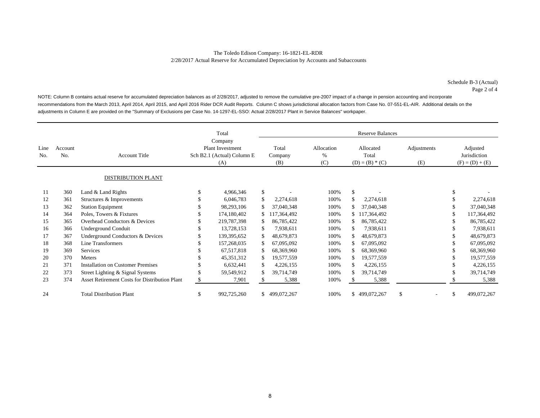Schedule B-3 (Actual) Page 2 of 4

NOTE: Column B contains actual reserve for accumulated depreciation balances as of 2/28/2017, adjusted to remove the cumulative pre-2007 impact of a change in pension accounting and incorporate recommendations from the March 2013, April 2014, April 2015, and April 2016 Rider DCR Audit Reports. Column C shows jurisdictional allocation factors from Case No. 07-551-EL-AIR. Additional details on the adjustments in Column E are provided on the "Summary of Exclusions per Case No. 14-1297-EL-SSO: Actual 2/28/2017 Plant in Service Balances" workpaper.

|             |                |                                                      | Total                                                                   |               |                         | <b>Reserve Balances</b> |                           |                                         |             |                    |                          |                                               |             |  |  |
|-------------|----------------|------------------------------------------------------|-------------------------------------------------------------------------|---------------|-------------------------|-------------------------|---------------------------|-----------------------------------------|-------------|--------------------|--------------------------|-----------------------------------------------|-------------|--|--|
| Line<br>No. | Account<br>No. | <b>Account Title</b>                                 | Company<br><b>Plant Investment</b><br>Sch B2.1 (Actual) Column E<br>(A) |               | Total<br>Company<br>(B) |                         | Allocation<br>$\%$<br>(C) | Allocated<br>Total<br>$(D) = (B) * (C)$ |             | Adjustments<br>(E) |                          | Adjusted<br>Jurisdiction<br>$(F) = (D) + (E)$ |             |  |  |
|             |                | DISTRIBUTION PLANT                                   |                                                                         |               |                         |                         |                           |                                         |             |                    |                          |                                               |             |  |  |
| 11          | 360            | Land & Land Rights                                   | \$                                                                      | 4,966,346     | $\mathbb{S}$            |                         | 100%                      | \$                                      |             |                    |                          | \$                                            |             |  |  |
| 12          | 361            | Structures & Improvements                            |                                                                         | 6,046,783     | \$                      | 2,274,618               | 100%                      |                                         | 2,274,618   |                    |                          |                                               | 2,274,618   |  |  |
| 13          | 362            | <b>Station Equipment</b>                             |                                                                         | 98,293,106    | \$                      | 37,040,348              | 100%                      |                                         | 37,040,348  |                    |                          |                                               | 37,040,348  |  |  |
| 14          | 364            | Poles, Towers & Fixtures                             |                                                                         | 174,180,402   | \$                      | 117,364,492             | 100%                      | \$                                      | 117,364,492 |                    |                          |                                               | 117,364,492 |  |  |
| 15          | 365            | Overhead Conductors & Devices                        |                                                                         | 219,787,398   | \$                      | 86,785,422              | 100%                      |                                         | 86,785,422  |                    |                          |                                               | 86,785,422  |  |  |
| 16          | 366            | Underground Conduit                                  |                                                                         | 13,728,153    | $\mathbb{S}$            | 7.938.611               | 100%                      |                                         | 7,938,611   |                    |                          |                                               | 7,938,611   |  |  |
| 17          | 367            | Underground Conductors & Devices                     |                                                                         | 139, 395, 652 | \$                      | 48,679,873              | 100%                      |                                         | 48,679,873  |                    |                          |                                               | 48,679,873  |  |  |
| 18          | 368            | Line Transformers                                    |                                                                         | 157,268,035   | \$                      | 67,095,092              | 100%                      |                                         | 67,095,092  |                    |                          |                                               | 67,095,092  |  |  |
| 19          | 369            | Services                                             |                                                                         | 67,517,818    | \$                      | 68,369,960              | 100%                      |                                         | 68,369,960  |                    |                          |                                               | 68,369,960  |  |  |
| 20          | 370            | Meters                                               |                                                                         | 45,351,312    | \$                      | 19,577,559              | 100%                      |                                         | 19,577,559  |                    |                          |                                               | 19,577,559  |  |  |
| 21          | 371            | <b>Installation on Customer Premises</b>             |                                                                         | 6,632,441     | \$                      | 4,226,155               | 100%                      |                                         | 4,226,155   |                    |                          |                                               | 4,226,155   |  |  |
| 22          | 373            | Street Lighting & Signal Systems                     |                                                                         | 59,549,912    |                         | 39,714,749              | 100%                      |                                         | 39,714,749  |                    |                          |                                               | 39,714,749  |  |  |
| 23          | 374            | <b>Asset Retirement Costs for Distribution Plant</b> | \$                                                                      | 7,901         |                         | 5,388                   | 100%                      |                                         | 5,388       |                    |                          |                                               | 5,388       |  |  |
| 24          |                | <b>Total Distribution Plant</b>                      | \$                                                                      | 992,725,260   |                         | \$499,072,267           | 100%                      | \$                                      | 499,072,267 | \$                 | $\overline{\phantom{a}}$ | \$                                            | 499,072,267 |  |  |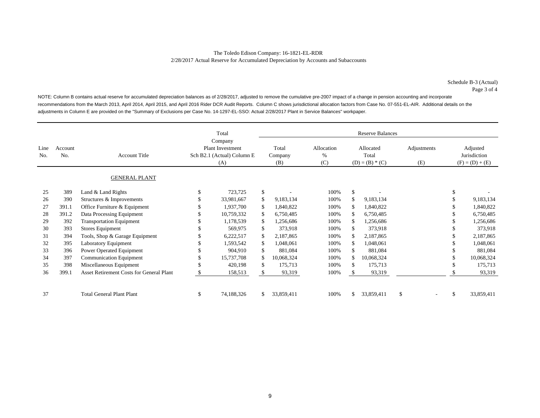Schedule B-3 (Actual) Page 3 of 4

NOTE: Column B contains actual reserve for accumulated depreciation balances as of 2/28/2017, adjusted to remove the cumulative pre-2007 impact of a change in pension accounting and incorporate recommendations from the March 2013, April 2014, April 2015, and April 2016 Rider DCR Audit Reports. Column C shows jurisdictional allocation factors from Case No. 07-551-EL-AIR. Additional details on the adjustments in Column E are provided on the "Summary of Exclusions per Case No. 14-1297-EL-SSO: Actual 2/28/2017 Plant in Service Balances" workpaper.

|             |                |                                                 |                                                                         | Total      | <b>Reserve Balances</b> |            |                           |     |                                         |                    |                          |                                               |            |  |  |  |
|-------------|----------------|-------------------------------------------------|-------------------------------------------------------------------------|------------|-------------------------|------------|---------------------------|-----|-----------------------------------------|--------------------|--------------------------|-----------------------------------------------|------------|--|--|--|
| Line<br>No. | Account<br>No. | <b>Account Title</b>                            | Company<br><b>Plant Investment</b><br>Sch B2.1 (Actual) Column E<br>(A) |            | Total<br>Company<br>(B) |            | Allocation<br>$\%$<br>(C) |     | Allocated<br>Total<br>$(D) = (B) * (C)$ | Adjustments<br>(E) |                          | Adjusted<br>Jurisdiction<br>$(F) = (D) + (E)$ |            |  |  |  |
|             |                | <b>GENERAL PLANT</b>                            |                                                                         |            |                         |            |                           |     |                                         |                    |                          |                                               |            |  |  |  |
| 25          | 389            | Land & Land Rights                              | \$.                                                                     | 723,725    | \$                      |            | 100%                      | \$  |                                         |                    |                          | \$                                            |            |  |  |  |
| 26          | 390            | Structures & Improvements                       |                                                                         | 33,981,667 | \$                      | 9,183,134  | 100%                      | \$  | 9,183,134                               |                    |                          |                                               | 9,183,134  |  |  |  |
| 27          | 391.1          | Office Furniture & Equipment                    |                                                                         | 1,937,700  | \$                      | 1,840,822  | 100%                      | S.  | 1,840,822                               |                    |                          |                                               | 1,840,822  |  |  |  |
| 28          | 391.2          | Data Processing Equipment                       |                                                                         | 10,759,332 | \$                      | 6,750,485  | 100%                      | \$. | 6,750,485                               |                    |                          |                                               | 6,750,485  |  |  |  |
| 29          | 392            | <b>Transportation Equipment</b>                 |                                                                         | 1,178,539  | \$                      | 1,256,686  | 100%                      | £.  | 1,256,686                               |                    |                          |                                               | 1,256,686  |  |  |  |
| 30          | 393            | <b>Stores Equipment</b>                         |                                                                         | 569,975    | \$                      | 373,918    | 100%                      |     | 373,918                                 |                    |                          |                                               | 373,918    |  |  |  |
| 31          | 394            | Tools, Shop & Garage Equipment                  |                                                                         | 6,222,517  | \$                      | 2,187,865  | 100%                      | £.  | 2,187,865                               |                    |                          |                                               | 2,187,865  |  |  |  |
| 32          | 395            | Laboratory Equipment                            |                                                                         | 1,593,542  | \$                      | 1,048,061  | 100%                      | S.  | 1,048,061                               |                    |                          |                                               | 1,048,061  |  |  |  |
| 33          | 396            | Power Operated Equipment                        |                                                                         | 904,910    | \$                      | 881,084    | 100%                      | S.  | 881,084                                 |                    |                          |                                               | 881,084    |  |  |  |
| 34          | 397            | <b>Communication Equipment</b>                  |                                                                         | 15,737,708 | $\mathbb{S}$            | 10,068,324 | 100%                      | £.  | 10,068,324                              |                    |                          |                                               | 10,068,324 |  |  |  |
| 35          | 398            | Miscellaneous Equipment                         |                                                                         | 420,198    | \$                      | 175,713    | 100%                      | \$. | 175,713                                 |                    |                          |                                               | 175,713    |  |  |  |
| 36          | 399.1          | <b>Asset Retirement Costs for General Plant</b> |                                                                         | 158,513    | \$                      | 93,319     | 100%                      |     | 93,319                                  |                    |                          |                                               | 93,319     |  |  |  |
|             |                |                                                 |                                                                         |            |                         |            |                           |     |                                         |                    |                          |                                               |            |  |  |  |
| 37          |                | <b>Total General Plant Plant</b>                | \$                                                                      | 74,188,326 | \$                      | 33,859,411 | 100%                      | \$. | 33,859,411                              | \$.                | $\overline{\phantom{a}}$ | \$                                            | 33,859,411 |  |  |  |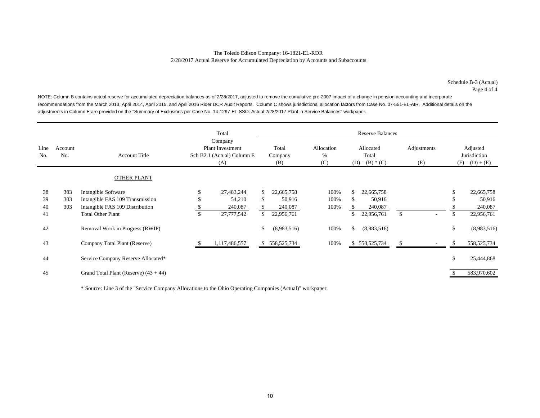Schedule B-3 (Actual) Page 4 of 4

NOTE: Column B contains actual reserve for accumulated depreciation balances as of 2/28/2017, adjusted to remove the cumulative pre-2007 impact of a change in pension accounting and incorporate recommendations from the March 2013, April 2014, April 2015, and April 2016 Rider DCR Audit Reports. Column C shows jurisdictional allocation factors from Case No. 07-551-EL-AIR. Additional details on the adjustments in Column E are provided on the "Summary of Exclusions per Case No. 14-1297-EL-SSO: Actual 2/28/2017 Plant in Service Balances" workpaper.

|                |                   |                                                                                           |    | Total                                                                   |          |                                 |                           |               | <b>Reserve Balances</b>                 |                    |  |                                               |
|----------------|-------------------|-------------------------------------------------------------------------------------------|----|-------------------------------------------------------------------------|----------|---------------------------------|---------------------------|---------------|-----------------------------------------|--------------------|--|-----------------------------------------------|
| Line<br>No.    | Account<br>No.    | <b>Account Title</b>                                                                      |    | Company<br><b>Plant Investment</b><br>Sch B2.1 (Actual) Column E<br>(A) |          | Total<br>Company<br>(B)         | Allocation<br>$\%$<br>(C) |               | Allocated<br>Total<br>$(D) = (B) * (C)$ | Adjustments<br>(E) |  | Adjusted<br>Jurisdiction<br>$(F) = (D) + (E)$ |
|                |                   | <b>OTHER PLANT</b>                                                                        |    |                                                                         |          |                                 |                           |               |                                         |                    |  |                                               |
| 38<br>39<br>40 | 303<br>303<br>303 | Intangible Software<br>Intangible FAS 109 Transmission<br>Intangible FAS 109 Distribution |    | 27,483,244<br>54,210<br>240,087                                         | \$<br>\$ | 22,665,758<br>50,916<br>240,087 | 100%<br>100%<br>100%      | \$<br>\$.     | 22,665,758<br>50,916<br>240,087         |                    |  | 22,665,758<br>50,916<br>240,087               |
| 41             |                   | <b>Total Other Plant</b>                                                                  | \$ | 27,777,542                                                              | \$       | 22,956,761                      |                           | \$            | 22,956,761                              | \$                 |  | \$<br>22,956,761                              |
| 42             |                   | Removal Work in Progress (RWIP)                                                           |    |                                                                         | \$       | (8,983,516)                     | 100%                      | <sup>\$</sup> | (8,983,516)                             |                    |  | \$<br>(8,983,516)                             |
| 43             |                   | Company Total Plant (Reserve)                                                             |    | 1,117,486,557                                                           |          | \$ 558,525,734                  | 100%                      |               | \$558,525,734                           |                    |  | \$<br>558,525,734                             |
| 44             |                   | Service Company Reserve Allocated*                                                        |    |                                                                         |          |                                 |                           |               |                                         |                    |  | \$<br>25,444,868                              |
| 45             |                   | Grand Total Plant (Reserve) $(43 + 44)$                                                   |    |                                                                         |          |                                 |                           |               |                                         |                    |  | 583,970,602                                   |

\* Source: Line 3 of the "Service Company Allocations to the Ohio Operating Companies (Actual)" workpaper.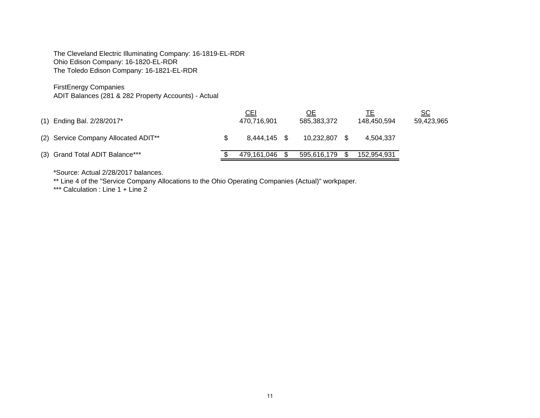The Cleveland Electric Illuminating Company: 16-1819-EL-RDR Ohio Edison Company: 16-1820-EL-RDR The Toledo Edison Company: 16-1821-EL-RDR

FirstEnergy Companies

ADIT Balances (281 & 282 Property Accounts) - Actual

| (1) Ending Bal. 2/28/2017*           | <u>CEI</u><br>470.716.901 |      | <u>ОЕ</u><br>585,383,372 | 148.450.594 | <u>SC</u><br>59,423,965 |
|--------------------------------------|---------------------------|------|--------------------------|-------------|-------------------------|
| (2) Service Company Allocated ADIT** | 8.444.145 \$              |      | 10.232.807               | 4.504.337   |                         |
| (3) Grand Total ADIT Balance***      | 479.161.046               | - \$ | 595,616,179              | 152.954.931 |                         |

\*Source: Actual 2/28/2017 balances.

\*\* Line 4 of the "Service Company Allocations to the Ohio Operating Companies (Actual)" workpaper.

\*\*\* Calculation : Line 1 + Line 2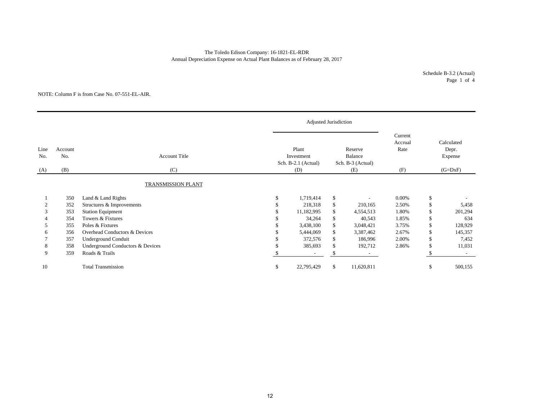## The Toledo Edison Company: 16-1821-EL-RDR Annual Depreciation Expense on Actual Plant Balances as of February 28, 2017

Schedule B-3.2 (Actual) Page 1 of 4

#### NOTE: Column F is from Case No. 07-551-EL-AIR.

|             |                |                                  |                                            | Adjusted Jurisdiction |              |                                         |                            |                                |
|-------------|----------------|----------------------------------|--------------------------------------------|-----------------------|--------------|-----------------------------------------|----------------------------|--------------------------------|
| Line<br>No. | Account<br>No. | <b>Account Title</b>             | Plant<br>Investment<br>Sch. B-2.1 (Actual) |                       |              | Reserve<br>Balance<br>Sch. B-3 (Actual) | Current<br>Accrual<br>Rate | Calculated<br>Depr.<br>Expense |
| (A)         | (B)            | (C)                              |                                            | (D)                   |              | (E)                                     | (F)                        | $(G=DxF)$                      |
|             |                | TRANSMISSION PLANT               |                                            |                       |              |                                         |                            |                                |
|             | 350            | Land & Land Rights               | \$.                                        | 1,719,414             | \$           | $\overline{\phantom{0}}$                | 0.00%                      | \$                             |
|             | 352            | Structures & Improvements        |                                            | 218,318               | \$           | 210,165                                 | 2.50%                      | \$<br>5,458                    |
| 3           | 353            | <b>Station Equipment</b>         |                                            | 11,182,995            | \$           | 4,554,513                               | 1.80%                      | \$<br>201,294                  |
|             | 354            | Towers & Fixtures                |                                            | 34,264                | \$           | 40,543                                  | 1.85%                      | \$<br>634                      |
|             | 355            | Poles & Fixtures                 |                                            | 3,438,100             | \$           | 3,048,421                               | 3.75%                      | \$<br>128,929                  |
| 6           | 356            | Overhead Conductors & Devices    |                                            | 5,444,069             | \$           | 3,387,462                               | 2.67%                      | \$<br>145,357                  |
|             | 357            | Underground Conduit              |                                            | 372,576               | \$           | 186,996                                 | 2.00%                      | \$<br>7,452                    |
| 8           | 358            | Underground Conductors & Devices |                                            | 385,693               | \$           | 192,712                                 | 2.86%                      | 11,031                         |
| 9           | 359            | Roads & Trails                   |                                            |                       | J,           |                                         |                            | $\sim$                         |
| 10          |                | <b>Total Transmission</b>        | S                                          | 22,795,429            | $\mathbb{S}$ | 11,620,811                              |                            | \$<br>500,155                  |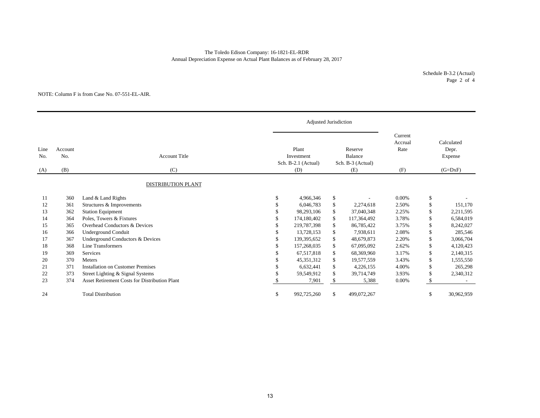Annual Depreciation Expense on Actual Plant Balances as of February 28, 2017 The Toledo Edison Company: 16-1821-EL-RDR

> Schedule B-3.2 (Actual) Page 2 of 4

#### NOTE: Column F is from Case No. 07-551-EL-AIR.

|             |                |                                                      |          | Adjusted Jurisdiction                      |    |                                         |                            |     |                                |
|-------------|----------------|------------------------------------------------------|----------|--------------------------------------------|----|-----------------------------------------|----------------------------|-----|--------------------------------|
| Line<br>No. | Account<br>No. | <b>Account Title</b>                                 |          | Plant<br>Investment<br>Sch. B-2.1 (Actual) |    | Reserve<br>Balance<br>Sch. B-3 (Actual) | Current<br>Accrual<br>Rate |     | Calculated<br>Depr.<br>Expense |
| (A)         | (B)            | (C)                                                  |          | (D)                                        |    | (E)                                     | (F)                        |     | $(G=DxF)$                      |
|             |                | <b>DISTRIBUTION PLANT</b>                            |          |                                            |    |                                         |                            |     |                                |
| 11          | 360            | Land & Land Rights                                   | <b>S</b> | 4,966,346                                  | \$ |                                         | 0.00%                      | \$  |                                |
| 12          | 361            | Structures & Improvements                            | £.       | 6,046,783                                  | \$ | 2,274,618                               | 2.50%                      | \$  | 151,170                        |
| 13          | 362            | <b>Station Equipment</b>                             | S        | 98,293,106                                 | \$ | 37,040,348                              | 2.25%                      | \$  | 2,211,595                      |
| 14          | 364            | Poles, Towers & Fixtures                             |          | 174,180,402                                | \$ | 117,364,492                             | 3.78%                      | \$  | 6,584,019                      |
| 15          | 365            | Overhead Conductors & Devices                        |          | 219,787,398                                | \$ | 86,785,422                              | 3.75%                      | \$  | 8,242,027                      |
| 16          | 366            | <b>Underground Conduit</b>                           |          | 13,728,153                                 | \$ | 7,938,611                               | 2.08%                      | \$. | 285,546                        |
| 17          | 367            | Underground Conductors & Devices                     |          | 139,395,652                                | \$ | 48,679,873                              | 2.20%                      | \$  | 3,066,704                      |
| 18          | 368            | Line Transformers                                    |          | 157,268,035                                | \$ | 67,095,092                              | 2.62%                      | \$  | 4,120,423                      |
| 19          | 369            | Services                                             |          | 67.517.818                                 | \$ | 68,369,960                              | 3.17%                      | \$  | 2,140,315                      |
| 20          | 370            | Meters                                               |          | 45,351,312                                 | \$ | 19,577,559                              | 3.43%                      | \$  | 1,555,550                      |
| 21          | 371            | <b>Installation on Customer Premises</b>             |          | 6,632,441                                  | \$ | 4,226,155                               | 4.00%                      | \$  | 265,298                        |
| 22          | 373            | Street Lighting & Signal Systems                     |          | 59,549,912                                 | \$ | 39,714,749                              | 3.93%                      | \$  | 2,340,312                      |
| 23          | 374            | <b>Asset Retirement Costs for Distribution Plant</b> |          | 7,901                                      | \$ | 5,388                                   | 0.00%                      | \$. |                                |
| 24          |                | <b>Total Distribution</b>                            | \$       | 992,725,260                                | \$ | 499,072,267                             |                            | \$  | 30,962,959                     |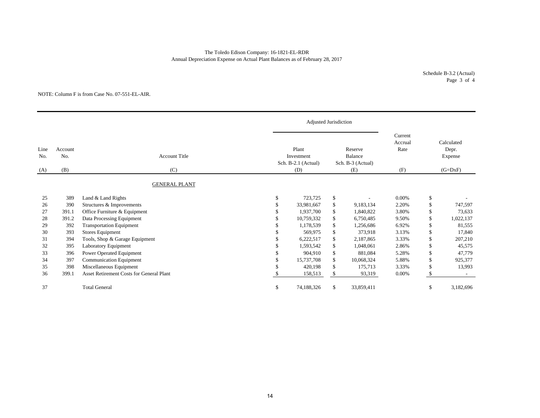## The Toledo Edison Company: 16-1821-EL-RDR Annual Depreciation Expense on Actual Plant Balances as of February 28, 2017

Schedule B-3.2 (Actual) Page 3 of 4

#### NOTE: Column F is from Case No. 07-551-EL-AIR.

|                    |                       |                                                 |               | Adjusted Jurisdiction                             |                                                |            |                                   |     |                                             |
|--------------------|-----------------------|-------------------------------------------------|---------------|---------------------------------------------------|------------------------------------------------|------------|-----------------------------------|-----|---------------------------------------------|
| Line<br>No.<br>(A) | Account<br>No.<br>(B) | <b>Account Title</b><br>(C)                     |               | Plant<br>Investment<br>Sch. B-2.1 (Actual)<br>(D) | Reserve<br>Balance<br>Sch. B-3 (Actual)<br>(E) |            | Current<br>Accrual<br>Rate<br>(F) |     | Calculated<br>Depr.<br>Expense<br>$(G=DxF)$ |
|                    |                       | <b>GENERAL PLANT</b>                            |               |                                                   |                                                |            |                                   |     |                                             |
| 25                 | 389                   | Land & Land Rights                              | \$            | 723,725                                           | \$                                             |            | $0.00\%$                          | \$  |                                             |
| 26                 | 390                   | Structures & Improvements                       |               | 33,981,667                                        | \$                                             | 9,183,134  | 2.20%                             | \$  | 747,597                                     |
| 27                 | 391.1                 | Office Furniture & Equipment                    |               | 1,937,700                                         | \$                                             | 1,840,822  | 3.80%                             | \$  | 73,633                                      |
| 28                 | 391.2                 | Data Processing Equipment                       |               | 10.759.332                                        | \$                                             | 6,750,485  | 9.50%                             | \$  | 1,022,137                                   |
| 29                 | 392                   | <b>Transportation Equipment</b>                 |               | 1,178,539                                         | \$                                             | 1,256,686  | 6.92%                             | \$  | 81,555                                      |
| 30                 | 393                   | <b>Stores Equipment</b>                         |               | 569,975                                           | \$                                             | 373,918    | 3.13%                             | \$  | 17,840                                      |
| 31                 | 394                   | Tools, Shop & Garage Equipment                  |               | 6,222,517                                         | \$                                             | 2,187,865  | 3.33%                             | \$  | 207,210                                     |
| 32                 | 395                   | Laboratory Equipment                            |               | 1,593,542                                         | \$                                             | 1,048,061  | 2.86%                             | \$  | 45,575                                      |
| 33                 | 396                   | Power Operated Equipment                        |               | 904,910                                           | \$                                             | 881,084    | 5.28%                             | \$  | 47,779                                      |
| 34                 | 397                   | Communication Equipment                         |               | 15,737,708                                        | \$                                             | 10,068,324 | 5.88%                             | \$  | 925,377                                     |
| 35                 | 398                   | Miscellaneous Equipment                         |               | 420,198                                           | $\mathbb{S}$                                   | 175,713    | 3.33%                             | \$  | 13,993                                      |
| 36                 | 399.1                 | <b>Asset Retirement Costs for General Plant</b> |               | 158,513                                           | \$                                             | 93,319     | 0.00%                             | \$  |                                             |
| 37                 |                       | <b>Total General</b>                            | <sup>\$</sup> | 74,188,326                                        | \$                                             | 33,859,411 |                                   | \$. | 3,182,696                                   |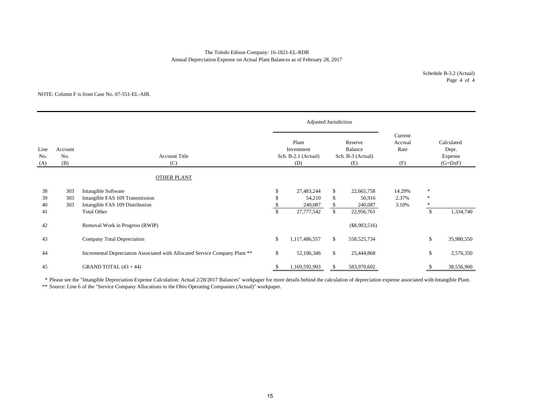## Annual Depreciation Expense on Actual Plant Balances as of February 28, 2017 The Toledo Edison Company: 16-1821-EL-RDR

Schedule B-3.2 (Actual) Page 4 of 4

#### NOTE: Column F is from Case No. 07-551-EL-AIR.

|                    |                       |                                                                                           |              | Adjusted Jurisdiction                                                                               |                |                                   |                          |                                             |            |
|--------------------|-----------------------|-------------------------------------------------------------------------------------------|--------------|-----------------------------------------------------------------------------------------------------|----------------|-----------------------------------|--------------------------|---------------------------------------------|------------|
| Line<br>No.<br>(A) | Account<br>No.<br>(B) | <b>Account Title</b><br>(C)                                                               |              | Plant<br>Reserve<br>Balance<br>Investment<br>Sch. B-2.1 (Actual)<br>Sch. B-3 (Actual)<br>(D)<br>(E) |                | Current<br>Accrual<br>Rate<br>(F) |                          | Calculated<br>Depr.<br>Expense<br>$(G=DxF)$ |            |
|                    |                       | OTHER PLANT                                                                               |              |                                                                                                     |                |                                   |                          |                                             |            |
| 38<br>39<br>40     | 303<br>303<br>303     | Intangible Software<br>Intangible FAS 109 Transmission<br>Intangible FAS 109 Distribution | \$<br>S      | 27,483,244<br>54,210<br>240,087                                                                     | \$<br>\$<br>\$ | 22,665,758<br>50,916<br>240,087   | 14.29%<br>2.37%<br>3.10% | $\ast$<br>$\ast$<br>$\ast$                  |            |
| 41                 |                       | <b>Total Other</b>                                                                        | $\mathbb{S}$ | 27,777,542                                                                                          | $\mathbb{S}$   | 22,956,761                        |                          | $\mathbb{S}$                                | 1,334,740  |
| 42                 |                       | Removal Work in Progress (RWIP)                                                           |              |                                                                                                     |                | $(\$8,983,516)$                   |                          |                                             |            |
| 43                 |                       | Company Total Depreciation                                                                | \$           | 1,117,486,557                                                                                       | \$             | 558,525,734                       |                          | \$                                          | 35,980,550 |
| 44                 |                       | Incremental Depreciation Associated with Allocated Service Company Plant **               | \$           | 52,106,346                                                                                          | $\mathbb{S}$   | 25,444,868                        |                          | \$                                          | 2,576,350  |
| 45                 |                       | GRAND TOTAL $(43 + 44)$                                                                   | ъ            | 1,169,592,903                                                                                       | \$             | 583,970,602                       |                          |                                             | 38,556,900 |

\* Please see the "Intangible Depreciation Expense Calculation: Actual 2/28/2017 Balances" workpaper for more details behind the calculation of depreciation expense associated with Intangible Plant.

\*\* Source: Line 6 of the "Service Company Allocations to the Ohio Operating Companies (Actual)" workpaper.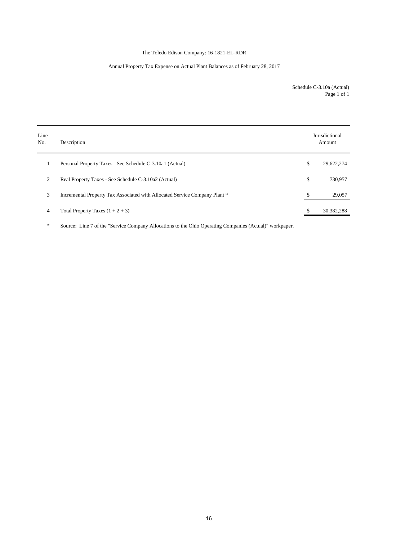# The Toledo Edison Company: 16-1821-EL-RDR

# Annual Property Tax Expense on Actual Plant Balances as of February 28, 2017

Schedule C-3.10a (Actual) Page 1 of 1

| Line<br>No. | Description                                                                | Jurisdictional<br>Amount |
|-------------|----------------------------------------------------------------------------|--------------------------|
|             | Personal Property Taxes - See Schedule C-3.10a1 (Actual)                   | \$<br>29,622,274         |
| 2           | Real Property Taxes - See Schedule C-3.10a2 (Actual)                       | \$<br>730,957            |
| 3           | Incremental Property Tax Associated with Allocated Service Company Plant * | \$<br>29,057             |
| 4           | Total Property Taxes $(1 + 2 + 3)$                                         | 30,382,288               |

\* Source: Line 7 of the "Service Company Allocations to the Ohio Operating Companies (Actual)" workpaper.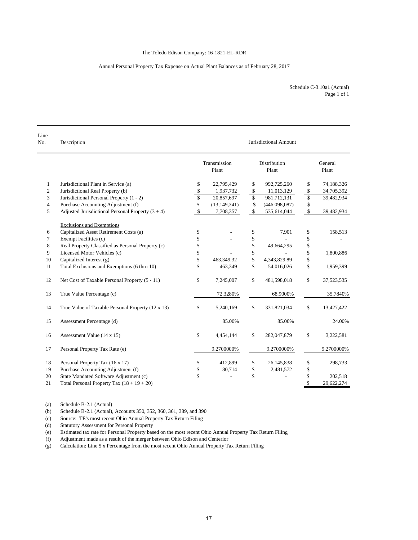## Annual Personal Property Tax Expense on Actual Plant Balances as of February 28, 2017

| Line<br>No.    | Description                                         | Jurisdictional Amount    |                       |                         |                       |                         |                  |  |  |  |
|----------------|-----------------------------------------------------|--------------------------|-----------------------|-------------------------|-----------------------|-------------------------|------------------|--|--|--|
|                |                                                     |                          | Transmission<br>Plant |                         | Distribution<br>Plant |                         | General<br>Plant |  |  |  |
| $\mathbf{1}$   | Jurisdictional Plant in Service (a)                 | \$                       | 22,795,429            | \$                      | 992,725,260           | \$                      | 74,188,326       |  |  |  |
| $\overline{c}$ | Jurisdictional Real Property (b)                    | \$                       | 1,937,732             | \$                      | 11,013,129            | \$                      | 34,705,392       |  |  |  |
| 3              | Jurisdictional Personal Property (1 - 2)            | \$                       | 20,857,697            | \$                      | 981,712,131           | \$                      | 39,482,934       |  |  |  |
| 4              | Purchase Accounting Adjustment (f)                  | \$                       | (13, 149, 341)        | \$                      | (446,098,087)         | \$                      |                  |  |  |  |
| 5              | Adjusted Jurisdictional Personal Property $(3 + 4)$ | $\overline{\mathcal{S}}$ | 7,708,357             | $\sqrt{S}$              | 535,614,044           | $\sqrt{2}$              | 39,482,934       |  |  |  |
|                | <b>Exclusions and Exemptions</b>                    |                          |                       |                         |                       |                         |                  |  |  |  |
| 6              | Capitalized Asset Retirement Costs (a)              | \$                       |                       | \$                      | 7,901                 | \$                      | 158,513          |  |  |  |
| 7              | Exempt Facilities (c)                               | \$                       |                       | \$                      |                       | \$                      |                  |  |  |  |
| 8              | Real Property Classified as Personal Property (c)   | \$                       |                       | \$                      | 49,664,295            | \$                      |                  |  |  |  |
| 9              | Licensed Motor Vehicles (c)                         | \$                       |                       | \$                      |                       | \$                      | 1,800,886        |  |  |  |
| 10             | Capitalized Interest (g)                            | \$                       | 463,349.32            | \$                      | 4,343,829.89          | \$                      |                  |  |  |  |
| 11             | Total Exclusions and Exemptions (6 thru 10)         | $\overline{\mathbb{S}}$  | 463,349               | $\overline{\mathbf{s}}$ | 54,016,026            | $\overline{\mathbb{S}}$ | 1,959,399        |  |  |  |
| 12             | Net Cost of Taxable Personal Property (5 - 11)      | \$                       | 7,245,007             | $\mathbb{S}$            | 481,598,018           | \$                      | 37,523,535       |  |  |  |
| 13             | True Value Percentage (c)                           |                          | 72.3280%              |                         | 68.9000%              |                         | 35.7840%         |  |  |  |
| 14             | True Value of Taxable Personal Property (12 x 13)   | \$                       | 5,240,169             | \$                      | 331,821,034           | \$                      | 13,427,422       |  |  |  |
| 15             | Assessment Percentage (d)                           |                          | 85.00%                |                         | 85.00%                |                         | 24.00%           |  |  |  |
| 16             | Assessment Value (14 x 15)                          | \$                       | 4,454,144             | \$                      | 282,047,879           | \$                      | 3,222,581        |  |  |  |
| 17             | Personal Property Tax Rate (e)                      |                          | 9.2700000%            |                         | 9.2700000%            |                         | 9.2700000%       |  |  |  |
| 18             | Personal Property Tax (16 x 17)                     | \$                       | 412,899               | \$                      | 26,145,838            | \$                      | 298,733          |  |  |  |
| 19             | Purchase Accounting Adjustment (f)                  | \$                       | 80,714                | \$                      | 2,481,572             | \$                      |                  |  |  |  |
| 20             | State Mandated Software Adjustment (c)              | \$                       |                       | \$                      |                       | \$                      | 202,518          |  |  |  |
| 21             | Total Personal Property Tax $(18 + 19 + 20)$        |                          |                       |                         |                       | \$                      | 29,622,274       |  |  |  |

(a) Schedule B-2.1 (Actual)

(b) Schedule B-2.1 (Actual), Accounts 350, 352, 360, 361, 389, and 390

(c) Source: TE's most recent Ohio Annual Property Tax Return Filing

Statutory Assessment for Personal Property

(e) Estimated tax rate for Personal Property based on the most recent Ohio Annual Property Tax Return Filing

(f) Adjustment made as a result of the merger between Ohio Edison and Centerior

(g) Calculation: Line 5 x Percentage from the most recent Ohio Annual Property Tax Return Filing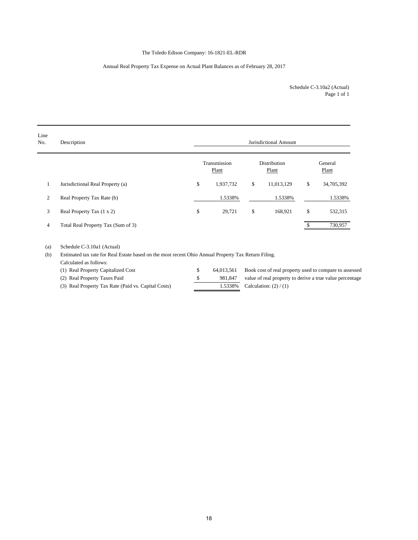# The Toledo Edison Company: 16-1821-EL-RDR

## Annual Real Property Tax Expense on Actual Plant Balances as of February 28, 2017

Page 1 of 1 Schedule C-3.10a2 (Actual)

| Line<br>No. | Description                                                                                                                                                                                                                                                                                                                                                                   |             | Jurisdictional Amount |                       |            |    |                                                                                                                                                                                                                                |  |  |  |  |  |
|-------------|-------------------------------------------------------------------------------------------------------------------------------------------------------------------------------------------------------------------------------------------------------------------------------------------------------------------------------------------------------------------------------|-------------|-----------------------|-----------------------|------------|----|--------------------------------------------------------------------------------------------------------------------------------------------------------------------------------------------------------------------------------|--|--|--|--|--|
|             |                                                                                                                                                                                                                                                                                                                                                                               |             | Transmission<br>Plant | Distribution<br>Plant |            |    | General<br>Plant                                                                                                                                                                                                               |  |  |  |  |  |
| 1           | Jurisdictional Real Property (a)                                                                                                                                                                                                                                                                                                                                              | \$          | 1,937,732             | \$                    | 11,013,129 | \$ | 34,705,392                                                                                                                                                                                                                     |  |  |  |  |  |
| 2           | Real Property Tax Rate (b)                                                                                                                                                                                                                                                                                                                                                    |             | 1.5338%               |                       | 1.5338%    |    | 1.5338%                                                                                                                                                                                                                        |  |  |  |  |  |
| 3           | Real Property Tax (1 x 2)                                                                                                                                                                                                                                                                                                                                                     | \$          | 29,721                | \$                    | 168,921    | \$ | 532,315                                                                                                                                                                                                                        |  |  |  |  |  |
| 4           | Total Real Property Tax (Sum of 3)                                                                                                                                                                                                                                                                                                                                            |             |                       |                       |            | S. | 730,957                                                                                                                                                                                                                        |  |  |  |  |  |
| (a)         | Schedule C-3.10a1 (Actual)                                                                                                                                                                                                                                                                                                                                                    |             |                       |                       |            |    |                                                                                                                                                                                                                                |  |  |  |  |  |
| (b)         | Estimated tax rate for Real Estate based on the most recent Ohio Annual Property Tax Return Filing.                                                                                                                                                                                                                                                                           |             |                       |                       |            |    |                                                                                                                                                                                                                                |  |  |  |  |  |
|             | Calculated as follows:                                                                                                                                                                                                                                                                                                                                                        |             |                       |                       |            |    |                                                                                                                                                                                                                                |  |  |  |  |  |
|             | (1) Real Property Capitalized Cost                                                                                                                                                                                                                                                                                                                                            | \$          | 64,013,561            |                       |            |    | Book cost of real property used to compare to assessed                                                                                                                                                                         |  |  |  |  |  |
|             | $(2)$ $\overline{1}$ $\overline{1}$ $\overline{1}$ $\overline{1}$ $\overline{1}$ $\overline{1}$ $\overline{1}$ $\overline{1}$ $\overline{1}$ $\overline{1}$ $\overline{1}$ $\overline{1}$ $\overline{1}$ $\overline{1}$ $\overline{1}$ $\overline{1}$ $\overline{1}$ $\overline{1}$ $\overline{1}$ $\overline{1}$ $\overline{1}$ $\overline{1}$ $\overline{1}$ $\overline{1}$ | $\triangle$ |                       |                       |            |    | $0.01047$ $1.017$ $1.017$ $1.017$ $1.017$ $1.017$ $1.017$ $1.017$ $1.017$ $1.017$ $1.017$ $1.017$ $1.017$ $1.017$ $1.017$ $1.017$ $1.017$ $1.017$ $1.017$ $1.017$ $1.017$ $1.017$ $1.017$ $1.017$ $1.017$ $1.017$ $1.017$ $1.$ |  |  |  |  |  |

(2) Real Property Taxes Paid  $\frac{\$}{\$}$  981,847 value of real property to derive a true value percentage (3) Real Property Tax Rate (Paid vs. Capital Costs) 1.5338% Calculation: (2) / (1)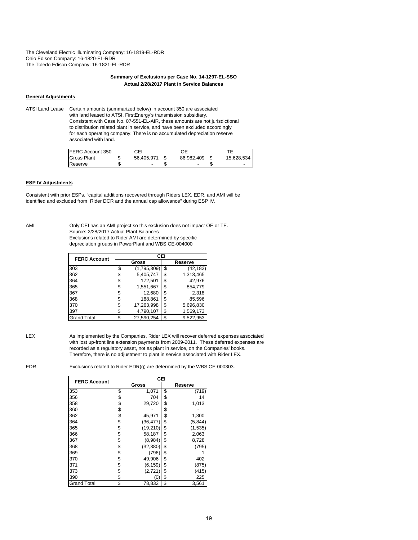The Cleveland Electric Illuminating Company: 16-1819-EL-RDR Ohio Edison Company: 16-1820-EL-RDR The Toledo Edison Company: 16-1821-EL-RDR

#### **Summary of Exclusions per Case No. 14-1297-EL-SSO Actual 2/28/2017 Plant in Service Balances**

## **General Adjustments**

ATSI Land Lease Certain amounts (summarized below) in account 350 are associated with land leased to ATSI, FirstEnergy's transmission subsidiary. Consistent with Case No. 07-551-EL-AIR, these amounts are not jurisdictional to distribution related plant in service, and have been excluded accordingly for each operating company. There is no accumulated depreciation reserve associated with land.

| FERC Account 350   |   | СEI        |                          |            |
|--------------------|---|------------|--------------------------|------------|
| <b>Gross Plant</b> |   | 56.405.971 | 86.982.409               | 15 628 534 |
| Reserve            | æ |            | $\overline{\phantom{a}}$ |            |

## **ESP IV Adjustments**

Consistent with prior ESPs, "capital additions recovered through Riders LEX, EDR, and AMI will be identified and excluded from Rider DCR and the annual cap allowance" during ESP IV.

AMI Only CEI has an AMI project so this exclusion does not impact OE or TE. Source: 2/28/2017 Actual Plant Balances Exclusions related to Rider AMI are determined by specific depreciation groups in PowerPlant and WBS CE-004000

| <b>FERC Account</b> | CEI |             |         |           |  |  |  |  |  |
|---------------------|-----|-------------|---------|-----------|--|--|--|--|--|
|                     |     | Gross       | Reserve |           |  |  |  |  |  |
| 303                 | \$  | (1,795,309) | \$      | (42, 183) |  |  |  |  |  |
| 362                 | \$  | 5,405,747   | \$      | 1,313,465 |  |  |  |  |  |
| 364                 | \$  | 172,501     | \$      | 42.976    |  |  |  |  |  |
| 365                 | \$  | 1,551,667   | \$      | 854,779   |  |  |  |  |  |
| 367                 | \$  | 12,680      | \$      | 2,318     |  |  |  |  |  |
| 368                 | \$  | 188,861     | \$      | 85,596    |  |  |  |  |  |
| 370                 | \$  | 17,263,998  | \$      | 5,696,830 |  |  |  |  |  |
| 397                 | \$  | 4,790,107   | \$      | 1,569,173 |  |  |  |  |  |
| <b>Grand Total</b>  | \$  | 27,590,254  | \$      | 9,522,953 |  |  |  |  |  |

LEX As implemented by the Companies, Rider LEX will recover deferred expenses associated with lost up-front line extension payments from 2009-2011. These deferred expenses are recorded as a regulatory asset, not as plant in service, on the Companies' books. Therefore, there is no adjustment to plant in service associated with Rider LEX.

EDR Exclusions related to Rider EDR(g) are determined by the WBS CE-000303.

| <b>FERC Account</b> | CEI             |                |
|---------------------|-----------------|----------------|
|                     | Gross           | Reserve        |
| 353                 | \$<br>1,071     | \$<br>(719)    |
| 356                 | \$<br>704       | \$<br>14       |
| 358                 | \$<br>29,720    | \$<br>1,013    |
| 360                 | \$              | \$             |
| 362                 | \$<br>45,971    | \$<br>1,300    |
| 364                 | \$<br>(36, 477) | \$<br>(5, 844) |
| 365                 | \$<br>(19,210)  | \$<br>(1, 535) |
| 366                 | \$<br>58,187    | \$<br>2,063    |
| 367                 | \$<br>(8,984)   | \$<br>8,728    |
| 368                 | \$<br>(32, 380) | \$<br>(795)    |
| 369                 | \$<br>(796)     | \$             |
| 370                 | \$<br>49,906    | \$<br>402      |
| 371                 | \$<br>(6, 159)  | \$<br>(875)    |
| 373                 | \$<br>(2, 721)  | \$<br>(415)    |
| 390                 | \$<br>(0        | \$<br>225      |
| <b>Grand Total</b>  | \$<br>78,832    | \$<br>3,561    |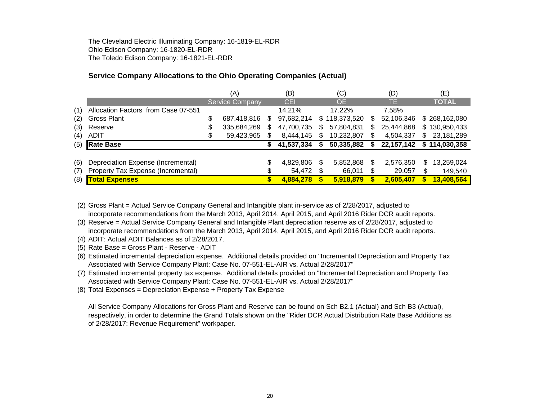The Cleveland Electric Illuminating Company: 16-1819-EL-RDR Ohio Edison Company: 16-1820-EL-RDR The Toledo Edison Company: 16-1821-EL-RDR

# **Service Company Allocations to the Ohio Operating Companies (Actual)**

|     |                                     |    | (A)                    |     | (B)        |     | (C)           |    | (D)          |    | (E)           |
|-----|-------------------------------------|----|------------------------|-----|------------|-----|---------------|----|--------------|----|---------------|
|     |                                     |    | <b>Service Company</b> |     | <b>CEI</b> |     | <b>OE</b>     |    | TE.          |    | <b>TOTAL</b>  |
| (1) | Allocation Factors from Case 07-551 |    |                        |     | 14.21%     |     | 17.22%        |    | 7.58%        |    |               |
| (2) | Gross Plant                         | \$ | 687,418,816            | \$. | 97,682,214 |     | \$118,373,520 | S  | 52,106,346   |    | \$268,162,080 |
| (3) | Reserve                             | S  | 335,684,269            | S.  | 47,700,735 |     | 57,804,831    | \$ | 25,444,868   |    | \$130,950,433 |
| (4) | <b>ADIT</b>                         |    | 59,423,965             |     | 8,444,145  |     | 10,232,807    |    | 4,504,337    | \$ | 23,181,289    |
| (5) | <b>Rate Base</b>                    |    |                        |     | 41,537,334 |     | 50,335,882    |    | 22, 157, 142 |    | \$114,030,358 |
|     |                                     |    |                        |     |            |     |               |    |              |    |               |
| (6) | Depreciation Expense (Incremental)  |    |                        |     | 4,829,806  | \$. | 5,852,868     | S  | 2,576,350    | S  | 13,259,024    |
| (7) | Property Tax Expense (Incremental)  |    |                        |     | 54,472     |     | 66,011        |    | 29,057       | \$ | 149,540       |
| (8) | <b>Total Expenses</b>               |    |                        |     | 4,884,278  |     | 5,918,879     |    | 2,605,407    |    | 13,408,564    |

(2) Gross Plant = Actual Service Company General and Intangible plant in-service as of 2/28/2017, adjusted to incorporate recommendations from the March 2013, April 2014, April 2015, and April 2016 Rider DCR audit reports.

(3) Reserve = Actual Service Company General and Intangible Plant depreciation reserve as of 2/28/2017, adjusted to incorporate recommendations from the March 2013, April 2014, April 2015, and April 2016 Rider DCR audit reports.

(4) ADIT: Actual ADIT Balances as of 2/28/2017.

(5) Rate Base = Gross Plant - Reserve - ADIT

(6) Estimated incremental depreciation expense. Additional details provided on "Incremental Depreciation and Property Tax Associated with Service Company Plant: Case No. 07-551-EL-AIR vs. Actual 2/28/2017"

(7) Estimated incremental property tax expense. Additional details provided on "Incremental Depreciation and Property Tax Associated with Service Company Plant: Case No. 07-551-EL-AIR vs. Actual 2/28/2017"

(8) Total Expenses = Depreciation Expense + Property Tax Expense

All Service Company Allocations for Gross Plant and Reserve can be found on Sch B2.1 (Actual) and Sch B3 (Actual), respectively, in order to determine the Grand Totals shown on the "Rider DCR Actual Distribution Rate Base Additions as of 2/28/2017: Revenue Requirement" workpaper.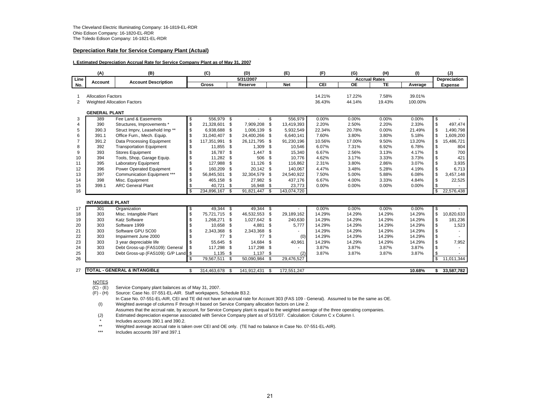#### **Depreciation Rate for Service Company Plant (Actual)**

#### **I. Estimated Depreciation Accrual Rate for Service Company Plant as of May 31, 2007**

|                | (A)                       | (B)                                       | (C)                           |      | (D)         |              | (E)         | (F)             | (G)                  | (H)             | (1)             |              | (J)                 |
|----------------|---------------------------|-------------------------------------------|-------------------------------|------|-------------|--------------|-------------|-----------------|----------------------|-----------------|-----------------|--------------|---------------------|
| Line           | <b>Account</b>            | <b>Account Description</b>                |                               |      | 5/31/2007   |              |             |                 | <b>Accrual Rates</b> |                 |                 |              | <b>Depreciation</b> |
| No.            |                           |                                           | Gross                         |      | Reserve     |              | <b>Net</b>  | CEI             | <b>OE</b>            | <b>TE</b>       | Average         |              | <b>Expense</b>      |
|                |                           |                                           |                               |      |             |              |             |                 |                      |                 |                 |              |                     |
|                | <b>Allocation Factors</b> |                                           |                               |      |             |              |             | 14.21%          | 17.22%               | 7.58%           | 39.01%          |              |                     |
| 2              |                           | <b>Weighted Allocation Factors</b>        |                               |      |             |              |             | 36.43%          | 44.14%               | 19.43%          | 100.00%         |              |                     |
|                | <b>GENERAL PLANT</b>      |                                           |                               |      |             |              |             |                 |                      |                 |                 |              |                     |
| 3              | 389                       | Fee Land & Easements                      | \$<br>556,979 \$              |      |             | \$           | 556,979     | 0.00%           | 0.00%                | 0.00%           | 0.00%           | \$           |                     |
| 4              | 390                       | Structures, Improvements *                | \$<br>21,328,601              | \$   | 7,909,208   | \$           | 13,419,393  | 2.20%           | 2.50%                | 2.20%           | 2.33%           | $\mathbb S$  | 497,474             |
| 5              | 390.3                     | Struct Imprv, Leasehold Imp <sup>**</sup> | \$<br>6,938,688               | - \$ | 1,006,139   | \$           | 5,932,549   | 22.34%          | 20.78%               | 0.00%           | 21.49%          | \$           | 1,490,798           |
| 6              | 391.1                     | Office Furn., Mech. Equip.                | \$<br>31,040,407              | \$   | 24,400,266  | \$           | 6.640.141   | 7.60%           | 3.80%                | 3.80%           | 5.18%           | \$           | 1,609,200           |
| $\overline{7}$ | 391.2                     | Data Processing Equipment                 | \$<br>117,351,991             | \$   | 26,121,795  | \$           | 91,230,196  | 10.56%          | 17.00%               | 9.50%           | 13.20%          | \$           | 15,486,721          |
| 8              | 392                       | <b>Transportation Equipment</b>           | \$<br>11,855                  | \$   | 1,309       | \$           | 10,546      | 6.07%           | 7.31%                | 6.92%           | 6.78%           | \$           | 804                 |
| 9              | 393                       | <b>Stores Equipment</b>                   | \$<br>16,787                  | - \$ | 1,447       | \$           | 15,340      | 6.67%           | 2.56%                | 3.13%           | 4.17%           | \$           | 700                 |
| 10             | 394                       | Tools, Shop, Garage Equip.                | \$<br>11,282 \$               |      | 506         | \$           | 10.776      | 4.62%           | 3.17%                | 3.33%           | 3.73%           | \$           | 421                 |
| 11             | 395                       | <b>Laboratory Equipment</b>               | \$<br>127,988                 | \$   | 11,126      | \$           | 116,862     | 2.31%           | 3.80%                | 2.86%           | 3.07%           | \$           | 3,935               |
| 12             | 396                       | Power Operated Equipment                  | \$<br>160.209                 | \$   | 20,142      | \$           | 140.067     | 4.47%           | 3.48%                | 5.28%           | 4.19%           | \$           | 6,713               |
| 13             | 397                       | Communication Equipment ***               | \$<br>56,845,501              | \$   | 32,304,579  | \$           | 24,540,922  | 7.50%           | 5.00%                | 5.88%           | 6.08%           | \$           | 3,457,148           |
| 14             | 398                       | Misc. Equipment                           | \$<br>465,158                 | - \$ | 27,982      | \$           | 437.176     | 6.67%           | 4.00%                | 3.33%           | 4.84%           | \$           | 22,525              |
| 15             | 399.1                     | <b>ARC General Plant</b>                  | \$<br>40,721                  | \$   | 16,948      | \$           | 23,773      | 0.00%           | 0.00%                | 0.00%           | 0.00%           | \$           |                     |
| 16             |                           |                                           | \$<br>234,896,167             | - \$ | 91,821,447  | \$           | 143,074,720 |                 |                      |                 |                 | \$           | 22,576,438          |
|                | <b>INTANGIBLE PLANT</b>   |                                           |                               |      |             |              |             |                 |                      |                 |                 |              |                     |
|                |                           |                                           |                               |      |             |              |             |                 |                      |                 |                 |              |                     |
| 17             | 301<br>303                | Organization                              | \$<br>49,344 \$<br>75.721.715 |      | 49,344      | \$           |             | 0.00%<br>14.29% | 0.00%<br>14.29%      | 0.00%<br>14.29% | 0.00%<br>14.29% | \$           | 10.820.633          |
| 18             |                           | Misc. Intangible Plant                    | \$                            | - \$ | 46,532,553  | \$           | 29,189,162  |                 |                      |                 |                 | \$           |                     |
| 19             | 303                       | Katz Software<br>Software 1999            | \$<br>1.268.271 \$            |      | 1.027.642   | \$           | 240.630     | 14.29%          | 14.29%               | 14.29%          | 14.29%          | \$           | 181.236             |
| 20             | 303                       | Software GPU SC00                         | \$<br>10,658 \$               |      | 4,881       | -S           | 5,777       | 14.29%          | 14.29%               | 14.29%          | 14.29%          | \$           | 1,523               |
| 21             | 303                       |                                           | \$<br>2,343,368               | \$   | 2,343,368   | \$           |             | 14.29%          | 14.29%               | 14.29%          | 14.29%          | \$           |                     |
| 22             | 303                       | Impairment June 2000                      | \$<br>77                      | \$   | 77          | \$           | (0)         | 14.29%          | 14.29%               | 14.29%          | 14.29%          | \$           |                     |
| 23             | 303                       | 3 year depreciable life                   | \$<br>55.645                  | \$   | 14.684      | \$           | 40,961      | 14.29%          | 14.29%               | 14.29%          | 14.29%          | \$           | 7,952               |
| 24             | 303                       | Debt Gross-up (FAS109): General           | \$<br>117,298                 | \$   | 117,298     | \$           |             | 3.87%           | 3.87%                | 3.87%           | 3.87%           | \$           |                     |
| 25             | 303                       | Debt Gross-up (FAS109): G/P Land \$       | 1,135                         | \$   | 1,137       | \$           | (2)         | 3.87%           | 3.87%                | 3.87%           | 3.87%           | \$           |                     |
| 26             |                           |                                           | \$<br>79,567,511 \$           |      | 50,090,984  | $\mathbf{s}$ | 29,476,527  |                 |                      |                 |                 | $\mathbf{s}$ | 11,011,344          |
| 27             |                           | <b>TOTAL - GENERAL &amp; INTANGIBLE</b>   | \$<br>314,463,678             | - \$ | 141,912,431 | \$           | 172,551,247 |                 |                      |                 | 10.68%          | \$           | 33,587,782          |

#### NOTES

 $(C) - (E)$  $\overline{(C)}$  - (E) Service Company plant balances as of May 31, 2007.<br>(F) - (H) Source: Case No. 07-551-EL-AIR. Staff workpapers, t

Source: Case No. 07-551-EL-AIR. Staff workpapers, Schedule B3.2.

In Case No. 07-551-EL-AIR, CEI and TE did not have an accrual rate for Account 303 (FAS 109 - General). Assumed to be the same as OE. (I) Weighted average of columns F through H based on Service Company allocation factors on Line 2.

Assumes that the accrual rate, by account, for Service Company plant is equal to the weighted average of the three operating companies.

(J) Estimated depreciation expense associated with Service Company plant as of 5/31/07. Calculation: Column C x Column I.

\*Includes accounts 390.1 and 390.2.

 Weighted average accrual rate is taken over CEI and OE only. (TE had no balance in Case No. 07-551-EL-AIR). \*\*

\*\*\*Includes accounts 397 and 397.1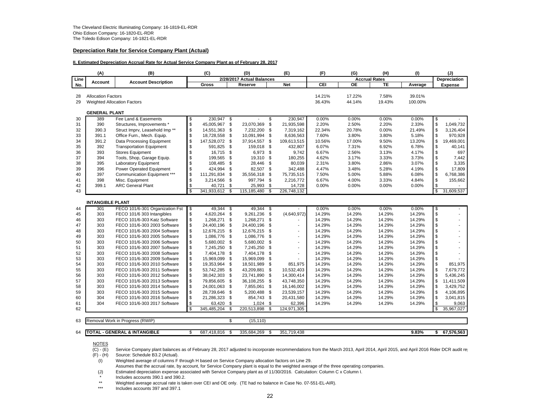#### **Depreciation Rate for Service Company Plant (Actual)**

#### **II. Estimated Depreciation Accrual Rate for Actual Service Company Plant as of February 28, 2017**

|      | (A)                       | (B)                                       |                | (C)            |          | (D)                       |      | (E)                      | (F)    | (G)                  | (H)    | (1)     |             | (J)            |
|------|---------------------------|-------------------------------------------|----------------|----------------|----------|---------------------------|------|--------------------------|--------|----------------------|--------|---------|-------------|----------------|
| Line | <b>Account</b>            | <b>Account Description</b>                |                |                |          | 2/28/2017 Actual Balances |      |                          |        | <b>Accrual Rates</b> |        |         |             | Depreciation   |
| No.  |                           |                                           |                | Gross          |          | Reserve                   |      | <b>Net</b>               | CEI    | <b>OE</b>            | TE     | Average |             | <b>Expense</b> |
| 28   | <b>Allocation Factors</b> |                                           |                |                |          |                           |      |                          | 14.21% | 17.22%               | 7.58%  | 39.01%  |             |                |
| 29   |                           | <b>Weighted Allocation Factors</b>        |                |                |          |                           |      |                          | 36.43% | 44.14%               | 19.43% | 100.00% |             |                |
|      |                           |                                           |                |                |          |                           |      |                          |        |                      |        |         |             |                |
|      | <b>GENERAL PLANT</b>      |                                           |                |                |          |                           |      |                          |        |                      |        |         |             |                |
| 30   | 389                       | Fee Land & Easements                      | \$             | 230,947 \$     |          |                           | \$   | 230,947                  | 0.00%  | 0.00%                | 0.00%  | 0.00%   | \$          |                |
| 31   | 390                       | Structures, Improvements *                | \$             | 45,005,967 \$  |          | 23,070,369                | \$   | 21,935,598               | 2.20%  | 2.50%                | 2.20%  | 2.33%   | \$          | 1,049,732      |
| 32   | 390.3                     | Struct Imprv, Leasehold Imp <sup>**</sup> | \$             | 14,551,363 \$  |          | 7,232,200                 | \$   | 7,319,162                | 22.34% | 20.78%               | 0.00%  | 21.49%  | \$          | 3,126,404      |
| 33   | 391.1                     | Office Furn., Mech. Equip.                | \$             | 18,728,558     | <b>S</b> | 10.091.994                | \$   | 8,636,563                | 7.60%  | 3.80%                | 3.80%  | 5.18%   | \$          | 970.928        |
| 34   | 391.2                     | Data Processing Equipment                 | \$             | 147,528,072 \$ |          | 37,914,557                | \$   | 109,613,515              | 10.56% | 17.00%               | 9.50%  | 13.20%  | \$          | 19,469,001     |
| 35   | 392                       | <b>Transportation Equipment</b>           | \$             | 591,825        | - \$     | 159,018                   | - \$ | 432,807                  | 6.07%  | 7.31%                | 6.92%  | 6.78%   | \$          | 40,141         |
| 36   | 393                       | <b>Stores Equipment</b>                   | \$             | 16,715 \$      |          | 6.973 \$                  |      | 9.742                    | 6.67%  | 2.56%                | 3.13%  | 4.17%   | \$          | 697            |
| 37   | 394                       | Tools, Shop, Garage Equip.                | \$             | 199,565 \$     |          | 19,310 \$                 |      | 180,255                  | 4.62%  | 3.17%                | 3.33%  | 3.73%   | \$          | 7,442          |
| 38   | 395                       | <b>Laboratory Equipment</b>               | \$             | 108,485 \$     |          | 28,446                    | - \$ | 80,039                   | 2.31%  | 3.80%                | 2.86%  | 3.07%   | \$          | 3,335          |
| 39   | 396                       | Power Operated Equipment                  | \$             | 424,994        | \$       | 82,507 \$                 |      | 342,488                  | 4.47%  | 3.48%                | 5.28%  | 4.19%   | \$          | 17,809         |
| 40   | 397                       | Communication Equipment ***               | \$             | 111,291,834    | - \$     | 35,556,318                | \$   | 75,735,515               | 7.50%  | 5.00%                | 5.88%  | 6.08%   | \$          | 6,768,386      |
| 41   | 398                       | Misc. Equipment                           | \$             | 3,214,566 \$   |          | 997,794                   | \$   | 2,216,772                | 6.67%  | 4.00%                | 3.33%  | 4.84%   | \$          | 155,662        |
| 42   | 399.1                     | <b>ARC General Plant</b>                  | \$             | 40,721         | <b>S</b> | 25,993                    | \$   | 14,728                   | 0.00%  | 0.00%                | 0.00%  | 0.00%   | \$          |                |
| 43   |                           |                                           | $\mathfrak{s}$ | 341,933,612    | \$       | 115,185,480               | \$   | 226,748,132              |        |                      |        |         | s,          | 31,609,537     |
|      | <b>INTANGIBLE PLANT</b>   |                                           |                |                |          |                           |      |                          |        |                      |        |         |             |                |
| 44   | 301                       | FECO 101/6-301 Organization Fst           | \$             | 49,344 \$      |          | 49,344 \$                 |      |                          | 0.00%  | 0.00%                | 0.00%  | 0.00%   | \$          |                |
| 45   | 303                       | FECO 101/6 303 Intangibles                | \$             | 4,620,264 \$   |          | 9,261,236 \$              |      | (4,640,972)              | 14.29% | 14.29%               | 14.29% | 14.29%  | \$          |                |
| 46   | 303                       | FECO 101/6-303 Katz Software              | \$             | 1,268,271 \$   |          | 1,268,271                 | - \$ |                          | 14.29% | 14.29%               | 14.29% | 14.29%  | $\mathbb S$ |                |
| 47   | 303                       | FECO 101/6-303 2003 Software              | \$             | 24,400,196     | \$       | 24,400,196                | \$   |                          | 14.29% | 14.29%               | 14.29% | 14.29%  | \$          |                |
| 48   | 303                       | FECO 101/6-303 2004 Software              | \$             | 12,676,215     | \$       | 12,676,215                | \$   | $\blacksquare$           | 14.29% | 14.29%               | 14.29% | 14.29%  | \$          | $\blacksquare$ |
| 49   | 303                       | FECO 101/6-303 2005 Software              | \$             | 1,086,776 \$   |          | 1,086,776                 | \$   | $\blacksquare$           | 14.29% | 14.29%               | 14.29% | 14.29%  | \$          | $\sim$         |
| 50   | 303                       | FECO 101/6-303 2006 Software              | \$             | 5,680,002 \$   |          | 5,680,002                 | - \$ | $\blacksquare$           | 14.29% | 14.29%               | 14.29% | 14.29%  | \$          | $\overline{a}$ |
| 51   | 303                       | FECO 101/6-303 2007 Software              | \$             | 7,245,250 \$   |          | 7,245,250                 | \$   | $\overline{\phantom{a}}$ | 14.29% | 14.29%               | 14.29% | 14.29%  | \$          |                |
| 52   | 303                       | FECO 101/6-303 2008 Software              | \$             | 7,404,178      | - \$     | 7,404,178                 | \$   | $\blacksquare$           | 14.29% | 14.29%               | 14.29% | 14.29%  | \$          |                |
| 53   | 303                       | FECO 101/6-303 2009 Software              | $\mathbb{S}$   | 15,969,099 \$  |          | 15,969,099                | \$   |                          | 14.29% | 14.29%               | 14.29% | 14.29%  | \$          |                |
| 54   | 303                       | FECO 101/6-303 2010 Software              | \$             | 19,353,964 \$  |          | 18,501,989                | -\$  | 851.975                  | 14.29% | 14.29%               | 14.29% | 14.29%  | \$          | 851.975        |
| 55   | 303                       | FECO 101/6-303 2011 Software              | \$             | 53,742,285     | - \$     | 43,209,881                | \$   | 10,532,403               | 14.29% | 14.29%               | 14.29% | 14.29%  | \$          | 7,679,772      |
| 56   | 303                       | FECO 101/6-303 2012 Software              | \$             | 38,042,303     | \$       | 23,741,890                | -\$  | 14,300,414               | 14.29% | 14.29%               | 14.29% | 14.29%  | \$          | 5,436,245      |
| 57   | 303                       | FECO 101/6-303 2013 Software              | \$             | 79,856,605     | \$       | 36,108,255                | -\$  | 43,748,350               | 14.29% | 14.29%               | 14.29% | 14.29%  | \$          | 11,411,509     |
| 58   | 303                       | FECO 101/6-303 2014 Software              | \$             | 24,001,063 \$  |          | 7,855,061 \$              |      | 16,146,002               | 14.29% | 14.29%               | 14.29% | 14.29%  | \$          | 3,429,752      |
| 59   | 303                       | FECO 101/6-303 2015 Software              | \$             | 28,739,646     | - \$     | 5,200,488                 | - \$ | 23,539,157               | 14.29% | 14.29%               | 14.29% | 14.29%  | \$          | 4,106,895      |
| 60   | 304                       | FECO 101/6-303 2016 Software              | \$             | 21.286.323 \$  |          | 854.743 \$                |      | 20,431,580               | 14.29% | 14.29%               | 14.29% | 14.29%  | \$          | 3.041.815      |
| 61   | 304                       | FECO 101/6-303 2017 Software              | \$             | 63,420         | \$       | 1,024                     | \$   | 62,396                   | 14.29% | 14.29%               | 14.29% | 14.29%  | \$          | 9,063          |
| 62   |                           |                                           | $\mathfrak{L}$ | 345,485,204    | \$       | 220,513,898               | \$   | 124,971,305              |        |                      |        |         | \$          | 35,967,027     |
|      |                           |                                           |                |                |          |                           |      |                          |        |                      |        |         |             |                |
| 63   |                           | Removal Work in Progress (RWIP)           |                |                | \$       | (15, 110)                 |      |                          |        |                      |        |         |             |                |
|      |                           |                                           |                |                |          |                           |      |                          |        |                      |        |         |             |                |
| 64   |                           | <b>TOTAL - GENERAL &amp; INTANGIBLE</b>   | \$             | 687,418,816    | - \$     | 335,684,269               | - \$ | 351,719,438              |        |                      |        | 9.83%   | \$          | 67,576,563     |

NOTES

 $\overline{C}$  - (E) Service Company plant balances as of February 28, 2017 adjusted to incorporate recommendations from the March 2013, April 2014, April 2015, and April 2016 Rider DCR audit rep (F) - (H) Source: Schedule B3.2

Source: Schedule B3.2 (Actual).

(I) Weighted average of columns F through H based on Service Company allocation factors on Line 29.

Assumes that the accrual rate, by account, for Service Company plant is equal to the weighted average of the three operating companies.

(J) Estimated depreciation expense associated with Service Company plant as of 11/30/2016. Calculation: Column C x Column I.

\*Includes accounts 390.1 and 390.2.

\*\*Weighted average accrual rate is taken over CEI and OE only. (TE had no balance in Case No. 07-551-EL-AIR).

\*\*\*Includes accounts 397 and 397.1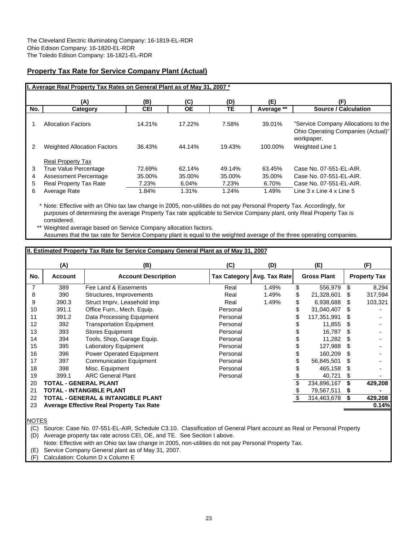# **Property Tax Rate for Service Company Plant (Actual)**

|                  | I. Average Real Property Tax Rates on General Plant as of May 31, 2007 *                                             |                                    |                                    |                                    |                                    |                                                                                                           |
|------------------|----------------------------------------------------------------------------------------------------------------------|------------------------------------|------------------------------------|------------------------------------|------------------------------------|-----------------------------------------------------------------------------------------------------------|
|                  | (A)                                                                                                                  | (B)                                | (C)                                | (D)                                | (E)                                | (F)                                                                                                       |
| No.              | Category                                                                                                             | <b>CEI</b>                         | <b>OE</b>                          | TE.                                | Average **                         | <b>Source / Calculation</b>                                                                               |
|                  | <b>Allocation Factors</b>                                                                                            | 14.21%                             | 17.22%                             | 7.58%                              | 39.01%                             | "Service Company Allocations to the<br>Ohio Operating Companies (Actual)"<br>workpaper.                   |
| 2                | <b>Weighted Allocation Factors</b>                                                                                   | 36.43%                             | 44.14%                             | 19.43%                             | 100.00%                            | <b>Weighted Line 1</b>                                                                                    |
| 3<br>4<br>5<br>6 | <b>Real Property Tax</b><br>True Value Percentage<br>Assessment Percentage<br>Real Property Tax Rate<br>Average Rate | 72.69%<br>35.00%<br>7.23%<br>1.84% | 62.14%<br>35.00%<br>6.04%<br>1.31% | 49.14%<br>35.00%<br>7.23%<br>1.24% | 63.45%<br>35.00%<br>6.70%<br>1.49% | Case No. 07-551-EL-AIR.<br>Case No. 07-551-EL-AIR.<br>Case No. 07-551-EL-AIR.<br>Line 3 x Line 4 x Line 5 |

\* Note: Effective with an Ohio tax law change in 2005, non-utilities do not pay Personal Property Tax. Accordingly, for purposes of determining the average Property Tax rate applicable to Service Company plant, only Real Property Tax is considered.

Weighted average based on Service Company allocation factors. Assumes that the tax rate for Service Company plant is equal to the weighted average of the three operating companies.

# **II. Estimated Property Tax Rate for Service Company General Plant as of May 31, 2007 (A) (B) (C) (D) (E) (F)** 7 389 Fee Land & Easements Real 1.49% \$ 556,979 \$ 8,294 8 390 Structures, Improvements Real 1.49% \$ 21,328,601 \$ 317,594 9 390.3 Struct Imprv, Leasehold Imp Real 1.49% \$ 6,938,688 \$ 103,321 10 391.1 Office Furn., Mech. Equip. **Personal 5 31,040,407** \$ 11 391.2 Data Processing Equipment **Personal** Personal \$ 117,351,991 \$ 12 392 Transportation Equipment **12** Personal 9 11,855 \$ -13 393 Stores Equipment **15 Contained Access 16,787 \$** -14 394 Tools, Shop, Garage Equip. Personal \$ 11,282 \$ -15 395 Laboratory Equipment **15** Personal 15 395 Babaratory Equipment 16 396 Power Operated Equipment 16 Personal 16 S 160,209 \$<br>17 397 Communication Equipment 17 Personal 17 S 56,845,501 \$ 17 397 Communication Equipment **17** Personal 5 56,845,501 \$ 18 398 Misc. Equipment Personal \$ 465,158 \$ - 19 399.1 ARC General Plant Personal <u>\$ 40,721 \$</u><br>20 **TOTAL - GENERAL PLANT** Personal \$ 234,896,167 \$ 20 **TOTAL - GENERAL PLANT** \$ 234,896,167 **\$ 429,208** 21 **TOTAL - INTANGIBLE PLANT** \$ 79,567,511 **\$ -** 22 **TOTAL - GENERAL & INTANGIBLE PLANT** \$ 314,463,678 **\$ 429,208** 23 **Average Effective Real Property Tax Rate 0.14% No. | Account | Account Description | Tax Category | Avg. Tax Rate | Gross Plant | Property Tax**

NOTES

(C) Source: Case No. 07-551-EL-AIR, Schedule C3.10. Classification of General Plant account as Real or Personal Property

(D) Average property tax rate across CEI, OE, and TE. See Section I above.

Note: Effective with an Ohio tax law change in 2005, non-utilities do not pay Personal Property Tax.

(E) Service Company General plant as of May 31, 2007.

(F) Calculation: Column D x Column E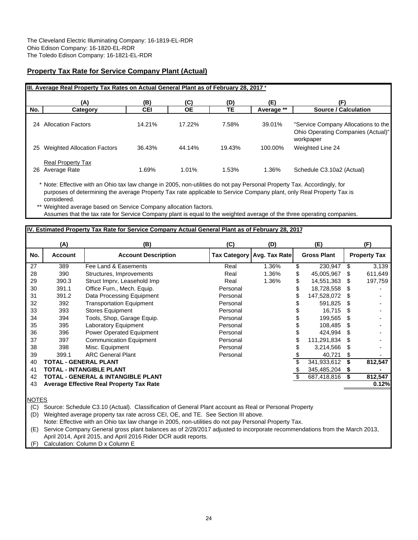# **Property Tax Rate for Service Company Plant (Actual)**

|     | III. Average Real Property Tax Rates on Actual General Plant as of February 28, 2017 * |            |           |        |            |                                                                           |
|-----|----------------------------------------------------------------------------------------|------------|-----------|--------|------------|---------------------------------------------------------------------------|
|     | (A)                                                                                    | (B)        | (C)       | (D)    | (E)        | (F)                                                                       |
| No. | Category                                                                               | <b>CEI</b> | <b>OE</b> | TE     | Average ** | <b>Source / Calculation</b>                                               |
| 24  | <b>Allocation Factors</b>                                                              | 14.21%     | 17.22%    | 7.58%  | 39.01%     | "Service Company Allocations to the<br>Ohio Operating Companies (Actual)" |
| 25  | <b>Weighted Allocation Factors</b>                                                     | 36.43%     | 44.14%    | 19.43% | 100.00%    | workpaper<br>Weighted Line 24                                             |
| 26  | <b>Real Property Tax</b><br>Average Rate                                               | 1.69%      | 1.01%     | 1.53%  | 1.36%      | Schedule C3.10a2 (Actual)                                                 |

\* Note: Effective with an Ohio tax law change in 2005, non-utilities do not pay Personal Property Tax. Accordingly, for purposes of determining the average Property Tax rate applicable to Service Company plant, only Real Property Tax is considered.

\*\* Weighted average based on Service Company allocation factors. Assumes that the tax rate for Service Company plant is equal to the weighted average of the three operating companies.

# **IV. Estimated Property Tax Rate for Service Company Actual General Plant as of February 28, 2017**

|     | (A)                   | (B)                                             | (C)      | (D)                          | (E)                |     | (F)                 |
|-----|-----------------------|-------------------------------------------------|----------|------------------------------|--------------------|-----|---------------------|
| No. | <b>Account</b>        | <b>Account Description</b>                      |          | Tax Category   Avg. Tax Rate | <b>Gross Plant</b> |     | <b>Property Tax</b> |
| 27  | 389                   | Fee Land & Easements                            | Real     | 1.36%                        | \$<br>230,947      | \$. | 3,139               |
| 28  | 390                   | Structures, Improvements                        | Real     | 1.36%                        | \$<br>45,005,967   | S   | 611,649             |
| 29  | 390.3                 | Struct Imprv, Leasehold Imp                     | Real     | 1.36%                        | \$<br>14,551,363   | S   | 197,759             |
| 30  | 391.1                 | Office Furn., Mech. Equip.                      | Personal |                              | 18,728,558         | S   |                     |
| 31  | 391.2                 | Data Processing Equipment                       | Personal |                              | 147,528,072        |     |                     |
| 32  | 392                   | <b>Transportation Equipment</b>                 | Personal |                              | 591.825            | S   |                     |
| 33  | 393                   | <b>Stores Equipment</b>                         | Personal |                              | 16.715             | S   |                     |
| 34  | 394                   | Tools, Shop, Garage Equip.                      | Personal |                              | 199,565            | S   |                     |
| 35  | 395                   | <b>Laboratory Equipment</b>                     | Personal |                              | 108,485            | S   |                     |
| 36  | 396                   | <b>Power Operated Equipment</b>                 | Personal |                              | 424,994            | S   |                     |
| 37  | 397                   | <b>Communication Equipment</b>                  | Personal |                              | 111,291,834        | S   |                     |
| 38  | 398                   | Misc. Equipment                                 | Personal |                              | 3,214,566          | S   |                     |
| 39  | 399.1                 | <b>ARC General Plant</b>                        | Personal |                              | 40,721             | S   |                     |
| 40  | TOTAL - GENERAL PLANT |                                                 |          |                              | 341,933,612        |     | 812,547             |
| 41  |                       | TOTAL - INTANGIBLE PLANT                        |          |                              | 345,485,204        | S   |                     |
| 42  |                       | <b>TOTAL - GENERAL &amp; INTANGIBLE PLANT</b>   |          |                              | 687,418,816        |     | 812,547             |
| 43  |                       | <b>Average Effective Real Property Tax Rate</b> |          |                              |                    |     | 0.12%               |
|     |                       |                                                 |          |                              |                    |     |                     |

NOTES

(C) Source: Schedule C3.10 (Actual). Classification of General Plant account as Real or Personal Property

(D) Weighted average property tax rate across CEI, OE, and TE. See Section III above.

Note: Effective with an Ohio tax law change in 2005, non-utilities do not pay Personal Property Tax.

(E) Service Company General gross plant balances as of 2/28/2017 adjusted to incorporate recommendations from the March 2013, April 2014, April 2015, and April 2016 Rider DCR audit reports.

(F) Calculation: Column D x Column E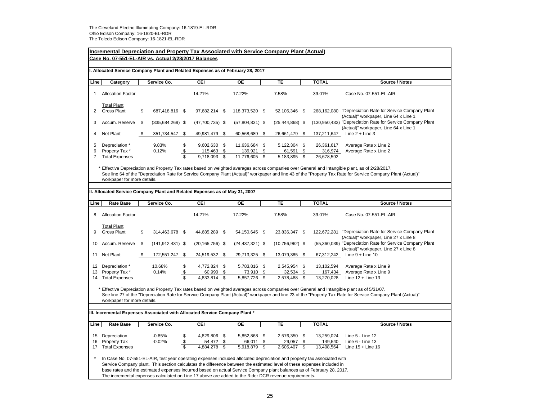|                | Incremental Depreciation and Property Tax Associated with Service Company Plant (Actual)                                                                                                                                                          |      |                      |                         |                         |                                |     |                           |      |                       |                                                                                                                                                               |
|----------------|---------------------------------------------------------------------------------------------------------------------------------------------------------------------------------------------------------------------------------------------------|------|----------------------|-------------------------|-------------------------|--------------------------------|-----|---------------------------|------|-----------------------|---------------------------------------------------------------------------------------------------------------------------------------------------------------|
|                | Case No. 07-551-EL-AIR vs. Actual 2/28/2017 Balances                                                                                                                                                                                              |      |                      |                         |                         |                                |     |                           |      |                       |                                                                                                                                                               |
|                |                                                                                                                                                                                                                                                   |      |                      |                         |                         |                                |     |                           |      |                       |                                                                                                                                                               |
|                | Allocated Service Company Plant and Related Expenses as of February 28, 2017                                                                                                                                                                      |      |                      |                         |                         |                                |     |                           |      |                       |                                                                                                                                                               |
| Line           | Category                                                                                                                                                                                                                                          |      | Service Co.          |                         | CEI                     | <b>OE</b>                      |     | TE                        |      | <b>TOTAL</b>          | Source / Notes                                                                                                                                                |
|                |                                                                                                                                                                                                                                                   |      |                      |                         |                         |                                |     |                           |      |                       |                                                                                                                                                               |
|                | <b>Allocation Factor</b>                                                                                                                                                                                                                          |      |                      |                         | 14.21%                  | 17.22%                         |     | 7.58%                     |      | 39.01%                | Case No. 07-551-EL-AIR                                                                                                                                        |
|                |                                                                                                                                                                                                                                                   |      |                      |                         |                         |                                |     |                           |      |                       |                                                                                                                                                               |
| 2              | <b>Total Plant</b><br><b>Gross Plant</b>                                                                                                                                                                                                          | \$   | 687,418,816 \$       |                         | 97,682,214 \$           | 118,373,520 \$                 |     | 52,106,346 \$             |      |                       | 268,162,080 "Depreciation Rate for Service Company Plant                                                                                                      |
|                |                                                                                                                                                                                                                                                   |      |                      |                         |                         |                                |     |                           |      |                       | (Actual)" workpaper, Line 64 x Line 1                                                                                                                         |
| 3              | Accum. Reserve                                                                                                                                                                                                                                    | - \$ | $(335, 684, 269)$ \$ |                         | $(47,700,735)$ \$       | $(57,804,831)$ \$              |     | $(25, 444, 868)$ \$       |      |                       | (130,950,433) "Depreciation Rate for Service Company Plant                                                                                                    |
|                |                                                                                                                                                                                                                                                   |      |                      |                         |                         |                                |     |                           |      |                       | (Actual)" workpaper, Line 64 x Line 1                                                                                                                         |
| 4              | Net Plant                                                                                                                                                                                                                                         | \$   | 351,734,547          | \$                      | 49,981,479              | \$<br>60,568,689               | \$  | 26,661,479                | - \$ | 137,211,647           | Line $2 +$ Line 3                                                                                                                                             |
|                |                                                                                                                                                                                                                                                   |      |                      |                         |                         |                                |     |                           |      |                       |                                                                                                                                                               |
| 5<br>6         | Depreciation *<br>Property Tax*                                                                                                                                                                                                                   |      | 9.83%<br>0.12%       | \$<br>\$                | 9,602,630 \$<br>115,463 | \$<br>11,636,684 \$<br>139,921 | \$  | 5,122,304 \$<br>61,591 \$ |      | 26,361,617<br>316,974 | Average Rate x Line 2<br>Average Rate x Line 2                                                                                                                |
| $\overline{7}$ | <b>Total Expenses</b>                                                                                                                                                                                                                             |      |                      | $\overline{\mathbf{s}}$ | 9,718,093               | \$<br>11,776,605               | \$  | 5,183,895 \$              |      | 26,678,592            |                                                                                                                                                               |
|                |                                                                                                                                                                                                                                                   |      |                      |                         |                         |                                |     |                           |      |                       |                                                                                                                                                               |
|                |                                                                                                                                                                                                                                                   |      |                      |                         |                         |                                |     |                           |      |                       | * Effective Depreciation and Property Tax rates based on weighted averages across companies over General and Intangible plant, as of 2/28/2017.               |
|                |                                                                                                                                                                                                                                                   |      |                      |                         |                         |                                |     |                           |      |                       | See line 64 of the "Depreciation Rate for Service Company Plant (Actual)" workpaper and line 43 of the "Property Tax Rate for Service Company Plant (Actual)" |
|                | workpaper for more details.                                                                                                                                                                                                                       |      |                      |                         |                         |                                |     |                           |      |                       |                                                                                                                                                               |
|                |                                                                                                                                                                                                                                                   |      |                      |                         |                         |                                |     |                           |      |                       |                                                                                                                                                               |
|                | II. Allocated Service Company Plant and Related Expenses as of May 31, 2007                                                                                                                                                                       |      |                      |                         |                         |                                |     |                           |      |                       |                                                                                                                                                               |
| Line           | <b>Rate Base</b>                                                                                                                                                                                                                                  |      | Service Co.          |                         | CEI                     | <b>OE</b>                      |     | <b>TE</b>                 |      | <b>TOTAL</b>          | Source / Notes                                                                                                                                                |
|                |                                                                                                                                                                                                                                                   |      |                      |                         |                         |                                |     |                           |      |                       |                                                                                                                                                               |
| 8              | <b>Allocation Factor</b>                                                                                                                                                                                                                          |      |                      |                         | 14.21%                  | 17.22%                         |     | 7.58%                     |      | 39.01%                | Case No. 07-551-EL-AIR                                                                                                                                        |
|                |                                                                                                                                                                                                                                                   |      |                      |                         |                         |                                |     |                           |      |                       |                                                                                                                                                               |
|                |                                                                                                                                                                                                                                                   |      |                      |                         |                         |                                |     |                           |      |                       |                                                                                                                                                               |
|                | <b>Total Plant</b>                                                                                                                                                                                                                                |      |                      |                         |                         |                                |     |                           |      |                       |                                                                                                                                                               |
| 9              | <b>Gross Plant</b>                                                                                                                                                                                                                                | \$   | 314,463,678 \$       |                         | 44,685,289 \$           | 54,150,645 \$                  |     | 23,836,347 \$             |      | 122,672,281           | "Depreciation Rate for Service Company Plant                                                                                                                  |
| 10             | Accum. Reserve                                                                                                                                                                                                                                    | \$   | $(141, 912, 431)$ \$ |                         | $(20, 165, 756)$ \$     | $(24, 437, 321)$ \$            |     | $(10, 756, 962)$ \$       |      |                       | (Actual)" workpaper, Line 27 x Line 8<br>(55,360,039) "Depreciation Rate for Service Company Plant                                                            |
|                |                                                                                                                                                                                                                                                   |      |                      |                         |                         |                                |     |                           |      |                       | (Actual)" workpaper, Line 27 x Line 8                                                                                                                         |
| 11             | Net Plant                                                                                                                                                                                                                                         | \$   | 172,551,247          | \$                      | 24,519,532              | \$<br>29,713,325               | -\$ | 13,079,385 \$             |      | 67,312,242            | Line $9 +$ Line 10                                                                                                                                            |
|                |                                                                                                                                                                                                                                                   |      |                      |                         |                         |                                |     |                           |      |                       |                                                                                                                                                               |
| 12             | Depreciation *                                                                                                                                                                                                                                    |      | 10.68%               | \$                      | 4,772,824 \$            | 5,783,816 \$                   |     | 2,545,954 \$              |      | 13,102,594            | Average Rate x Line 9                                                                                                                                         |
| 13             | Property Tax *                                                                                                                                                                                                                                    |      | 0.14%                | \$                      | 60,990                  | \$<br>73,910                   | \$  | 32,534 \$                 |      | 167,434               | Average Rate x Line 9                                                                                                                                         |
|                | 14 Total Expenses                                                                                                                                                                                                                                 |      |                      | $\overline{\mathbb{S}}$ | 4,833,814               | \$<br>5,857,726                | \$  | 2,578,488                 | \$   | 13,270,028            | Line $12 +$ Line 13                                                                                                                                           |
|                |                                                                                                                                                                                                                                                   |      |                      |                         |                         |                                |     |                           |      |                       | Effective Depreciation and Property Tax rates based on weighted averages across companies over General and Intangible plant as of 5/31/07.                    |
|                |                                                                                                                                                                                                                                                   |      |                      |                         |                         |                                |     |                           |      |                       | See line 27 of the "Depreciation Rate for Service Company Plant (Actual)" workpaper and line 23 of the "Property Tax Rate for Service Company Plant (Actual)" |
|                | workpaper for more details.                                                                                                                                                                                                                       |      |                      |                         |                         |                                |     |                           |      |                       |                                                                                                                                                               |
|                |                                                                                                                                                                                                                                                   |      |                      |                         |                         |                                |     |                           |      |                       |                                                                                                                                                               |
|                | III. Incremental Expenses Associated with Allocated Service Company Plant *                                                                                                                                                                       |      |                      |                         |                         |                                |     |                           |      |                       |                                                                                                                                                               |
|                |                                                                                                                                                                                                                                                   |      |                      |                         |                         |                                |     |                           |      |                       |                                                                                                                                                               |
| Line           | <b>Rate Base</b>                                                                                                                                                                                                                                  |      | Service Co.          |                         | CEI                     | <b>OE</b>                      |     | <b>TE</b>                 |      | <b>TOTAL</b>          | Source / Notes                                                                                                                                                |
| 15             | Depreciation                                                                                                                                                                                                                                      |      | $-0.85%$             | \$                      | 4,829,806 \$            | 5,852,868 \$                   |     | 2,576,350 \$              |      | 13,259,024            | Line 5 - Line 12                                                                                                                                              |
| 16             | Property Tax                                                                                                                                                                                                                                      |      | $-0.02%$             | \$                      | 54,472                  | \$<br>66,011                   | \$  | 29,057                    | \$   | 149,540               | Line 6 - Line 13                                                                                                                                              |
| 17             | <b>Total Expenses</b>                                                                                                                                                                                                                             |      |                      | $\overline{\mathbb{S}}$ | 4,884,278               | \$<br>5,918,879                | \$  | 2,605,407 \$              |      | 13,408,564            | Line $15 +$ Line 16                                                                                                                                           |
|                |                                                                                                                                                                                                                                                   |      |                      |                         |                         |                                |     |                           |      |                       |                                                                                                                                                               |
|                | In Case No. 07-551-EL-AIR, test year operating expenses included allocated depreciation and property tax associated with                                                                                                                          |      |                      |                         |                         |                                |     |                           |      |                       |                                                                                                                                                               |
|                | Service Company plant. This section calculates the difference between the estimated level of these expenses included in<br>base rates and the estimated expenses incurred based on actual Service Company plant balances as of February 28, 2017. |      |                      |                         |                         |                                |     |                           |      |                       |                                                                                                                                                               |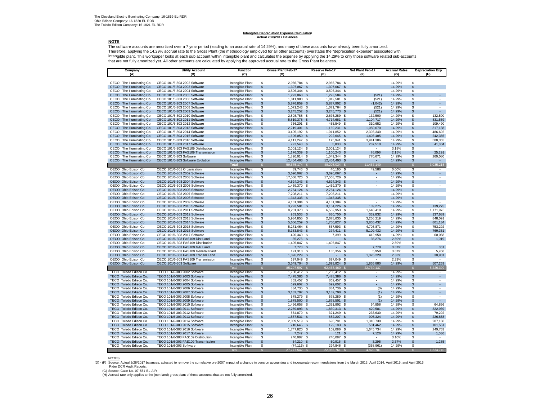# **Intangible Depreciation Expense Calculation Actual 2/28/2017 Balances**

#### **NOTE**

 The software accounts are amortized over a 7 year period (leading to an accrual rate of 14.29%), and many of these accounts have already been fully amortized. Therefore, applying the 14.29% accrual rate to the Gross Plant (the methodology employed for all other accounts) overstates the "depreciation expense" associated with intangible plant. This workpaper looks at each sub account within intangible plant and calculates the expense by applying the 14.29% to only those software related sub-accounts<br>that are not fully amortized yet. All other a

| Company                                                | <b>Utility Account</b>                                       | <b>Function</b>                      | Gross Plant Feb-17                                                      | Reserve Feb-17 |                               | Net Plant Feb-17         | <b>Accrual Rates</b> | <b>Depreciation Exp</b>                                |
|--------------------------------------------------------|--------------------------------------------------------------|--------------------------------------|-------------------------------------------------------------------------|----------------|-------------------------------|--------------------------|----------------------|--------------------------------------------------------|
| (A)                                                    | (B)                                                          | (C)                                  | (D)                                                                     | (E)            |                               | (F)                      | (G)                  | (H)                                                    |
| CECO The Illuminating Co.                              | CECO 101/6-303 2002 Software                                 | Intangible Plant                     | \$<br>2,966,784 \$                                                      |                | 2,966,784 \$                  |                          | 14.29%               | \$                                                     |
| CECO The Illuminating Co.                              | CECO 101/6-303 2003 Software                                 | Intangible Plant                     | \$<br>1,307,067 \$                                                      |                | 1,307,067<br>- \$             |                          | 14.29%               | \$                                                     |
| CECO The Illuminating Co.                              | CECO 101/6-303 2004 Software                                 | Intangible Plant                     | $\overline{\mathbf{s}}$<br>3,596,344 \$                                 |                | 3,596,344 \$                  |                          | 14.29%               | \$<br>ä,                                               |
| The Illuminating Co.<br>CECO                           | CECO 101/6-303 2005 Software                                 | Intangible Plant                     | 1,223,063 \$<br>\$                                                      |                | 1,223,584 \$                  | (521)                    | 14.29%               | ÷.<br>$\mathfrak{L}$                                   |
| CECO<br>The Illuminating Co.                           | CECO 101/6-303 2006 Software                                 | Intangible Plant                     | \$<br>1,811,980 \$                                                      |                | 1,812,501 \$                  | (521)                    | 14.29%               | \$                                                     |
| CECO The Illuminating Co.                              | CECO 101/6-303 2007 Software                                 | Intangible Plant                     | $\mathsf{\$}$<br>5,876,859 \$                                           |                | 5,877,902 \$                  | (1,042)                  | 14.29%               | $\mathfrak{L}$                                         |
| CECO The Illuminating Co.                              | CECO 101/6-303 2008 Software                                 | Intangible Plant                     | $\overline{\mathbf{s}}$<br>1,071,243 \$                                 |                | 1,071,764 \$                  | (521)                    | 14.29%               | $\overline{\mathcal{S}}$<br>$\overline{\phantom{a}}$   |
| CECO The Illuminating Co.                              | CECO 101/6-303 2009 Software                                 | Intangible Plant                     | \$<br>3,245,252 \$                                                      |                | 3,245,773 \$                  | (521)                    | 14.29%               | \$<br>÷.                                               |
| CECO The Illuminating Co.                              | CECO 101/6-303 2010 Software                                 | Intangible Plant                     | \$.<br>2,808,788 \$                                                     |                | 2,676,289<br>- \$             | 132,500                  | 14.29%               | \$<br>132,500                                          |
| CECO<br>The Illuminating Co.                           | CECO 101/6-303 2011 Software                                 | Intangible Plant                     | \$<br>5,819,378 \$                                                      |                | 4,714,661<br>$\frac{1}{2}$    | 1,104,717                | 14.29%               | 831,589<br>\$                                          |
| CECO<br>The Illuminating Co.                           | CECO 101/6-303 2012 Software                                 | Intangible Plant                     | $\overline{\mathbb{S}}$<br>766,201 \$                                   |                | 455,549<br>\$                 | 310,652                  | 14.29%               | 109,490<br>S                                           |
| CECO The Illuminating Co.<br>CECO The Illuminating Co. | CECO 101/6-303 2013 Software                                 | Intangible Plant                     | 2.219.301 \$<br>$\mathbb{S}$<br>$\overline{\mathbf{s}}$<br>3,405,192 \$ |                | 1.169.231<br>\$<br>-\$        | 1.050.070<br>2,393,340   | 14.29%<br>14.29%     | 317,138<br>$\mathfrak{L}$<br>486,602<br>\$             |
| CECO The Illuminating Co.                              | CECO 101/6-303 2014 Software<br>CECO 101/6-303 2015 Software | Intangible Plant<br>Intangible Plant | 1,696,050 \$<br>\$                                                      |                | 1,011,852<br>292,645 \$       | 1,403,405                | 14.29%               | 242,366<br>\$                                          |
| CECO The Illuminating Co.                              | CECO 101/6-303 2016 Software                                 | Intangible Plant                     | $\overline{\mathbf{s}}$<br>4,117,247 \$                                 |                | 175,941 \$                    | 3,941,306                | 14.29%               | $\overline{\mathbb{S}}$<br>588,355                     |
| CECO The Illuminating Co.                              | CECO 101/6-303 2017 Software                                 | Intangible Plant                     | 292,543 \$<br>\$                                                        |                | $5,033$ \$                    | 287,510                  | 14.29%               | 41,804<br>\$.                                          |
| The Illuminating Co.<br>CECO                           | CECO 101/6-303 FAS109 Distribution                           | Intangible Plant                     | $\overline{\mathbb{S}}$<br>2,001,124 \$                                 |                | 2,001,124 \$                  |                          | 3.18%                | S                                                      |
| CECO<br>The Illuminating Co.                           | CECO 101/6-303 FAS109 Transmission                           | Intangible Plant                     | \$<br>1,176,339 \$                                                      |                | 1,100,243<br>$\mathcal{S}$    | 76,096                   | 2.15%                | 25,291<br>S                                            |
| CECO The Illuminating Co.                              | CECO 101/6-303 Software                                      | Intangible Plant                     | $\overline{\mathbf{s}}$<br>1,820,014 \$                                 |                | 1,049,344 \$                  | 770,671                  | 14.29%               | $\overline{\mathbf{s}}$<br>260,080                     |
| CECO<br>The Illuminating Co                            | CECO 101/6-303 Software Evolution                            | Intangible Plan                      | $\mathbb{S}$<br>12,454,403 \$                                           |                | 12,454,403 \$                 | $\sim$                   | 14.29%               | \$<br>u.                                               |
|                                                        |                                                              | Tota                                 | 59,675,174<br><b>S</b>                                                  | 48.208.034     |                               | 11,467,140               |                      | 3,035,215<br><b>S</b>                                  |
| OECO Ohio Edison Co.                                   | OECO 101/6-301 Organization                                  | Intangible Plant                     | s<br>89,746                                                             | -S             | 40,160<br>- \$                | 49,586                   | 0.00%                | S                                                      |
| OECO Ohio Edison Co.                                   | OECO 101/6-303 2002 Software                                 | Intangible Plant                     | 3.690.067 \$<br>$\mathbb{S}$                                            |                | 3.690.067 \$                  |                          | 14.29%               | \$S                                                    |
| OECO Ohio Edison Co.                                   | OECO 101/6-303 2003 Software                                 | Intangible Plant                     | $\overline{\mathcal{S}}$<br>17,568,726 \$                               |                | 17,568,726 \$                 | $\overline{\phantom{a}}$ | 14.29%               | \$<br>$\overline{\phantom{a}}$                         |
| OECO Ohio Edison Co.                                   | OECO 101/6-303 2004 Software                                 | Intangible Plant                     | 4,524,343 \$<br>\$                                                      |                | 4,524,343 \$                  |                          | 14.29%               | \$<br>$\omega$                                         |
| OECO Ohio Edison Co.                                   | OECO 101/6-303 2005 Software                                 | Intangible Plant                     | $\overline{\mathbf{s}}$<br>1,469,370 \$                                 |                | 1,469,370 \$                  |                          | 14.29%               | $\overline{\mathbf{s}}$                                |
| OECO Ohio Edison Co.                                   | OECO 101/6-303 2006 Software                                 | Intangible Plant                     | 2,754,124 \$<br>\$                                                      |                | 2,754,124 \$                  | ÷.                       | 14.29%               | ÷.<br>\$                                               |
| OECO Ohio Edison Co.                                   | OECO 101/6-303 2007 Software                                 | Intangible Plant                     | $\overline{\mathbb{S}}$<br>7,208,211 \$                                 |                | 7,208,211 \$                  |                          | 14.29%               | S                                                      |
| OECO Ohio Edison Co.                                   | OECO 101/6-303 2008 Software                                 | Intangible Plant                     | 1,343,335 \$<br>\$                                                      |                | 1,343,335<br>\$               |                          | 14.29%               | \$                                                     |
| OECO Ohio Edison Co.                                   | OECO 101/6-303 2009 Software                                 | Intangible Plant                     | $\overline{\mathbf{s}}$<br>4, 181, 304 \$                               |                | 4,181,304 \$                  | $\overline{\phantom{a}}$ | 14.29%               | $\overline{\mathbf{s}}$<br>$\overline{\phantom{a}}$    |
| OECO Ohio Edison Co.                                   | OECO 101/6-303 2010 Software                                 | Intangible Plant                     | \$<br>3,293,501 \$                                                      |                | 3,154,226 \$                  | 139,275                  | 14.29%               | 139,275<br>\$                                          |
| OECO Ohio Edison Co.<br>OECO Ohio Edison Co.           | OECO 101/6-303 2011 Software<br>OECO 101/6-303 2012 Software | Intangible Plant<br>Intangible Plant | s<br>8,201,370 \$<br>$\mathsf{\$}$<br>963,533                           | - \$           | 6,552,953 \$<br>630,700<br>\$ | 1,648,418<br>332,832     | 14.29%<br>14.29%     | S<br>1,171,976<br>137,689<br>\$                        |
| OECO Ohio Edison Co.                                   | OECO 101/6-303 2013 Software                                 | Intangible Plant                     | s<br>5,934,855                                                          | - \$           | 2,678,635<br>-\$              | 3,256,219                | 14.29%               | \$<br>848,091                                          |
| OECO Ohio Edison Co.                                   | OECO 101/6-303 2014 Software                                 | Intangible Plant                     | \$<br>5,606,259                                                         | $\mathbb{S}$   | 1,750,827<br>\$               | 3,855,432                | 14.29%               | 801,134<br>\$                                          |
| OECO Ohio Edison Co.                                   | OECO 101/6-303 2015 Software                                 | Intangible Plant                     | $\overline{\mathbf{s}}$<br>5,271,464 \$                                 |                | 567,593<br>-\$                | 4,703,871                | 14.29%               | \$<br>753,292                                          |
| OECO Ohio Edison Co.                                   | OECO 101/6-303 2016 Software                                 | Intangible Plant                     | 5,383,843 \$<br>$\mathbb{S}$                                            |                | 274,411 \$                    | 5,109,432                | 14.29%               | 769,351<br>$\mathsf{\$}$                               |
| OECO Ohio Edison Co.                                   | OECO 101/6-303 2017 Software                                 | Intangible Plant                     | $\overline{\mathbb{S}}$<br>420,349 \$                                   |                | 7,399<br>- \$                 | 412,950                  | 14.29%               | S<br>60,068                                            |
| OECO Ohio Edison Co.                                   | OECO 101/6-303 FAS109 Dist Land                              | Intangible Plant                     | \$<br>35,276 \$                                                         |                | S.                            | 35,276                   | 2.89%                | 1,019<br>$\mathfrak{L}$                                |
| OECO Ohio Edison Co.                                   | OECO 101/6-303 FAS109 Distribution                           | Intangible Plant                     | s<br>1,495,847 \$                                                       |                | 1,495,847<br>\$               |                          | 2.89%                | s                                                      |
| OECO Ohio Edison Co.                                   | OECO 101/6-303 FAS109 G/P Land                               | Intangible Plant                     | \$<br>7,778                                                             | $\mathbf{s}$   |                               | 7,778                    | 3.87%                | 301<br>\$                                              |
| OECO Ohio Edison Co.                                   | OECO 101/6-303 FAS109 General Plant                          | Intangible Plant                     | $\overline{\mathbf{s}}$<br>191,313 \$                                   |                | 185,356<br><b>S</b>           | 5,958                    | 3.87%                | 5,958<br>\$                                            |
| OECO Ohio Edison Co.                                   | OECO 101/6-303 FAS109 Transm Land                            | Intangible Plant                     | $\mathsf{\$}$<br>1,326,229 \$                                           |                | - 35                          | 1,326,229                | 2.33%                | 30,901<br>\$                                           |
| OECO Ohio Edison Co.                                   | OECO 101/6-303 FAS109 Transmission                           | Intangible Plant                     | s<br>697,049 \$                                                         |                | 697,049 \$                    |                          | 2.33%                | s<br>÷                                                 |
| OECO Ohio Edison Co.                                   | OECO 101/6-303 Software                                      | Intangible Plan                      | $\mathbb{S}$<br>3,549,704 \$                                            |                | 1,693,824<br>- \$             | 1,855,880                | 14.29%               | 507,253<br>$\mathfrak{L}$                              |
|                                                        |                                                              | Tota                                 | S<br>85,207,597                                                         | 62,468,460     |                               | 22,739,137               |                      | 5,226,309                                              |
| TECO Toledo Edison Co.                                 | TECO 101/6-303 2002 Software                                 | Intangible Plant                     | \$<br>1,708,412 \$                                                      |                | 1,708,412 \$                  |                          | 14.29%               | s                                                      |
| TECO Toledo Edison Co.                                 | TECO 101/6-303 2003 Software                                 | Intangible Plant                     | 7,478,386 \$<br>$\mathbb{S}$<br>$\overline{\mathbb{S}}$                 |                | 7,478,386 \$                  |                          | 14.29%               | $\mathsf{\$}$<br>$\mathcal{L}_{\mathcal{A}}$<br>s<br>÷ |
| TECO Toledo Edison Co.<br>TECO Toledo Edison Co.       | TECO 101/6-303 2004 Software<br>TECO 101/6-303 2005 Software | Intangible Plant<br>Intangible Plant | 862,457 \$<br>\$<br>699.602 \$                                          |                | 862,457 \$<br>699.602 \$      |                          | 14.29%<br>14.29%     | $\mathfrak{s}$                                         |
| TECO Toledo Edison Co.                                 | TECO 101/6-303 2006 Software                                 | Intangible Plan                      | s<br>834,735 \$                                                         |                | 834,736<br>$\mathbf{s}$       | (0)                      | 14.29%               | \$<br>٠                                                |
| TECO Toledo Edison Co.                                 | TECO 101/6-303 2007 Software                                 | Intangible Plant                     | 3,182,797<br>\$                                                         | - \$           | 3,182,798<br>$\mathbf{s}$     | (1)                      | 14.29%               | ÷.<br>$\mathfrak{L}$                                   |
| TECO Toledo Edison Co.                                 | TECO 101/6-303 2008 Software                                 | Intangible Plant                     | s<br>578,279 \$                                                         |                | 578,280<br>- \$               | (1)                      | 14.29%               | \$                                                     |
| TECO Toledo Edison Co.                                 | TECO 101/6-303 2009 Software                                 | Intangible Plant                     | \$<br>1,878,500                                                         | <b>S</b>       | 1,878,501<br>- \$             | (1)                      | 14.29%               | \$.                                                    |
| TECO Toledo Edison Co.                                 | TECO 101/6-303 2010 Software                                 | Intangible Plant                     | $\overline{\mathbb{S}}$<br>1,456,658 \$                                 |                | 1,391,802 \$                  | 64,856                   | 14.29%               | s<br>64,856                                            |
| TECO Toledo Edison Co.                                 | TECO 101/6-303 2011 Software                                 | Intangible Plant                     | \$<br>2,259,893 \$                                                      |                | 1,830,313 \$                  | 429,581                  | 14.29%               | 322,939<br>\$                                          |
| TECO Toledo Edison Co.                                 | TECO 101/6-303 2012 Software                                 | Intangible Plant                     | $\overline{\mathbf{s}}$<br>554,879 \$                                   |                | 321,249<br>- \$               | 233,630                  | 14.29%               | 79,292<br>\$                                           |
| TECO Toledo Edison Co.                                 | TECO 101/6-303 2013 Software                                 | Intangible Plant                     | \$<br>1,587,531 \$                                                      |                | 682,207<br>\$                 | 905,324                  | 14.29%               | 226,858<br>\$                                          |
| TECO Toledo Edison Co.                                 | TECO 101/6-303 2014 Software                                 | Intangible Plant                     | $\overline{\mathbb{S}}$<br>2,009,519                                    | - \$           | 690,781<br>\$                 | 1,318,738                | 14.29%               | 287,160<br>S                                           |
| TECO Toledo Edison Co.                                 | TECO 101/6-303 2015 Software                                 | Intangible Plant                     | 710.645 \$<br>\$                                                        |                | 129.183<br><b>S</b>           | 581,462                  | 14.29%               | 101,551<br>$\mathfrak{L}$                              |
| TECO Toledo Edison Co.                                 | TECO 101/6-303 2016 Software                                 | Intangible Plant                     | $\overline{\mathbf{s}}$<br>1,747,820 \$                                 |                | 102,086<br>- \$               | 1,645,734                | 14.29%               | \$<br>249,763                                          |
| TECO Toledo Edison Co.                                 | TECO 101/6-303 2017 Software                                 | Intangible Plant                     | $7,247$ \$<br>S.                                                        |                | 121S                          | 7,126                    | 14.29%               | 1,036<br>\$                                            |
| TECO Toledo Edison Co.                                 | TECO 101/6-303 FAS109 Distribution                           | Intangible Plant                     | $\overline{\mathbf{s}}$<br>240.087 \$                                   |                | 240,087 \$                    | 3,295                    | 3.10%<br>2.37%       | $\overline{\mathbb{S}}$<br>1,285                       |
| TECO Toledo Edison Co.                                 | TECO 101/6-303 FAS109 Transmission                           | Intangible Plant<br>Intangible Plan  | 54,210 \$<br>\$<br>$\overline{\mathbb{S}}$<br>$(74, 116)$ \$            |                | 50,916 \$<br>294,846          | (368, 961)               | 14.29%               | \$<br>$\overline{\mathbb{S}}$                          |
| TECO Toledo Edison Co                                  | TECO 101/6-303 Software                                      | Tot                                  | 27,777,542                                                              | 22.956.761     | - \$                          | 4.820.781                |                      | 1,334,740                                              |
|                                                        |                                                              |                                      |                                                                         |                |                               |                          |                      |                                                        |

NOTES<br>(D) - (F) Source: Actual 2/28/2017 balances, adjusted to remove the cumulative pre-2007 impact of a change in pension accounting and incorporate recommendations from the March 2013, April 2014, April 2015, and April

Rider DCR Audit Reports. (G) Source: Case No. 07-551-EL-AIR

(H) Accrual rate only applies to the (non-land) gross plant of those accounts that are not fully amortized.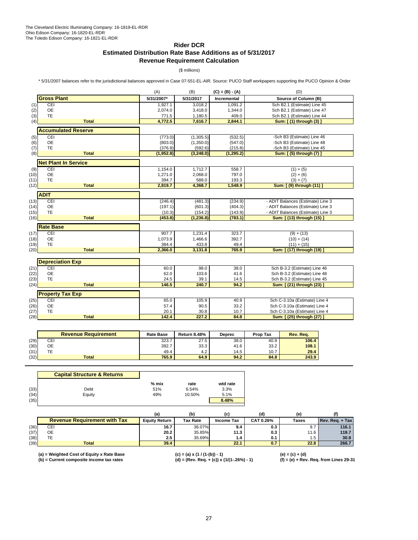## **Rider DCR**

# **Estimated Distribution Rate Base Additions as of 5/31/2017 Revenue Requirement Calculation**

(\$ millions)

\* 5/31/2007 balances refer to the jurisdictional balances approved in Case 07-551-EL-AIR. Source: PUCO Staff workpapers supporting the PUCO Opinion & Order

|      |                             | (A)        | (B)       | $(C) = (B) - (A)$  | (D)                               |
|------|-----------------------------|------------|-----------|--------------------|-----------------------------------|
|      | <b>Gross Plant</b>          | 5/31/2007* | 5/31/2017 | <b>Incremental</b> | Source of Column (B)              |
| (1)  | CEI                         | 1,927.1    | 3,018.2   | 1,091.2            | Sch B2.1 (Estimate) Line 45       |
| (2)  | <b>OE</b>                   | 2,074.0    | 3,418.0   | 1,344.0            | Sch B2.1 (Estimate) Line 47       |
| (3)  | <b>TE</b>                   | 771.5      | 1,180.5   | 409.0              | Sch B2.1 (Estimate) Line 44       |
| (4)  | <b>Total</b>                | 4,772.5    | 7,616.7   | 2,844.1            | Sum: [ (1) through (3) ]          |
|      | <b>Accumulated Reserve</b>  |            |           |                    |                                   |
| (5)  | CEI                         | (773.0)    | (1,305.5) | (532.5)            | -Sch B3 (Estimate) Line 46        |
| (6)  | <b>OE</b>                   | (803.0)    | (1,350.0) | (547.0)            | -Sch B3 (Estimate) Line 48        |
| (7)  | TE                          | (376.8)    | (592.6)   | (215.8)            | -Sch B3 (Estimate) Line 45        |
| (8)  | <b>Total</b>                | (1,952.8)  | (3,248.0) | (1, 295.2)         | Sum: [(5) through (7) ]           |
|      | <b>Net Plant In Service</b> |            |           |                    |                                   |
| (9)  | CEI                         | 1,154.0    | 1,712.7   | 558.7              | $(1) + (5)$                       |
| (10) | OE                          | 1,271.0    | 2,068.0   | 797.0              | $(2) + (6)$                       |
| (11) | <b>TE</b>                   | 394.7      | 588.0     | 193.3              | $(3) + (7)$                       |
| (12) | <b>Total</b>                | 2,819.7    | 4,368.7   | 1,548.9            | Sum: [ (9) through (11) ]         |
|      | <b>ADIT</b>                 |            |           |                    |                                   |
| (13) | CEI                         | (246.4)    | (481.3)   | (234.9)            | - ADIT Balances (Estimate) Line 3 |
| (14) | OE                          | (197.1)    | (601.3)   | (404.3)            | - ADIT Balances (Estimate) Line 3 |
| (15) | <b>TE</b>                   | (10.3)     | (154.2)   | (143.9)            | - ADIT Balances (Estimate) Line 3 |
| (16) | <b>Total</b>                | (453.8)    | (1,236.8) | (783.1)            | Sum: [ (13) through (15) ]        |
|      | <b>Rate Base</b>            |            |           |                    |                                   |
| (17) | CEI                         | 907.7      | 1,231.4   | 323.7              | $(9) + (13)$                      |
| (18) | <b>OE</b>                   | 1,073.9    | 1,466.6   | 392.7              | $(10) + (14)$                     |
| (19) | <b>TE</b>                   | 384.4      | 433.8     | 49.4               | $(11) + (15)$                     |
| (20) | <b>Total</b>                | 2,366.0    | 3,131.8   | 765.9              | Sum: [ (17) through (19) ]        |
|      |                             |            |           |                    |                                   |
|      | <b>Depreciation Exp</b>     |            |           |                    |                                   |
| (21) | CEI                         | 60.0       | 98.0      | 38.0               | Sch B-3.2 (Estimate) Line 46      |
| (22) | <b>OE</b>                   | 62.0       | 103.6     | 41.6               | Sch B-3.2 (Estimate) Line 48      |
| (23) | <b>TE</b>                   | 24.5       | 39.1      | 14.5               | Sch B-3.2 (Estimate) Line 45      |
| (24) | <b>Total</b>                | 146.5      | 240.7     | 94.2               | Sum: [ (21) through (23) ]        |
|      | <b>Property Tax Exp</b>     |            |           |                    |                                   |
| (25) | <b>CEI</b>                  | 65.0       | 105.9     | 40.9               | Sch C-3.10a (Estimate) Line 4     |
| (26) | <b>OE</b>                   | 57.4       | 90.5      | 33.2               | Sch C-3.10a (Estimate) Line 4     |
| (27) | <b>TE</b>                   | 20.1       | 30.8      | 10.7               | Sch C-3.10a (Estimate) Line 4     |
| (28) | <b>Total</b>                | 142.4      | 227.2     | 84.8               | Sum: [ (25) through (27) ]        |

|      | <b>Revenue Requirement</b> | <b>Rate Base</b> | <b>Return 8.48%</b> | <b>Deprec</b> | <b>Prop Tax</b> | Rev. Rea. |
|------|----------------------------|------------------|---------------------|---------------|-----------------|-----------|
| (29) | CEI                        | 323.7            | 27.5                | 38.0          | 40.9            | 106.4     |
| (30) | ОE                         | 392.7            | 33.3                | 41.6          | 33.2            | 108.1     |
| (31) | TЕ                         | 49.4             | 4.2                 | 14.5          | 10.7            | 29.4      |
| (32) | <b>Total</b>               | 765.9            | 64.9                | 94.2          | 84.8            | 243.9     |

|      | <b>Capital Structure &amp; Returns</b> |         |        |          |
|------|----------------------------------------|---------|--------|----------|
|      |                                        | $%$ mix | rate   | wtd rate |
| (33) | Debt                                   | 51%     | 6.54%  | 3.3%     |
| (34) | Equity                                 | 49%     | 10.50% | 5.1%     |
| (35) |                                        |         |        | 8.48%    |

|      |                                     | (a                   | (b              |            |           | (e)   |                 |
|------|-------------------------------------|----------------------|-----------------|------------|-----------|-------|-----------------|
|      | <b>Revenue Requirement with Tax</b> | <b>Equity Return</b> | <b>Tax Rate</b> | Income Tax | CAT 0.26% | Taxes | Rev. Reg. + Tax |
| (36) | CEI                                 | 16.7                 | 36.07%          | 9.4        | 0.3       | 9.7   | 116.1           |
| (37) | OE                                  | 20.2                 | 35.85%          | 11.3       | 0.3       | 11.6  | 119.7           |
| (38) |                                     | 2.5                  | 35.69%          | 1.4        | 0.1       | 1.5   | 30.9            |
| (39) | <b>Total</b>                        | 39.4                 |                 | 22.1       | 0.7       | 22.8  | 266.7           |

**(a) = Weighted Cost of Equity x Rate Base (c) = (a) x (1 / (1-(b)) - 1) (e) = (c) + (d)**

**(b) = Current composite income tax rates (d) = (Rev. Req. + (c)) x (1/(1-.26%) - 1) (f) = (e) + Rev. Req. from Lines 29-31**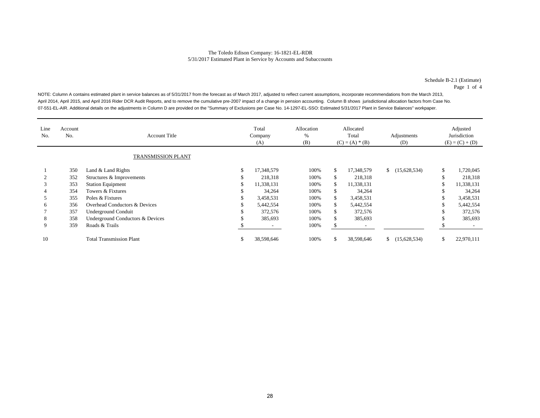Schedule B-2.1 (Estimate) Page 1 of 4

NOTE: Column A contains estimated plant in service balances as of 5/31/2017 from the forecast as of March 2017, adjusted to reflect current assumptions, incorporate recommendations from the March 2013, April 2014, April 2015, and April 2016 Rider DCR Audit Reports, and to remove the cumulative pre-2007 impact of a change in pension accounting. Column B shows jurisdictional allocation factors from Case No. 07-551-EL-AIR. Additional details on the adjustments in Column D are provided on the "Summary of Exclusions per Case No. 14-1297-EL-SSO: Estimated 5/31/2017 Plant in Service Balances" workpaper.

| Line<br>No. | Account<br>No. | <b>Account Title</b>             | Total<br>Company<br>(A) | Allocation<br>%<br>(B) | Allocated<br>Total<br>$(C) = (A) * (B)$ |            | Adjustments<br>(D) |              | Adjusted<br>Jurisdiction<br>$(E) = (C) + (D)$ |            |
|-------------|----------------|----------------------------------|-------------------------|------------------------|-----------------------------------------|------------|--------------------|--------------|-----------------------------------------------|------------|
|             |                | <b>TRANSMISSION PLANT</b>        |                         |                        |                                         |            |                    |              |                                               |            |
|             | 350            | Land & Land Rights               | \$<br>17,348,579        | 100%                   | \$.                                     | 17,348,579 | S.                 | (15,628,534) | \$                                            | 1,720,045  |
|             | 352            | Structures & Improvements        | 218,318                 | 100%                   | ъ                                       | 218,318    |                    |              | \$                                            | 218,318    |
| 3           | 353            | <b>Station Equipment</b>         | 11,338,131              | 100%                   | Ж.                                      | 11,338,131 |                    |              | \$                                            | 11,338,131 |
|             | 354            | Towers & Fixtures                | 34,264                  | 100%                   | ъ                                       | 34,264     |                    |              | ъ                                             | 34,264     |
|             | 355            | Poles & Fixtures                 | 3,458,531               | 100%                   | \$                                      | 3,458,531  |                    |              | \$                                            | 3,458,531  |
| 6           | 356            | Overhead Conductors & Devices    | 5,442,554               | 100%                   | \$                                      | 5,442,554  |                    |              | \$                                            | 5,442,554  |
|             | 357            | <b>Underground Conduit</b>       | 372,576                 | 100%                   | ъ                                       | 372,576    |                    |              | \$.                                           | 372,576    |
| 8           | 358            | Underground Conductors & Devices | 385,693                 | 100%                   | ъ                                       | 385,693    |                    |              | ъ                                             | 385,693    |
| 9           | 359            | Roads & Trails                   |                         | 100%                   |                                         |            |                    |              |                                               |            |
| 10          |                | <b>Total Transmission Plant</b>  | \$<br>38,598,646        | 100%                   | Ъ.                                      | 38,598,646 | $\mathbb{S}$       | (15,628,534) | \$                                            | 22,970,111 |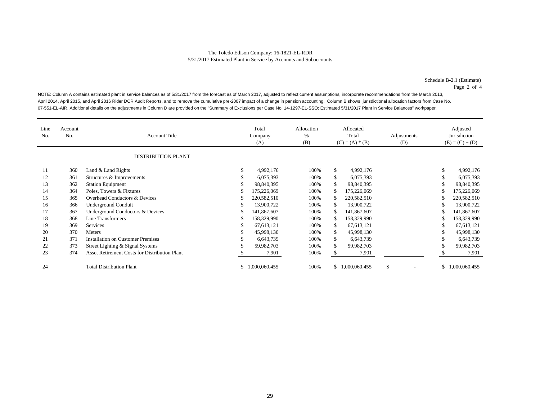Schedule B-2.1 (Estimate) Page 2 of 4

NOTE: Column A contains estimated plant in service balances as of 5/31/2017 from the forecast as of March 2017, adjusted to reflect current assumptions, incorporate recommendations from the March 2013, April 2014, April 2015, and April 2016 Rider DCR Audit Reports, and to remove the cumulative pre-2007 impact of a change in pension accounting. Column B shows jurisdictional allocation factors from Case No. 07-551-EL-AIR. Additional details on the adjustments in Column D are provided on the "Summary of Exclusions per Case No. 14-1297-EL-SSO: Estimated 5/31/2017 Plant in Service Balances" workpaper.

| Line<br>No. | Account<br>No. | <b>Account Title</b><br><b>DISTRIBUTION PLANT</b>    | Total<br>Company<br>(A) |               | Allocation<br>%<br>(B) | Allocated<br>Total<br>$(C) = (A) * (B)$ |               | Adjustments<br>(D)             | Adjusted<br>Jurisdiction<br>$(E) = (C) + (D)$ |               |
|-------------|----------------|------------------------------------------------------|-------------------------|---------------|------------------------|-----------------------------------------|---------------|--------------------------------|-----------------------------------------------|---------------|
| 11          | 360            | Land & Land Rights                                   | \$                      | 4,992,176     | 100%                   | \$                                      | 4,992,176     |                                | \$                                            | 4,992,176     |
| 12          | 361            | Structures & Improvements                            | ъ                       | 6,075,393     | 100%                   | \$                                      | 6,075,393     |                                | \$                                            | 6,075,393     |
| 13          | 362            | <b>Station Equipment</b>                             |                         | 98,840,395    | 100%                   | \$                                      | 98,840,395    |                                | \$                                            | 98,840,395    |
| 14          | 364            | Poles, Towers & Fixtures                             | S                       | 175,226,069   | 100%                   | S.                                      | 175,226,069   |                                | S                                             | 175,226,069   |
| 15          | 365            | Overhead Conductors & Devices                        | S                       | 220,582,510   | 100%                   | \$                                      | 220,582,510   |                                | S                                             | 220,582,510   |
| 16          | 366            | <b>Underground Conduit</b>                           | \$                      | 13,900,722    | 100%                   | \$                                      | 13,900,722    |                                | \$                                            | 13,900,722    |
| 17          | 367            | Underground Conductors & Devices                     | S                       | 141,867,607   | 100%                   | \$                                      | 141,867,607   |                                | \$                                            | 141,867,607   |
| 18          | 368            | Line Transformers                                    | S                       | 158,329,990   | 100%                   | S.                                      | 158,329,990   |                                | S                                             | 158,329,990   |
| 19          | 369            | Services                                             | \$                      | 67, 613, 121  | 100%                   | \$                                      | 67,613,121    |                                | \$                                            | 67,613,121    |
| 20          | 370            | Meters                                               |                         | 45,998,130    | 100%                   | \$                                      | 45,998,130    |                                | S                                             | 45,998,130    |
| 21          | 371            | <b>Installation on Customer Premises</b>             |                         | 6,643,739     | 100%                   | \$                                      | 6,643,739     |                                | S                                             | 6,643,739     |
| 22          | 373            | Street Lighting & Signal Systems                     |                         | 59,982,703    | 100%                   | \$                                      | 59,982,703    |                                | \$                                            | 59,982,703    |
| 23          | 374            | <b>Asset Retirement Costs for Distribution Plant</b> |                         | 7,901         | 100%                   |                                         | 7,901         |                                |                                               | 7,901         |
| 24          |                | <b>Total Distribution Plant</b>                      | \$                      | 1,000,060,455 | 100%                   | \$                                      | 1,000,060,455 | \$<br>$\overline{\phantom{a}}$ | \$                                            | 1,000,060,455 |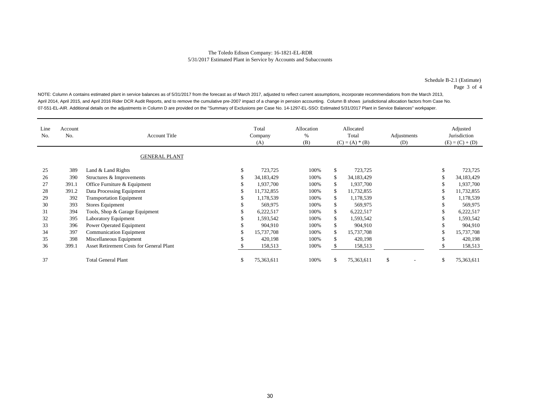Schedule B-2.1 (Estimate) Page 3 of 4

NOTE: Column A contains estimated plant in service balances as of 5/31/2017 from the forecast as of March 2017, adjusted to reflect current assumptions, incorporate recommendations from the March 2013, April 2014, April 2015, and April 2016 Rider DCR Audit Reports, and to remove the cumulative pre-2007 impact of a change in pension accounting. Column B shows jurisdictional allocation factors from Case No. 07-551-EL-AIR. Additional details on the adjustments in Column D are provided on the "Summary of Exclusions per Case No. 14-1297-EL-SSO: Estimated 5/31/2017 Plant in Service Balances" workpaper.

| Line<br>No. | Account<br>No. | <b>Account Title</b>                            |    | Total<br>Company<br>(A) | Allocation<br>%<br>(B) | Allocated<br>Total<br>$(C) = (A) * (B)$ |            | Adjustments<br>(D) |     | Adjusted<br>Jurisdiction<br>$(E) = (C) + (D)$ |
|-------------|----------------|-------------------------------------------------|----|-------------------------|------------------------|-----------------------------------------|------------|--------------------|-----|-----------------------------------------------|
|             |                | <b>GENERAL PLANT</b>                            |    |                         |                        |                                         |            |                    |     |                                               |
| 25          | 389            | Land & Land Rights                              | S  | 723,725                 | 100%                   | \$                                      | 723,725    |                    | S   | 723,725                                       |
| 26          | 390            | Structures & Improvements                       |    | 34,183,429              | 100%                   | \$                                      | 34,183,429 |                    |     | 34,183,429                                    |
| 27          | 391.1          | Office Furniture & Equipment                    |    | 1,937,700               | 100%                   | \$                                      | 1,937,700  |                    | \$  | 1,937,700                                     |
| 28          | 391.2          | Data Processing Equipment                       |    | 11,732,855              | 100%                   | \$                                      | 11,732,855 |                    | \$  | 11,732,855                                    |
| 29          | 392            | <b>Transportation Equipment</b>                 |    | 1,178,539               | 100%                   | \$.                                     | 1,178,539  |                    | ж   | 1,178,539                                     |
| 30          | 393            | Stores Equipment                                |    | 569,975                 | 100%                   |                                         | 569,975    |                    |     | 569,975                                       |
| 31          | 394            | Tools, Shop & Garage Equipment                  |    | 6,222,517               | 100%                   |                                         | 6,222,517  |                    |     | 6,222,517                                     |
| 32          | 395            | Laboratory Equipment                            |    | 1,593,542               | 100%                   |                                         | 1,593,542  |                    |     | 1,593,542                                     |
| 33          | 396            | Power Operated Equipment                        |    | 904,910                 | 100%                   |                                         | 904.910    |                    |     | 904,910                                       |
| 34          | 397            | <b>Communication Equipment</b>                  | ъ  | 15,737,708              | 100%                   | \$                                      | 15,737,708 |                    | \$  | 15,737,708                                    |
| 35          | 398            | Miscellaneous Equipment                         | ъ  | 420,198                 | 100%                   | \$                                      | 420,198    |                    | S   | 420,198                                       |
| 36          | 399.1          | <b>Asset Retirement Costs for General Plant</b> |    | 158,513                 | 100%                   | \$.                                     | 158,513    |                    |     | 158,513                                       |
| 37          |                | <b>Total General Plant</b>                      | \$ | 75,363,611              | 100%                   | S                                       | 75,363,611 | \$.<br>-           | \$. | 75,363,611                                    |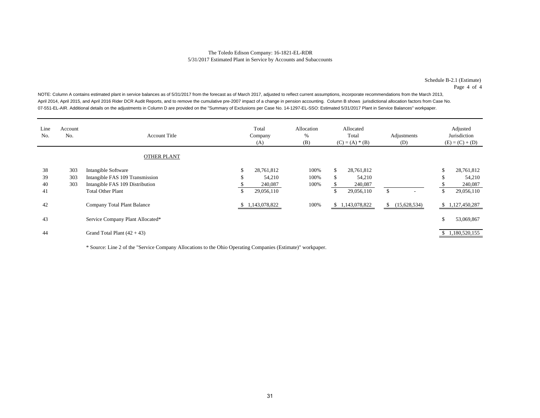Schedule B-2.1 (Estimate) Page 4 of 4

NOTE: Column A contains estimated plant in service balances as of 5/31/2017 from the forecast as of March 2017, adjusted to reflect current assumptions, incorporate recommendations from the March 2013, April 2014, April 2015, and April 2016 Rider DCR Audit Reports, and to remove the cumulative pre-2007 impact of a change in pension accounting. Column B shows jurisdictional allocation factors from Case No. 07-551-EL-AIR. Additional details on the adjustments in Column D are provided on the "Summary of Exclusions per Case No. 14-1297-EL-SSO: Estimated 5/31/2017 Plant in Service Balances" workpaper.

| Line<br>No. | Account<br>No. | <b>Account Title</b>                                        |          | Total<br>Company<br>(A) | Allocation<br>%<br>(B) | Allocated<br>Total<br>$(C) = (A) * (B)$ |                       |     | Adjustments<br>(D) |        | Adjusted<br>Jurisdiction<br>$(E) = (C) + (D)$ |
|-------------|----------------|-------------------------------------------------------------|----------|-------------------------|------------------------|-----------------------------------------|-----------------------|-----|--------------------|--------|-----------------------------------------------|
|             |                | <b>OTHER PLANT</b>                                          |          |                         |                        |                                         |                       |     |                    |        |                                               |
| 38<br>39    | 303<br>303     | Intangible Software<br>Intangible FAS 109 Transmission      | \$<br>ъ. | 28,761,812<br>54,210    | 100%<br>100%           | \$.<br>\$                               | 28,761,812<br>54,210  |     |                    | ъ<br>ъ | 28,761,812<br>54,210                          |
| 40<br>41    | 303            | Intangible FAS 109 Distribution<br><b>Total Other Plant</b> | \$       | 240,087<br>29,056,110   | 100%                   | \$                                      | 240,087<br>29,056,110 | \$. | -                  | \$     | 240,087<br>29,056,110                         |
| 42          |                | Company Total Plant Balance                                 |          | \$1,143,078,822         | 100%                   |                                         | \$1,143,078,822       | \$  | (15,628,534)       |        | \$1,127,450,287                               |
| 43          |                | Service Company Plant Allocated*                            |          |                         |                        |                                         |                       |     |                    | \$     | 53,069,867                                    |
| 44          |                | Grand Total Plant $(42 + 43)$                               |          |                         |                        |                                         |                       |     |                    |        | \$1,180,520,155                               |

\* Source: Line 2 of the "Service Company Allocations to the Ohio Operating Companies (Estimate)" workpaper.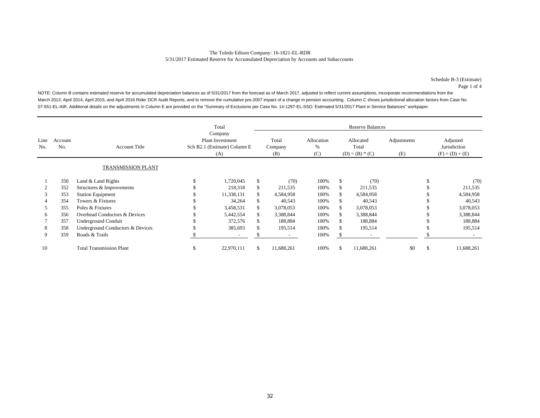Schedule B-3 (Estimate) Page 1 of 4

NOTE: Column B contains estimated reserve for accumulated depreciation balances as of 5/31/2017 from the forecast as of March 2017, adjusted to reflect current assumptions, incorporate recommendations from the March 2013, April 2014, April 2015, and April 2016 Rider DCR Audit Reports, and to remove the cumulative pre-2007 impact of a change in pension accounting. Column C shows jurisdictional allocation factors from Case No. 07-551-EL-AIR. Additional details on the adjustments in Column E are provided on the "Summary of Exclusions per Case No. 14-1297-EL-SSO: Estimated 5/31/2017 Plant in Service Balances" workpaper.

|             |                |                                  | Total                                                                     |                          |     | <b>Reserve Balances</b> |                        |                                         |                          |                    |                                               |            |  |  |
|-------------|----------------|----------------------------------|---------------------------------------------------------------------------|--------------------------|-----|-------------------------|------------------------|-----------------------------------------|--------------------------|--------------------|-----------------------------------------------|------------|--|--|
| Line<br>No. | Account<br>No. | <b>Account Title</b>             | Company<br><b>Plant Investment</b><br>Sch B2.1 (Estimate) Column E<br>(A) |                          |     | Total<br>Company<br>(B) | Allocation<br>%<br>(C) | Allocated<br>Total<br>$(D) = (B) * (C)$ |                          | Adjustments<br>(E) | Adjusted<br>Jurisdiction<br>$(F) = (D) + (E)$ |            |  |  |
|             |                | TRANSMISSION PLANT               |                                                                           |                          |     |                         |                        |                                         |                          |                    |                                               |            |  |  |
|             | 350            | Land & Land Rights               |                                                                           | 1,720,045                | \$  | (70)                    | 100%                   | \$                                      | (70)                     |                    |                                               | (70)       |  |  |
|             | 352            | Structures & Improvements        |                                                                           | 218,318                  |     | 211,535                 | 100%                   |                                         | 211,535                  |                    |                                               | 211,535    |  |  |
| 3           | 353            | <b>Station Equipment</b>         |                                                                           | 11.338.131               | \$. | 4,584,958               | 100%                   | S.                                      | 4,584,958                |                    |                                               | 4,584,958  |  |  |
| 4           | 354            | Towers & Fixtures                |                                                                           | 34,264                   |     | 40,543                  | 100%                   |                                         | 40,543                   |                    |                                               | 40,543     |  |  |
| 5           | 355            | Poles & Fixtures                 |                                                                           | 3,458,531                |     | 3,078,053               | 100%                   |                                         | 3,078,053                |                    |                                               | 3,078,053  |  |  |
| 6           | 356            | Overhead Conductors & Devices    |                                                                           | 5,442,554                |     | 3,388,844               | 100%                   |                                         | 3,388,844                |                    |                                               | 3,388,844  |  |  |
|             | 357            | Underground Conduit              |                                                                           | 372,576                  |     | 188,884                 | 100%                   |                                         | 188,884                  |                    |                                               | 188,884    |  |  |
| 8           | 358            | Underground Conductors & Devices |                                                                           | 385,693                  |     | 195,514                 | 100%                   |                                         | 195,514                  |                    |                                               | 195,514    |  |  |
| 9           | 359            | Roads & Trails                   |                                                                           | $\overline{\phantom{a}}$ |     |                         | 100%                   |                                         | $\overline{\phantom{a}}$ |                    |                                               |            |  |  |
| 10          |                | <b>Total Transmission Plant</b>  | \$                                                                        | 22,970,111               | \$  | 11,688,261              | 100%                   |                                         | 11,688,261               | \$0                | \$                                            | 11,688,261 |  |  |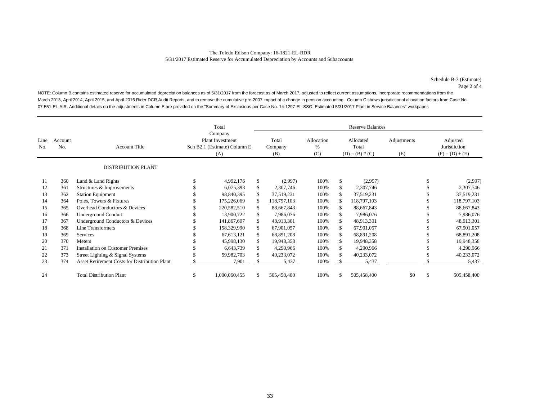Schedule B-3 (Estimate) Page 2 of 4

NOTE: Column B contains estimated reserve for accumulated depreciation balances as of 5/31/2017 from the forecast as of March 2017, adjusted to reflect current assumptions, incorporate recommendations from the March 2013, April 2014, April 2015, and April 2016 Rider DCR Audit Reports, and to remove the cumulative pre-2007 impact of a change in pension accounting. Column C shows jurisdictional allocation factors from Case No. 07-551-EL-AIR. Additional details on the adjustments in Column E are provided on the "Summary of Exclusions per Case No. 14-1297-EL-SSO: Estimated 5/31/2017 Plant in Service Balances" workpaper.

|             |                |                                                      | Total<br>Company<br><b>Plant Investment</b><br>Sch B2.1 (Estimate) Column E<br>(A) |               |    | <b>Reserve Balances</b> |                           |                                         |             |                    |                                               |             |  |  |  |
|-------------|----------------|------------------------------------------------------|------------------------------------------------------------------------------------|---------------|----|-------------------------|---------------------------|-----------------------------------------|-------------|--------------------|-----------------------------------------------|-------------|--|--|--|
| Line<br>No. | Account<br>No. | <b>Account Title</b>                                 |                                                                                    |               |    | Total<br>Company<br>(B) | Allocation<br>$\%$<br>(C) | Allocated<br>Total<br>$(D) = (B) * (C)$ |             | Adjustments<br>(E) | Adjusted<br>Jurisdiction<br>$(F) = (D) + (E)$ |             |  |  |  |
|             |                | <b>DISTRIBUTION PLANT</b>                            |                                                                                    |               |    |                         |                           |                                         |             |                    |                                               |             |  |  |  |
| 11          | 360            | Land & Land Rights                                   |                                                                                    | 4,992,176     | \$ | (2,997)                 | 100%                      | \$                                      | (2,997)     |                    | \$                                            | (2,997)     |  |  |  |
| 12          | 361            | Structures & Improvements                            |                                                                                    | 6,075,393     | S. | 2,307,746               | 100%                      | S.                                      | 2,307,746   |                    |                                               | 2,307,746   |  |  |  |
| 13          | 362            | <b>Station Equipment</b>                             |                                                                                    | 98,840,395    |    | 37,519,231              | 100%                      |                                         | 37,519,231  |                    |                                               | 37,519,231  |  |  |  |
| 14          | 364            | Poles, Towers & Fixtures                             |                                                                                    | 175,226,069   |    | 118,797,103             | 100%                      |                                         | 118,797,103 |                    |                                               | 118,797,103 |  |  |  |
| 15          | 365            | Overhead Conductors & Devices                        |                                                                                    | 220,582,510   |    | 88,667,843              | 100%                      |                                         | 88,667,843  |                    |                                               | 88,667,843  |  |  |  |
| 16          | 366            | <b>Underground Conduit</b>                           |                                                                                    | 13,900,722    |    | 7,986,076               | 100%                      |                                         | 7,986,076   |                    |                                               | 7,986,076   |  |  |  |
| 17          | 367            | Underground Conductors & Devices                     |                                                                                    | 141,867,607   |    | 48,913,301              | 100%                      |                                         | 48,913,301  |                    |                                               | 48,913,301  |  |  |  |
| 18          | 368            | Line Transformers                                    |                                                                                    | 158,329,990   |    | 67,901,057              | 100%                      |                                         | 67,901,057  |                    |                                               | 67,901,057  |  |  |  |
| 19          | 369            | Services                                             |                                                                                    | 67,613,121    | S. | 68,891,208              | 100%                      |                                         | 68,891,208  |                    |                                               | 68,891,208  |  |  |  |
| 20          | 370            | Meters                                               |                                                                                    | 45,998,130    |    | 19,948,358              | 100%                      |                                         | 19,948,358  |                    |                                               | 19,948,358  |  |  |  |
| 21          | 371            | <b>Installation on Customer Premises</b>             |                                                                                    | 6,643,739     |    | 4,290,966               | 100%                      |                                         | 4,290,966   |                    |                                               | 4,290,966   |  |  |  |
| 22          | 373            | Street Lighting & Signal Systems                     |                                                                                    | 59,982,703    |    | 40,233,072              | 100%                      |                                         | 40,233,072  |                    |                                               | 40,233,072  |  |  |  |
| 23          | 374            | <b>Asset Retirement Costs for Distribution Plant</b> |                                                                                    | 7,901         |    | 5,437                   | 100%                      |                                         | 5,437       |                    |                                               | 5,437       |  |  |  |
| 24          |                | <b>Total Distribution Plant</b>                      | S                                                                                  | 1,000,060,455 | S. | 505,458,400             | 100%                      |                                         | 505,458,400 | \$0                | \$                                            | 505,458,400 |  |  |  |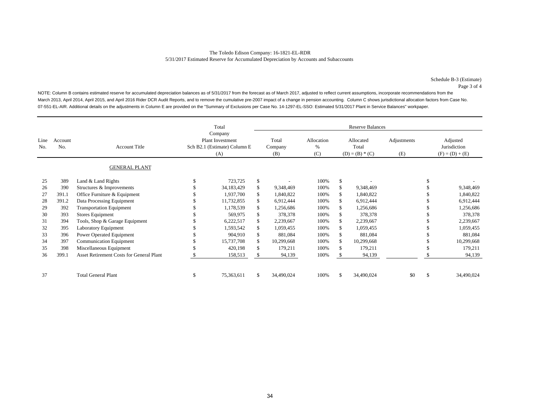Schedule B-3 (Estimate) Page 3 of 4

NOTE: Column B contains estimated reserve for accumulated depreciation balances as of 5/31/2017 from the forecast as of March 2017, adjusted to reflect current assumptions, incorporate recommendations from the March 2013, April 2014, April 2015, and April 2016 Rider DCR Audit Reports, and to remove the cumulative pre-2007 impact of a change in pension accounting. Column C shows jurisdictional allocation factors from Case No. 07-551-EL-AIR. Additional details on the adjustments in Column E are provided on the "Summary of Exclusions per Case No. 14-1297-EL-SSO: Estimated 5/31/2017 Plant in Service Balances" workpaper.

|             |                |                                                 | Total<br>Company |                                                                |    | <b>Reserve Balances</b> |                        |                                         |            |                    |                                               |            |  |  |
|-------------|----------------|-------------------------------------------------|------------------|----------------------------------------------------------------|----|-------------------------|------------------------|-----------------------------------------|------------|--------------------|-----------------------------------------------|------------|--|--|
| Line<br>No. | Account<br>No. | <b>Account Title</b>                            |                  | <b>Plant Investment</b><br>Sch B2.1 (Estimate) Column E<br>(A) |    | Total<br>Company<br>(B) | Allocation<br>%<br>(C) | Allocated<br>Total<br>$(D) = (B) * (C)$ |            | Adjustments<br>(E) | Adjusted<br>Jurisdiction<br>$(F) = (D) + (E)$ |            |  |  |
|             |                | <b>GENERAL PLANT</b>                            |                  |                                                                |    |                         |                        |                                         |            |                    |                                               |            |  |  |
| 25          | 389            | Land & Land Rights                              |                  | 723,725                                                        | \$ |                         | 100%                   | \$                                      |            |                    |                                               |            |  |  |
| 26          | 390            | Structures & Improvements                       |                  | 34,183,429                                                     | \$ | 9,348,469               | 100%                   |                                         | 9,348,469  |                    |                                               | 9,348,469  |  |  |
| 27          | 391.1          | Office Furniture & Equipment                    |                  | 1,937,700                                                      |    | 1,840,822               | 100%                   |                                         | 1,840,822  |                    |                                               | 1,840,822  |  |  |
| 28          | 391.2          | Data Processing Equipment                       |                  | 11,732,855                                                     |    | 6,912,444               | 100%                   |                                         | 6,912,444  |                    |                                               | 6,912,444  |  |  |
| 29          | 392            | <b>Transportation Equipment</b>                 |                  | 1,178,539                                                      |    | 1,256,686               | 100%                   |                                         | 1,256,686  |                    |                                               | 1,256,686  |  |  |
| 30          | 393            | Stores Equipment                                |                  | 569,975                                                        |    | 378,378                 | 100%                   |                                         | 378,378    |                    |                                               | 378,378    |  |  |
| 31          | 394            | Tools, Shop & Garage Equipment                  |                  | 6,222,517                                                      | S  | 2,239,667               | 100%                   |                                         | 2,239,667  |                    |                                               | 2,239,667  |  |  |
| 32          | 395            | Laboratory Equipment                            |                  | 1,593,542                                                      |    | 1,059,455               | 100%                   |                                         | 1,059,455  |                    |                                               | 1,059,455  |  |  |
| 33          | 396            | Power Operated Equipment                        |                  | 904,910                                                        | S. | 881,084                 | 100%                   |                                         | 881,084    |                    |                                               | 881,084    |  |  |
| 34          | 397            | <b>Communication Equipment</b>                  |                  | 15,737,708                                                     |    | 10,299,668              | 100%                   |                                         | 10,299,668 |                    |                                               | 10,299,668 |  |  |
| 35          | 398            | Miscellaneous Equipment                         |                  | 420,198                                                        |    | 179,211                 | 100%                   |                                         | 179,211    |                    |                                               | 179,211    |  |  |
| 36          | 399.1          | <b>Asset Retirement Costs for General Plant</b> |                  | 158,513                                                        |    | 94,139                  | 100%                   |                                         | 94,139     |                    |                                               | 94,139     |  |  |
| 37          |                | <b>Total General Plant</b>                      | S                | 75,363,611                                                     | \$ | 34,490,024              | 100%                   |                                         | 34,490,024 | \$0                | \$                                            | 34,490,024 |  |  |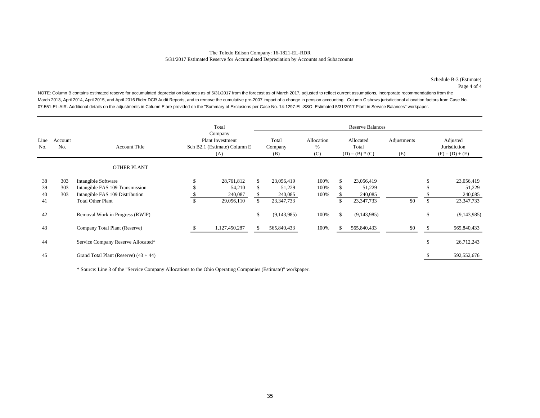#### The Toledo Edison Company: 16-1821-EL-RDR 5/31/2017 Estimated Reserve for Accumulated Depreciation by Accounts and Subaccounts

Schedule B-3 (Estimate) Page 4 of 4

NOTE: Column B contains estimated reserve for accumulated depreciation balances as of 5/31/2017 from the forecast as of March 2017, adjusted to reflect current assumptions, incorporate recommendations from the March 2013, April 2014, April 2015, and April 2016 Rider DCR Audit Reports, and to remove the cumulative pre-2007 impact of a change in pension accounting. Column C shows jurisdictional allocation factors from Case No. 07-551-EL-AIR. Additional details on the adjustments in Column E are provided on the "Summary of Exclusions per Case No. 14-1297-EL-SSO: Estimated 5/31/2017 Plant in Service Balances" workpaper.

|             |                |                                                             |    | Total                                                              |    |                         |                        |                                         | <b>Reserve Balances</b> |                    |                                               |                         |
|-------------|----------------|-------------------------------------------------------------|----|--------------------------------------------------------------------|----|-------------------------|------------------------|-----------------------------------------|-------------------------|--------------------|-----------------------------------------------|-------------------------|
| Line<br>No. | Account<br>No. | <b>Account Title</b>                                        |    | Company<br>Plant Investment<br>Sch B2.1 (Estimate) Column E<br>(A) |    | Total<br>Company<br>(B) | Allocation<br>%<br>(C) | Allocated<br>Total<br>$(D) = (B) * (C)$ |                         | Adjustments<br>(E) | Adjusted<br>Jurisdiction<br>$(F) = (D) + (E)$ |                         |
|             |                | <b>OTHER PLANT</b>                                          |    |                                                                    |    |                         |                        |                                         |                         |                    |                                               |                         |
| 38<br>39    | 303<br>303     | Intangible Software<br>Intangible FAS 109 Transmission      | S  | 28,761,812<br>54,210                                               | S  | 23,056,419<br>51,229    | 100%<br>100%           |                                         | 23,056,419<br>51,229    |                    | \$                                            | 23,056,419<br>51,229    |
| 40<br>41    | 303            | Intangible FAS 109 Distribution<br><b>Total Other Plant</b> | \$ | 240,087<br>29,056,110                                              |    | 240,085<br>23,347,733   | 100%                   |                                         | 240,085<br>23, 347, 733 | \$0                | \$                                            | 240,085<br>23, 347, 733 |
| 42          |                | Removal Work in Progress (RWIP)                             |    |                                                                    | \$ | (9,143,985)             | 100%                   | \$.                                     | (9,143,985)             |                    | \$                                            | (9,143,985)             |
| 43          |                | Company Total Plant (Reserve)                               |    | 1,127,450,287                                                      | Ъ. | 565,840,433             | 100%                   |                                         | 565,840,433             | \$0                |                                               | 565,840,433             |
| 44          |                | Service Company Reserve Allocated*                          |    |                                                                    |    |                         |                        |                                         |                         |                    | \$                                            | 26,712,243              |
| 45          |                | Grand Total Plant (Reserve) $(43 + 44)$                     |    |                                                                    |    |                         |                        |                                         |                         |                    |                                               | 592,552,676             |

\* Source: Line 3 of the "Service Company Allocations to the Ohio Operating Companies (Estimate)" workpaper.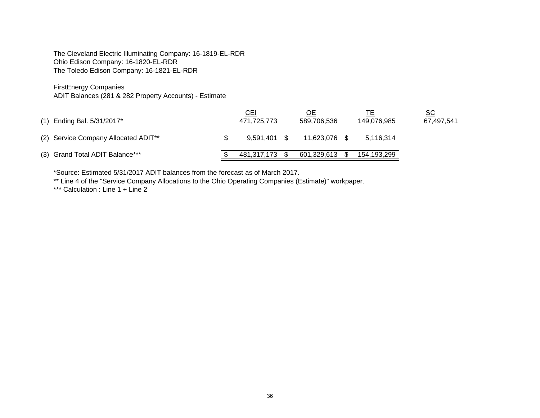The Cleveland Electric Illuminating Company: 16-1819-EL-RDR Ohio Edison Company: 16-1820-EL-RDR The Toledo Edison Company: 16-1821-EL-RDR

FirstEnergy Companies

ADIT Balances (281 & 282 Property Accounts) - Estimate

| $(1)$ Ending Bal. 5/31/2017*         | CEI<br>471,725,773 | OЕ<br>589.706.536 | 149.076.985 | SC<br>67,497,541 |
|--------------------------------------|--------------------|-------------------|-------------|------------------|
| (2) Service Company Allocated ADIT** | $9.591.401$ \$     | 11.623.076        | 5,116,314   |                  |
| (3) Grand Total ADIT Balance***      | 481,317,173 \$     | 601,329,613       | 154,193,299 |                  |

\*Source: Estimated 5/31/2017 ADIT balances from the forecast as of March 2017.

\*\* Line 4 of the "Service Company Allocations to the Ohio Operating Companies (Estimate)" workpaper.

\*\*\* Calculation : Line 1 + Line 2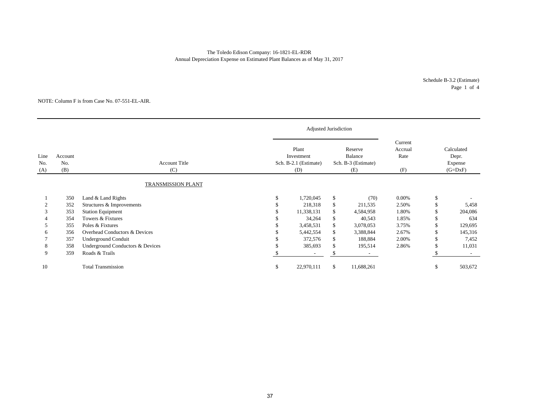#### The Toledo Edison Company: 16-1821-EL-RDR Annual Depreciation Expense on Estimated Plant Balances as of May 31, 2017

Schedule B-3.2 (Estimate) Page 1 of 4

#### NOTE: Column F is from Case No. 07-551-EL-AIR.

|                    |                       |                                  | Adjusted Jurisdiction                               |                                                         |                                   |               |                                             |
|--------------------|-----------------------|----------------------------------|-----------------------------------------------------|---------------------------------------------------------|-----------------------------------|---------------|---------------------------------------------|
| Line<br>No.<br>(A) | Account<br>No.<br>(B) | <b>Account Title</b><br>(C)      | Plant<br>Investment<br>Sch. B-2.1 (Estimate)<br>(D) | Reserve<br><b>Balance</b><br>Sch. B-3 (Estimate)<br>(E) | Current<br>Accrual<br>Rate<br>(F) |               | Calculated<br>Depr.<br>Expense<br>$(G=DxF)$ |
|                    |                       | <b>TRANSMISSION PLANT</b>        |                                                     |                                                         |                                   |               |                                             |
|                    | 350                   | Land & Land Rights               | 1,720,045                                           | \$<br>(70)                                              | 0.00%                             | $\mathbb{S}$  |                                             |
| $\overline{c}$     | 352                   | Structures & Improvements        | 218,318                                             | \$<br>211,535                                           | 2.50%                             | <sup>\$</sup> | 5,458                                       |
| 3                  | 353                   | <b>Station Equipment</b>         | 11,338,131                                          | \$<br>4,584,958                                         | 1.80%                             |               | 204,086                                     |
|                    | 354                   | Towers & Fixtures                | 34,264                                              | \$<br>40,543                                            | 1.85%                             | \$.           | 634                                         |
| 5                  | 355                   | Poles & Fixtures                 | 3,458,531                                           | \$<br>3,078,053                                         | 3.75%                             | \$.           | 129,695                                     |
| h                  | 356                   | Overhead Conductors & Devices    | 5,442,554                                           | \$<br>3,388,844                                         | 2.67%                             | \$            | 145,316                                     |
|                    | 357                   | <b>Underground Conduit</b>       | 372,576                                             | \$<br>188,884                                           | 2.00%                             | \$            | 7,452                                       |
| 8                  | 358                   | Underground Conductors & Devices | 385,693                                             | \$<br>195,514                                           | 2.86%                             | \$.           | 11,031                                      |
| 9                  | 359                   | Roads & Trails                   | $\overline{\phantom{a}}$                            | \$                                                      |                                   |               |                                             |
| 10                 |                       | <b>Total Transmission</b>        | \$<br>22,970,111                                    | \$<br>11,688,261                                        |                                   | \$            | 503,672                                     |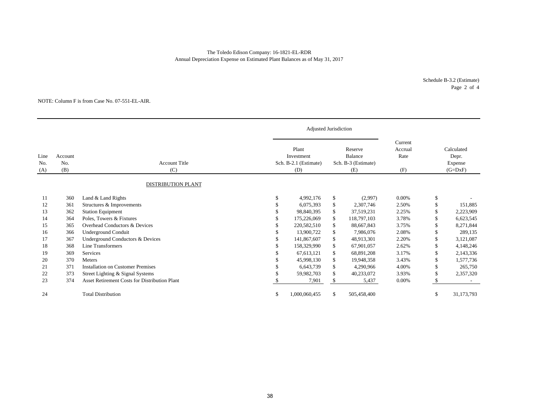#### The Toledo Edison Company: 16-1821-EL-RDR Annual Depreciation Expense on Estimated Plant Balances as of May 31, 2017

Schedule B-3.2 (Estimate) Page 2 of 4

#### NOTE: Column F is from Case No. 07-551-EL-AIR.

|                    |                       |                                                      |    | Adjusted Jurisdiction                               |                                                  |                                   |     |                                             |
|--------------------|-----------------------|------------------------------------------------------|----|-----------------------------------------------------|--------------------------------------------------|-----------------------------------|-----|---------------------------------------------|
| Line<br>No.<br>(A) | Account<br>No.<br>(B) | <b>Account Title</b><br>(C)                          |    | Plant<br>Investment<br>Sch. B-2.1 (Estimate)<br>(D) | Reserve<br>Balance<br>Sch. B-3 (Estimate)<br>(E) | Current<br>Accrual<br>Rate<br>(F) |     | Calculated<br>Depr.<br>Expense<br>$(G=DxF)$ |
|                    |                       | <b>DISTRIBUTION PLANT</b>                            |    |                                                     |                                                  |                                   |     |                                             |
| 11                 | 360                   | Land & Land Rights                                   | \$ | 4,992,176                                           | \$<br>(2,997)                                    | $0.00\%$                          | \$  |                                             |
| 12                 | 361                   | Structures & Improvements                            | S  | 6,075,393                                           | \$<br>2,307,746                                  | 2.50%                             | \$  | 151,885                                     |
| 13                 | 362                   | <b>Station Equipment</b>                             | ж  | 98,840,395                                          | \$<br>37,519,231                                 | 2.25%                             | S   | 2,223,909                                   |
| 14                 | 364                   | Poles, Towers & Fixtures                             |    | 175,226,069                                         | \$<br>118,797,103                                | 3.78%                             | S   | 6,623,545                                   |
| 15                 | 365                   | Overhead Conductors & Devices                        |    | 220,582,510                                         | \$<br>88,667,843                                 | 3.75%                             |     | 8,271,844                                   |
| 16                 | 366                   | Underground Conduit                                  |    | 13,900,722                                          | \$<br>7,986,076                                  | 2.08%                             |     | 289,135                                     |
| 17                 | 367                   | Underground Conductors & Devices                     |    | 141,867,607                                         | \$<br>48,913,301                                 | 2.20%                             |     | 3,121,087                                   |
| 18                 | 368                   | Line Transformers                                    |    | 158,329,990                                         | \$<br>67,901,057                                 | 2.62%                             |     | 4,148,246                                   |
| 19                 | 369                   | Services                                             |    | 67, 613, 121                                        | \$<br>68,891,208                                 | 3.17%                             | S   | 2,143,336                                   |
| 20                 | 370                   | Meters                                               |    | 45,998,130                                          | \$<br>19,948,358                                 | 3.43%                             | S   | 1,577,736                                   |
| 21                 | 371                   | <b>Installation on Customer Premises</b>             |    | 6,643,739                                           | \$<br>4,290,966                                  | 4.00%                             | \$. | 265,750                                     |
| 22                 | 373                   | Street Lighting & Signal Systems                     |    | 59,982,703                                          | \$<br>40,233,072                                 | 3.93%                             | \$. | 2,357,320                                   |
| 23                 | 374                   | <b>Asset Retirement Costs for Distribution Plant</b> |    | 7,901                                               | \$<br>5,437                                      | 0.00%                             |     |                                             |
| 24                 |                       | <b>Total Distribution</b>                            | \$ | 1,000,060,455                                       | \$<br>505,458,400                                |                                   | S   | 31,173,793                                  |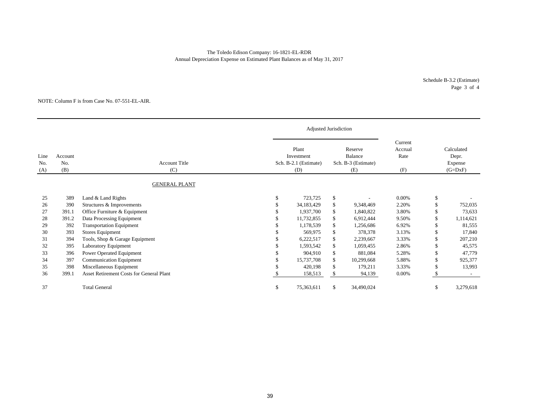#### Annual Depreciation Expense on Estimated Plant Balances as of May 31, 2017 The Toledo Edison Company: 16-1821-EL-RDR

Schedule B-3.2 (Estimate) Page 3 of 4

#### NOTE: Column F is from Case No. 07-551-EL-AIR.

|                    |                       |                                          |    | Adjusted Jurisdiction                               |    |            |                                   |                                             |           |
|--------------------|-----------------------|------------------------------------------|----|-----------------------------------------------------|----|------------|-----------------------------------|---------------------------------------------|-----------|
| Line<br>No.<br>(A) | Account<br>No.<br>(B) | <b>Account Title</b><br>(C)              |    | Plant<br>Investment<br>Sch. B-2.1 (Estimate)<br>(D) |    |            | Current<br>Accrual<br>Rate<br>(F) | Calculated<br>Depr.<br>Expense<br>$(G=DxF)$ |           |
|                    |                       | <b>GENERAL PLANT</b>                     |    |                                                     |    |            |                                   |                                             |           |
| 25                 | 389                   | Land & Land Rights                       | \$ | 723,725                                             | \$ |            | 0.00%                             | \$                                          |           |
| 26                 | 390                   | Structures & Improvements                |    | 34,183,429                                          | \$ | 9,348,469  | 2.20%                             |                                             | 752,035   |
| 27                 | 391.1                 | Office Furniture & Equipment             |    | 1,937,700                                           | \$ | 1,840,822  | 3.80%                             |                                             | 73,633    |
| 28                 | 391.2                 | Data Processing Equipment                |    | 11,732,855                                          | \$ | 6,912,444  | 9.50%                             |                                             | 1,114,621 |
| 29                 | 392                   | <b>Transportation Equipment</b>          |    | 1,178,539                                           | \$ | 1,256,686  | 6.92%                             |                                             | 81,555    |
| 30                 | 393                   | <b>Stores Equipment</b>                  |    | 569,975                                             | \$ | 378,378    | 3.13%                             |                                             | 17,840    |
| 31                 | 394                   | Tools, Shop & Garage Equipment           |    | 6,222,517                                           | \$ | 2,239,667  | 3.33%                             |                                             | 207,210   |
| 32                 | 395                   | Laboratory Equipment                     |    | 1,593,542                                           | \$ | 1,059,455  | 2.86%                             |                                             | 45,575    |
| 33                 | 396                   | Power Operated Equipment                 |    | 904,910                                             | \$ | 881,084    | 5.28%                             |                                             | 47,779    |
| 34                 | 397                   | <b>Communication Equipment</b>           |    | 15,737,708                                          | \$ | 10,299,668 | 5.88%                             |                                             | 925,377   |
| 35                 | 398                   | Miscellaneous Equipment                  |    | 420,198                                             | \$ | 179,211    | 3.33%                             |                                             | 13,993    |
| 36                 | 399.1                 | Asset Retirement Costs for General Plant |    | 158,513                                             | \$ | 94,139     | 0.00%                             | \$.                                         |           |
| 37                 |                       | <b>Total General</b>                     | S  | 75,363,611                                          | \$ | 34,490,024 |                                   | S                                           | 3,279,618 |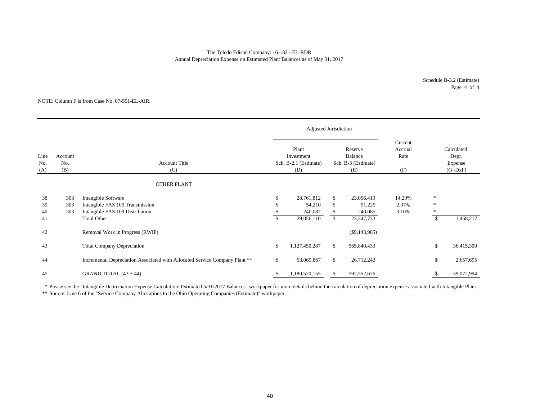#### The Toledo Edison Company: 16-1821-EL-RDR Annual Depreciation Expense on Estimated Plant Balances as of May 31, 2017

Schedule B-3.2 (Estimate) Page 4 of 4

#### NOTE: Column F is from Case No. 07-551-EL-AIR.

|                    |                       |                                                                                           |              | Adjusted Jurisdiction                               |                                                  |                                 |                                   |                                             |            |
|--------------------|-----------------------|-------------------------------------------------------------------------------------------|--------------|-----------------------------------------------------|--------------------------------------------------|---------------------------------|-----------------------------------|---------------------------------------------|------------|
| Line<br>No.<br>(A) | Account<br>No.<br>(B) | <b>Account Title</b><br>(C)                                                               |              | Plant<br>Investment<br>Sch. B-2.1 (Estimate)<br>(D) | Reserve<br>Balance<br>Sch. B-3 (Estimate)<br>(E) |                                 | Current<br>Accrual<br>Rate<br>(F) | Calculated<br>Depr.<br>Expense<br>$(G=DxF)$ |            |
|                    |                       | <b>OTHER PLANT</b>                                                                        |              |                                                     |                                                  |                                 |                                   |                                             |            |
| 38<br>39<br>40     | 303<br>303<br>303     | Intangible Software<br>Intangible FAS 109 Transmission<br>Intangible FAS 109 Distribution | \$<br>\$.    | 28,761,812<br>54,210<br>240,087                     | \$<br>\$<br>\$                                   | 23,056,419<br>51,229<br>240,085 | 14.29%<br>2.37%<br>3.10%          | $\ast$<br>$\ast$                            |            |
| 41                 |                       | <b>Total Other</b>                                                                        | $\mathbb{S}$ | 29,056,110                                          | $\mathbb{S}$                                     | 23, 347, 733                    |                                   | \$                                          | 1,458,217  |
| 42                 |                       | Removal Work in Progress (RWIP)                                                           |              |                                                     |                                                  | $(\$9,143,985)$                 |                                   |                                             |            |
| 43                 |                       | <b>Total Company Depreciation</b>                                                         | \$           | 1,127,450,287                                       | \$                                               | 565,840,433                     |                                   | \$                                          | 36,415,300 |
| 44                 |                       | Incremental Depreciation Associated with Allocated Service Company Plant **               | \$           | 53,069,867                                          | \$                                               | 26,712,243                      |                                   | \$                                          | 2,657,695  |
| 45                 |                       | GRAND TOTAL $(43 + 44)$                                                                   | S            | 1,180,520,155                                       | S                                                | 592,552,676                     |                                   |                                             | 39,072,994 |

\* Please see the "Intangible Depreciation Expense Calculation: Estimated 5/31/2017 Balances" workpaper for more details behind the calculation of depreciation expense associated with Intangible Plant.

\*\* Source: Line 6 of the "Service Company Allocations to the Ohio Operating Companies (Estimate)" workpaper.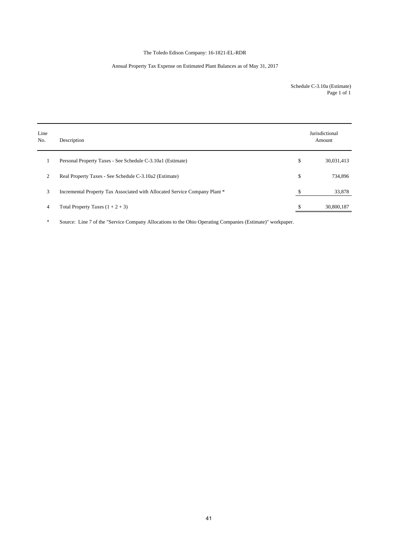### The Toledo Edison Company: 16-1821-EL-RDR

#### Annual Property Tax Expense on Estimated Plant Balances as of May 31, 2017

Schedule C-3.10a (Estimate) Page 1 of 1

| Line<br>No. | Description                                                                | Jurisdictional<br>Amount |
|-------------|----------------------------------------------------------------------------|--------------------------|
|             | Personal Property Taxes - See Schedule C-3.10a1 (Estimate)                 | \$<br>30,031,413         |
| 2           | Real Property Taxes - See Schedule C-3.10a2 (Estimate)                     | \$<br>734,896            |
| 3           | Incremental Property Tax Associated with Allocated Service Company Plant * | \$<br>33,878             |
| 4           | Total Property Taxes $(1 + 2 + 3)$                                         | \$<br>30,800,187         |

\* Source: Line 7 of the "Service Company Allocations to the Ohio Operating Companies (Estimate)" workpaper.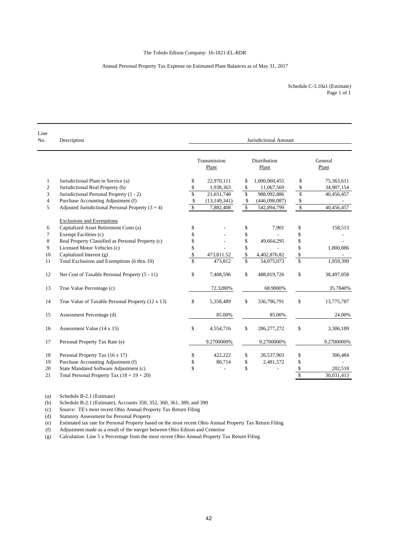#### Annual Personal Property Tax Expense on Estimated Plant Balances as of May 31, 2017

| Schedule C-3.10a1 (Estimate) |  |
|------------------------------|--|
| Page 1 of 1                  |  |

| Line<br>No.    | Description                                         | Jurisdictional Amount   |                       |                      |                       |                         |                  |  |  |  |
|----------------|-----------------------------------------------------|-------------------------|-----------------------|----------------------|-----------------------|-------------------------|------------------|--|--|--|
|                |                                                     |                         | Transmission<br>Plant |                      | Distribution<br>Plant |                         | General<br>Plant |  |  |  |
| 1              | Jurisdictional Plant in Service (a)                 | \$                      | 22,970,111            | \$                   | 1,000,060,455         | \$                      | 75,363,611       |  |  |  |
| $\overline{c}$ | Jurisdictional Real Property (b)                    | \$                      | 1,938,363             | \$                   | 11,067,569            | \$                      | 34,907,154       |  |  |  |
| 3              | Jurisdictional Personal Property (1 - 2)            | $\overline{\mathbb{S}}$ | 21,031,748            | \$                   | 988,992,886           | \$                      | 40,456,457       |  |  |  |
| 4              | Purchase Accounting Adjustment (f)                  | \$                      | (13, 149, 341)        | \$                   | (446,098,087)         | \$                      |                  |  |  |  |
| 5              | Adjusted Jurisdictional Personal Property $(3 + 4)$ | \$                      | 7,882,408             | $\sqrt{\frac{2}{3}}$ | 542,894,799           | $\mathbb{S}$            | 40,456,457       |  |  |  |
|                | <b>Exclusions and Exemptions</b>                    |                         |                       |                      |                       |                         |                  |  |  |  |
| 6              | Capitalized Asset Retirement Costs (a)              | \$                      |                       | \$                   | 7,901                 | \$                      | 158,513          |  |  |  |
| 7              | Exempt Facilities (c)                               | \$                      |                       | \$                   |                       | \$                      |                  |  |  |  |
| 8              | Real Property Classified as Personal Property (c)   | \$                      |                       | \$                   | 49,664,295            | \$                      |                  |  |  |  |
| 9              | Licensed Motor Vehicles (c)                         | \$                      |                       | \$                   | $\overline{a}$        | \$                      | 1,800,886        |  |  |  |
| 10             | Capitalized Interest (g)                            | \$                      | 473,811.52            | \$                   | 4,402,876.82          | \$                      |                  |  |  |  |
| 11             | Total Exclusions and Exemptions (6 thru 10)         | $\overline{\mathbb{S}}$ | 473,812               | $\mathbf S$          | 54,075,073            | $\overline{\mathbb{S}}$ | 1,959,399        |  |  |  |
| 12             | Net Cost of Taxable Personal Property (5 - 11)      | \$                      | 7,408,596             | \$                   | 488,819,726           | \$                      | 38,497,058       |  |  |  |
| 13             | True Value Percentage (c)                           |                         | 72.3280%              |                      | 68.9000%              |                         | 35.7840%         |  |  |  |
| 14             | True Value of Taxable Personal Property (12 x 13)   | \$                      | 5,358,489             | \$                   | 336,796,791           | \$                      | 13,775,787       |  |  |  |
| 15             | Assessment Percentage (d)                           |                         | 85.00%                |                      | 85.00%                |                         | 24.00%           |  |  |  |
| 16             | Assessment Value (14 x 15)                          | \$                      | 4,554,716             | \$                   | 286, 277, 272         | \$                      | 3,306,189        |  |  |  |
| 17             | Personal Property Tax Rate (e)                      |                         | 9.2700000%            |                      | 9.2700000%            |                         | 9.2700000%       |  |  |  |
| 18             | Personal Property Tax (16 x 17)                     | \$                      | 422,222               | \$                   | 26,537,903            | \$                      | 306,484          |  |  |  |
| 19             | Purchase Accounting Adjustment (f)                  | \$                      | 80,714                | \$                   | 2,481,572             | \$                      |                  |  |  |  |
| 20             | State Mandated Software Adjustment (c)              | \$                      |                       | \$                   |                       | \$                      | 202,518          |  |  |  |
| 21             | Total Personal Property Tax $(18 + 19 + 20)$        |                         |                       |                      |                       | $\overline{\mathbb{S}}$ | 30,031,413       |  |  |  |

(a) Schedule B-2.1 (Estimate)

(b) Schedule B-2.1 (Estimate), Accounts 350, 352, 360, 361, 389, and 390 (c) Source: TE's most recent Ohio Annual Property Tax Return Filing

(c) Source: TE's most recent Ohio Annual Property Tax Return Filing

Statutory Assessment for Personal Property

(e) Estimated tax rate for Personal Property based on the most recent Ohio Annual Property Tax Return Filing

(f) Adjustment made as a result of the merger between Ohio Edison and Centerior

(g) Calculation: Line 5 x Percentage from the most recent Ohio Annual Property Tax Return Filing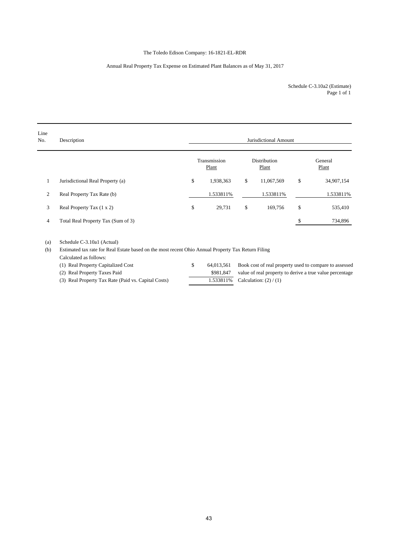#### The Toledo Edison Company: 16-1821-EL-RDR

#### Annual Real Property Tax Expense on Estimated Plant Balances as of May 31, 2017

Page 1 of 1 Schedule C-3.10a2 (Estimate)

| Line<br>No. | Description                        | Jurisdictional Amount |    |                       |    |                  |  |  |  |  |  |
|-------------|------------------------------------|-----------------------|----|-----------------------|----|------------------|--|--|--|--|--|
|             |                                    | Transmission<br>Plant |    | Distribution<br>Plant |    | General<br>Plant |  |  |  |  |  |
| 1           | Jurisdictional Real Property (a)   | \$<br>1,938,363       | \$ | 11,067,569            | \$ | 34,907,154       |  |  |  |  |  |
| 2           | Real Property Tax Rate (b)         | 1.533811%             |    | 1.533811%             |    | 1.533811%        |  |  |  |  |  |
| 3           | Real Property Tax (1 x 2)          | \$<br>29,731          | \$ | 169,756               | \$ | 535,410          |  |  |  |  |  |
| 4           | Total Real Property Tax (Sum of 3) |                       |    |                       |    | 734,896          |  |  |  |  |  |
|             |                                    |                       |    |                       |    |                  |  |  |  |  |  |

(a) Schedule C-3.10a1 (Actual)

(b) Estimated tax rate for Real Estate based on the most recent Ohio Annual Property Tax Return Filing

Calculated as follows:

(1) Real Property Capitalized Cost \$ 64,013,561 Book cost of real property used to compare to assessed (2) Real Property Taxes Paid \$981,847 value of real property to derive a true value percentage (3) Real Property Tax Rate (Paid vs. Capital Costs) 1.533811% Calculation:  $(2) / (1)$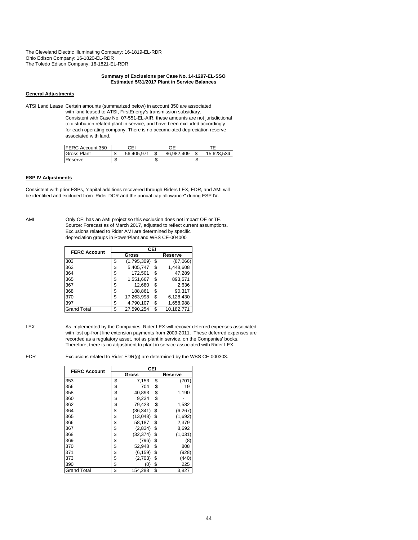The Cleveland Electric Illuminating Company: 16-1819-EL-RDR Ohio Edison Company: 16-1820-EL-RDR The Toledo Edison Company: 16-1821-EL-RDR

#### **Summary of Exclusions per Case No. 14-1297-EL-SSO Estimated 5/31/2017 Plant in Service Balances**

#### **General Adjustments**

ATSI Land Lease Certain amounts (summarized below) in account 350 are associated with land leased to ATSI, FirstEnergy's transmission subsidiary. Consistent with Case No. 07-551-EL-AIR, these amounts are not jurisdictional to distribution related plant in service, and have been excluded accordingly for each operating company. There is no accumulated depreciation reserve associated with land.

| FERC Account 350   |    | СEI        |            |            |
|--------------------|----|------------|------------|------------|
| <b>Gross Plant</b> |    | 56.405.971 | 86.982.409 | 15.628.534 |
| Reserve            | мD | -          |            | ۰          |

#### **ESP IV Adjustments**

Consistent with prior ESPs, "capital additions recovered through Riders LEX, EDR, and AMI will be identified and excluded from Rider DCR and the annual cap allowance" during ESP IV.

AMI Only CEI has an AMI project so this exclusion does not impact OE or TE. Source: Forecast as of March 2017, adjusted to reflect current assumptions. Exclusions related to Rider AMI are determined by specific depreciation groups in PowerPlant and WBS CE-004000

| <b>FERC Account</b> | CEI |             |    |            |  |  |  |  |
|---------------------|-----|-------------|----|------------|--|--|--|--|
|                     |     | Gross       |    | Reserve    |  |  |  |  |
| 303                 | \$  | (1,795,309) | \$ | (87,066)   |  |  |  |  |
| 362                 | S   | 5,405,747   | \$ | 1,448,608  |  |  |  |  |
| 364                 | \$  | 172,501     | \$ | 47,289     |  |  |  |  |
| 365                 | \$  | 1,551,667   | \$ | 893,571    |  |  |  |  |
| 367                 | S   | 12,680      | S  | 2,636      |  |  |  |  |
| 368                 | \$  | 188,861     | \$ | 90.317     |  |  |  |  |
| 370                 | \$  | 17,263,998  | \$ | 6,128,430  |  |  |  |  |
| 397                 | \$  | 4,790,107   | \$ | 1,658,988  |  |  |  |  |
| <b>Grand Total</b>  | \$  | 27,590,254  | S  | 10,182,771 |  |  |  |  |

LEX As implemented by the Companies, Rider LEX will recover deferred expenses associated with lost up-front line extension payments from 2009-2011. These deferred expenses are recorded as a regulatory asset, not as plant in service, on the Companies' books. Therefore, there is no adjustment to plant in service associated with Rider LEX.

EDR Exclusions related to Rider EDR(g) are determined by the WBS CE-000303.

| <b>FERC Account</b> | CEI             |    |          |
|---------------------|-----------------|----|----------|
|                     | Gross           |    | Reserve  |
| 353                 | \$<br>7,153     | \$ | (701)    |
| 356                 | \$<br>704       | \$ | 19       |
| 358                 | \$<br>40,893    | \$ | 1,190    |
| 360                 | \$<br>9.234     | \$ |          |
| 362                 | \$<br>79,423    | \$ | 1,582    |
| 364                 | \$<br>(36, 341) | \$ | (6, 267) |
| 365                 | \$<br>(13,048)  | \$ | (1,692)  |
| 366                 | \$<br>58,187    | \$ | 2,379    |
| 367                 | \$<br>(2,834)   | \$ | 8,692    |
| 368                 | \$<br>(32, 374) | \$ | (1,031)  |
| 369                 | \$<br>(796)     | \$ | (8)      |
| 370                 | \$<br>52,948    | \$ | 808      |
| 371                 | \$<br>(6, 159)  | \$ | (928)    |
| 373                 | \$<br>(2,703)   | \$ | (440)    |
| 390                 | \$<br>(0)       | \$ | 225      |
| <b>Grand Total</b>  | \$<br>154,288   | \$ | 3,827    |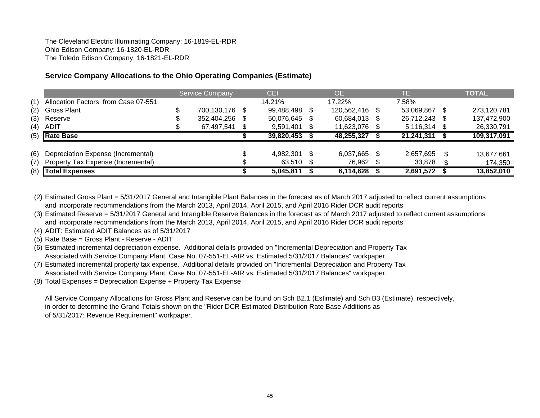The Cleveland Electric Illuminating Company: 16-1819-EL-RDR Ohio Edison Company: 16-1820-EL-RDR The Toledo Edison Company: 16-1821-EL-RDR

# **Service Company Allocations to the Ohio Operating Companies (Estimate)**

|     |                                     | <b>Service Company</b> |     | CEI           |      | OE.            | TE.          |     | <b>TOTAL</b> |
|-----|-------------------------------------|------------------------|-----|---------------|------|----------------|--------------|-----|--------------|
| (1) | Allocation Factors from Case 07-551 |                        |     | 14.21%        |      | 17.22%         | 7.58%        |     |              |
| (2) | <b>Gross Plant</b>                  | 700,130,176 \$         |     | 99,488,498 \$ |      | 120,562,416 \$ | 53,069,867   |     | 273,120,781  |
| (3) | Reserve                             | 352,404,256            | \$. | 50,076,645    | - \$ | 60,684,013 \$  | 26,712,243   |     | 137,472,900  |
| (4) | ADIT                                | 67,497,541             | S   | 9,591,401     | - \$ | 11,623,076 \$  | 5,116,314 \$ |     | 26,330,791   |
|     | $(5)$ Rate Base                     |                        |     | 39,820,453    |      | 48,255,327     | 21,241,311   |     | 109,317,091  |
|     |                                     |                        |     |               |      |                |              |     |              |
| (6) | Depreciation Expense (Incremental)  |                        |     | 4,982,301     | - \$ | 6,037,665 \$   | 2,657,695    | \$. | 13,677,661   |
| (7) | Property Tax Expense (Incremental)  |                        |     | 63,510        |      | 76,962 \$      | 33,878       |     | 174,350      |
|     | (8) Total Expenses                  |                        |     | 5,045,811     |      | 6,114,628      | 2,691,572    |     | 13,852,010   |

(2) Estimated Gross Plant = 5/31/2017 General and Intangible Plant Balances in the forecast as of March 2017 adjusted to reflect current assumptions and incorporate recommendations from the March 2013, April 2014, April 2015, and April 2016 Rider DCR audit reports

(3) Estimated Reserve = 5/31/2017 General and Intangible Reserve Balances in the forecast as of March 2017 adjusted to reflect current assumptions and incorporate recommendations from the March 2013, April 2014, April 2015, and April 2016 Rider DCR audit reports

(4) ADIT: Estimated ADIT Balances as of 5/31/2017

(5) Rate Base = Gross Plant - Reserve - ADIT

(6) Estimated incremental depreciation expense. Additional details provided on "Incremental Depreciation and Property Tax Associated with Service Company Plant: Case No. 07-551-EL-AIR vs. Estimated 5/31/2017 Balances" workpaper.

- (7) Estimated incremental property tax expense. Additional details provided on "Incremental Depreciation and Property Tax Associated with Service Company Plant: Case No. 07-551-EL-AIR vs. Estimated 5/31/2017 Balances" workpaper.
- (8) Total Expenses = Depreciation Expense + Property Tax Expense

All Service Company Allocations for Gross Plant and Reserve can be found on Sch B2.1 (Estimate) and Sch B3 (Estimate), respectively, in order to determine the Grand Totals shown on the "Rider DCR Estimated Distribution Rate Base Additions as of 5/31/2017: Revenue Requirement" workpaper.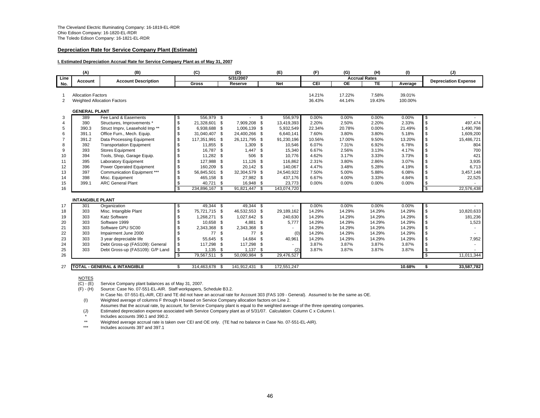#### **Depreciation Rate for Service Company Plant (Estimate)**

#### **I. Estimated Depreciation Accrual Rate for Service Company Plant as of May 31, 2007**

|                | (A)                       | (B)                                       |                | (C)            | (D)            |          | (E)         | (F)        | (G)                  | (H)    | (1)     |                          | (J)                         |
|----------------|---------------------------|-------------------------------------------|----------------|----------------|----------------|----------|-------------|------------|----------------------|--------|---------|--------------------------|-----------------------------|
| Line           | Account                   | <b>Account Description</b>                |                |                | 5/31/2007      |          |             |            | <b>Accrual Rates</b> |        |         |                          | <b>Depreciation Expense</b> |
| No.            |                           |                                           |                | <b>Gross</b>   | Reserve        |          | <b>Net</b>  | <b>CEI</b> | $\overline{OE}$      | TE     | Average |                          |                             |
|                |                           |                                           |                |                |                |          |             |            |                      |        |         |                          |                             |
|                | <b>Allocation Factors</b> |                                           |                |                |                |          |             | 14.21%     | 17.22%               | 7.58%  | 39.01%  |                          |                             |
| 2              |                           | Weighted Allocation Factors               |                |                |                |          |             | 36.43%     | 44.14%               | 19.43% | 100.00% |                          |                             |
|                | <b>GENERAL PLANT</b>      |                                           |                |                |                |          |             |            |                      |        |         |                          |                             |
| 3              | 389                       | Fee Land & Easements                      | \$             | 556,979 \$     |                | \$       | 556,979     | 0.00%      | 0.00%                | 0.00%  | 0.00%   | \$                       |                             |
| 4              | 390                       | Structures, Improvements *                | \$             | 21,328,601 \$  | 7,909,208 \$   |          | 13,419,393  | 2.20%      | 2.50%                | 2.20%  | 2.33%   | $\mathfrak s$            | 497,474                     |
| 5              | 390.3                     | Struct Imprv, Leasehold Imp <sup>**</sup> | \$             | 6,938,688 \$   | 1,006,139 \$   |          | 5,932,549   | 22.34%     | 20.78%               | 0.00%  | 21.49%  | \$                       | 1,490,798                   |
| 6              | 391.1                     | Office Furn., Mech. Equip.                | \$             | 31,040,407 \$  | 24,400,266 \$  |          | 6,640,141   | 7.60%      | 3.80%                | 3.80%  | 5.18%   | \$                       | 1,609,200                   |
| $\overline{7}$ | 391.2                     | Data Processing Equipment                 | \$             | 117,351,991 \$ | 26,121,795 \$  |          | 91,230,196  | 10.56%     | 17.00%               | 9.50%  | 13.20%  | \$                       | 15,486,721                  |
| 8              | 392                       | <b>Transportation Equipment</b>           | \$             | 11,855 \$      | $1,309$ \$     |          | 10,546      | 6.07%      | 7.31%                | 6.92%  | 6.78%   | \$                       | 804                         |
| 9              | 393                       | <b>Stores Equipment</b>                   | $\mathfrak{s}$ | 16,787 \$      | $1,447$ \$     |          | 15,340      | 6.67%      | 2.56%                | 3.13%  | 4.17%   | \$                       | 700                         |
| 10             | 394                       | Tools, Shop, Garage Equip.                | \$             | 11,282 \$      | 506 \$         |          | 10,776      | 4.62%      | 3.17%                | 3.33%  | 3.73%   | \$                       | 421                         |
| 11             | 395                       | <b>Laboratory Equipment</b>               | \$             | 127,988 \$     | 11,126 \$      |          | 116,862     | 2.31%      | 3.80%                | 2.86%  | 3.07%   | \$                       | 3,935                       |
| 12             | 396                       | Power Operated Equipment                  | \$             | 160.209 \$     | 20,142 \$      |          | 140,067     | 4.47%      | 3.48%                | 5.28%  | 4.19%   | \$                       | 6,713                       |
| 13             | 397                       | Communication Equipment ***               | \$             | 56,845,501 \$  | 32,304,579 \$  |          | 24,540,922  | 7.50%      | 5.00%                | 5.88%  | 6.08%   | \$                       | 3,457,148                   |
| 14             | 398                       | Misc. Equipment                           | £              | 465.158 \$     | 27,982 \$      |          | 437,176     | 6.67%      | 4.00%                | 3.33%  | 4.84%   | \$                       | 22,525                      |
| 15             | 399.1                     | <b>ARC General Plant</b>                  | \$             | 40,721 \$      | 16,948 \$      |          | 23,773      | $0.00\%$   | 0.00%                | 0.00%  | 0.00%   | \$                       |                             |
| 16             |                           |                                           | $\mathfrak{s}$ | 234,896,167 \$ | 91,821,447 \$  |          | 143,074,720 |            |                      |        |         | $\overline{\mathcal{S}}$ | 22,576,438                  |
|                |                           |                                           |                |                |                |          |             |            |                      |        |         |                          |                             |
|                | <b>INTANGIBLE PLANT</b>   |                                           |                |                |                |          |             |            |                      |        |         |                          |                             |
| 17             | 301                       | Organization                              | \$             | 49,344 \$      | 49.344 \$      |          |             | 0.00%      | 0.00%                | 0.00%  | 0.00%   | \$                       |                             |
| 18             | 303                       | Misc. Intangible Plant                    | \$             | 75,721,715 \$  | 46,532,553 \$  |          | 29,189,162  | 14.29%     | 14.29%               | 14.29% | 14.29%  | \$                       | 10,820,633                  |
| 19             | 303                       | <b>Katz Software</b>                      |                | 1,268,271 \$   | 1,027,642 \$   |          | 240,630     | 14.29%     | 14.29%               | 14.29% | 14.29%  | \$                       | 181,236                     |
| 20             | 303                       | Software 1999                             |                | 10,658 \$      | 4,881 \$       |          | 5.777       | 14.29%     | 14.29%               | 14.29% | 14.29%  | \$                       | 1,523                       |
| 21             | 303                       | Software GPU SC00                         |                | 2,343,368 \$   | 2,343,368 \$   |          |             | 14.29%     | 14.29%               | 14.29% | 14.29%  | \$                       |                             |
| 22             | 303                       | Impairment June 2000                      |                | 77 \$          | 77             | <b>S</b> | (0)         | 14.29%     | 14.29%               | 14.29% | 14.29%  | \$                       |                             |
| 23             | 303                       | 3 year depreciable life                   | \$             | 55,645 \$      | 14,684 \$      |          | 40,961      | 14.29%     | 14.29%               | 14.29% | 14.29%  | \$                       | 7,952                       |
| 24             | 303                       | Debt Gross-up (FAS109): General           | \$             | 117,298 \$     | 117,298 \$     |          |             | 3.87%      | 3.87%                | 3.87%  | 3.87%   | $\sqrt{3}$               |                             |
| 25             | 303                       | Debt Gross-up (FAS109): G/P Land          | \$             | $1,135$ \$     | $1,137$ \$     |          | (2)         | 3.87%      | 3.87%                | 3.87%  | 3.87%   | \$                       |                             |
| 26             |                           |                                           | \$             | 79,567,511 \$  | 50,090,984 \$  |          | 29,476,527  |            |                      |        |         | $\mathfrak s$            | 11,011,344                  |
| 27             |                           | <b>TOTAL - GENERAL &amp; INTANGIBLE</b>   | \$             | 314,463,678 \$ | 141,912,431 \$ |          | 172,551,247 |            |                      |        | 10.68%  | \$                       | 33,587,782                  |

NOTES

 $\overline{(C) \cdot (E)}$  Service Company plant balances as of May 31, 2007.

(F) - (H) Source: Case No. 07-551-EL-AIR. Staff workpapers, Schedule B3.2.

In Case No. 07-551-EL-AIR, CEI and TE did not have an accrual rate for Account 303 (FAS 109 - General). Assumed to be the same as OE. (I) Weighted average of columns F through H based on Service Company allocation factors on Line 2.

Assumes that the accrual rate, by account, for Service Company plant is equal to the weighted average of the three operating companies.

(J) Estimated depreciation expense associated with Service Company plant as of 5/31/07. Calculation: Column C x Column I.

Includes accounts 390.1 and 390.2.

\*\*Weighted average accrual rate is taken over CEI and OE only. (TE had no balance in Case No. 07-551-EL-AIR).

\*\*\*Includes accounts 397 and 397.1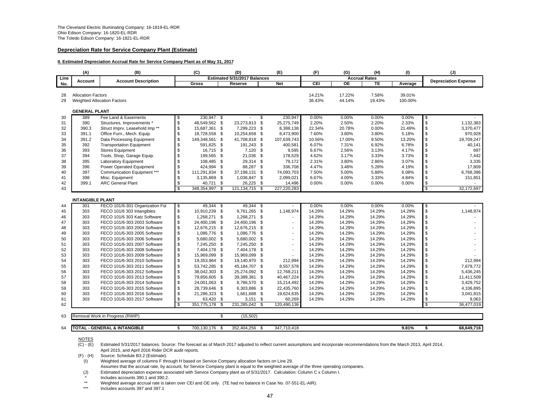#### **Depreciation Rate for Service Company Plant (Estimate)**

#### **II. Estimated Depreciation Accrual Rate for Service Company Plant as of May 31, 2017**

|          | (A)                       | (B)                                                          |          | (C)                            |    | (D)                            | (E)                  | (F)              | (G)                  | (H)              | (1)              |              | (J)                         |
|----------|---------------------------|--------------------------------------------------------------|----------|--------------------------------|----|--------------------------------|----------------------|------------------|----------------------|------------------|------------------|--------------|-----------------------------|
| Line     | Account                   | <b>Account Description</b>                                   |          |                                |    | Estimated 5/31/2017 Balances   |                      |                  | <b>Accrual Rates</b> |                  |                  |              | <b>Depreciation Expense</b> |
| No.      |                           |                                                              |          | Gross                          |    | Reserve                        | <b>Net</b>           | CEI              | ОE                   | <b>TE</b>        | Average          |              |                             |
| 28       | <b>Allocation Factors</b> |                                                              |          |                                |    |                                |                      | 14.21%           | 17.22%               | 7.58%            | 39.01%           |              |                             |
| 29       |                           | <b>Weighted Allocation Factors</b>                           |          |                                |    |                                |                      | 36.43%           | 44.14%               | 19.43%           | 100.00%          |              |                             |
|          |                           |                                                              |          |                                |    |                                |                      |                  |                      |                  |                  |              |                             |
|          | <b>GENERAL PLANT</b>      |                                                              |          |                                |    |                                |                      |                  |                      |                  |                  |              |                             |
| 30       | 389                       | Fee Land & Easements                                         | \$       | 230,947 \$                     |    |                                | \$<br>230,947        | 0.00%            | 0.00%                | 0.00%            | 0.00%            | \$           |                             |
| 31       | 390                       | Structures, Improvements *                                   | \$       | 48,549,562 \$                  |    | 23,273,813 \$                  | 25,275,749           | 2.20%            | 2.50%                | 2.20%            | 2.33%            | \$           | 1,132,383                   |
| 32       | 390.3                     | Struct Imprv, Leasehold Imp **                               | \$       | 15,687,361 \$                  |    | 7,299,223 \$                   | 8,388,138            | 22.34%           | 20.78%               | 0.00%            | 21.49%           | \$           | 3,370,477                   |
| 33       | 391.1                     | Office Furn., Mech. Equip.                                   | \$       | 18,728,558 \$                  |    | 10,254,658 \$                  | 8,473,900            | 7.60%            | 3.80%                | 3.80%            | 5.18%            | \$           | 970,928                     |
| 34       | 391.2                     | Data Processing Equipment                                    | \$       | 149,348,561 \$                 |    | 41,708,818 \$                  | 107,639,743          | 10.56%           | 17.00%               | 9.50%            | 13.20%           | \$           | 19,709,247                  |
| 35       | 392                       | <b>Transportation Equipment</b>                              | \$       | 591,825 \$                     |    | 191,243 \$                     | 400,581              | 6.07%            | 7.31%                | 6.92%            | 6.78%            | \$           | 40,141                      |
| 36       | 393                       | <b>Stores Equipment</b>                                      | \$       | 16,715 \$                      |    | $7,120$ \$                     | 9,595                | 6.67%            | 2.56%                | 3.13%            | 4.17%            | \$           | 697                         |
| 37       | 394                       | Tools, Shop, Garage Equip.                                   | \$       | 199,565 \$                     |    | 21,036 \$                      | 178,529              | 4.62%            | 3.17%                | 3.33%            | 3.73%            | \$           | 7,442                       |
| 38       | 395                       | Laboratory Equipment                                         | \$       | 108,485 \$                     |    | 29,314 \$                      | 79,172               | 2.31%            | 3.80%                | 2.86%            | 3.07%            | \$           | 3,335                       |
| 39       | 396                       | Power Operated Equipment                                     | \$       | 424.994 \$                     |    | 88,287 \$                      | 336,708              | 4.47%            | 3.48%                | 5.28%            | 4.19%            | \$           | 17,809                      |
| 40       | 397                       | Communication Equipment ***                                  | \$       | 111,291,834 \$                 |    | 37,198,131 \$                  | 74,093,703           | 7.50%            | 5.00%                | 5.88%            | 6.08%            | \$           | 6,768,386                   |
| 41       | 398                       | Misc. Equipment                                              | \$       | 3,135,869 \$                   |    | 1,036,847 \$                   | 2,099,021            | 6.67%            | 4.00%                | 3.33%            | 4.84%            | \$           | 151,851                     |
| 42       | 399.1                     | <b>ARC General Plant</b>                                     | \$       | 40.721                         | \$ | 26,225 \$                      | 14,496               | 0.00%            | 0.00%                | 0.00%            | 0.00%            | \$           | $\overline{a}$              |
| 43       |                           |                                                              | \$.      | 348,354,997                    | \$ | 121, 134, 715 \$               | 227,220,283          |                  |                      |                  |                  | $\mathbf{s}$ | 32,172,697                  |
|          |                           |                                                              |          |                                |    |                                |                      |                  |                      |                  |                  |              |                             |
|          | <b>INTANGIBLE PLANT</b>   |                                                              |          |                                |    |                                |                      |                  |                      |                  |                  |              |                             |
| 44       | 301                       | FECO 101/6-301 Organization Fst                              | \$       | 49,344 \$                      |    | 49,344 \$                      |                      | 0.00%            | 0.00%                | 0.00%            | 0.00%            | \$           |                             |
| 45       | 303                       | FECO 101/6 303 Intangibles                                   | \$       | 10,910,239 \$                  |    | 9,761,265 \$                   | 1,148,974            | 14.29%           | 14.29%               | 14.29%           | 14.29%           | \$           | 1,148,974                   |
| 46       | 303                       | FECO 101/6 303 Katz Software                                 | \$       | 1,268,271 \$                   |    | 1,268,271 \$                   |                      | 14.29%           | 14.29%               | 14.29%           | 14.29%           | \$           |                             |
| 47       | 303                       | FECO 101/6-303 2003 Software                                 | \$       | 24,400,196 \$                  |    | 24.400.196 \$                  |                      | 14.29%           | 14.29%               | 14.29%           | 14.29%           | \$           |                             |
| 48       | 303                       | FECO 101/6-303 2004 Software                                 | \$       | 12,676,215 \$                  |    | 12,676,215 \$                  |                      | 14.29%           | 14.29%               | 14.29%           | 14.29%           | \$           |                             |
| 49       | 303                       | FECO 101/6-303 2005 Software                                 | \$       | 1,086,776 \$                   |    | 1,086,776 \$                   |                      | 14.29%           | 14.29%               | 14.29%           | 14.29%           | \$           |                             |
| 50       | 303                       | FECO 101/6-303 2006 Software                                 | \$       | 5,680,002 \$                   |    | 5,680,002 \$                   |                      | 14.29%           | 14.29%               | 14.29%           | 14.29%           | \$           |                             |
| 51       | 303                       | FECO 101/6-303 2007 Software                                 | \$       | 7,245,250 \$                   |    | 7,245,250 \$                   |                      | 14.29%           | 14.29%               | 14.29%           | 14.29%           | \$<br>\$     |                             |
| 52       | 303                       | FECO 101/6-303 2008 Software                                 | \$<br>\$ | 7,404,178 \$                   |    | 7,404,178 \$                   |                      | 14.29%           | 14.29%               | 14.29%           | 14.29%           | \$           |                             |
| 53       | 303<br>303                | FECO 101/6-303 2009 Software<br>FECO 101/6-303 2010 Software |          | 15,969,099 \$<br>19,353,964 \$ |    | 15,969,099 \$<br>19,140,970 \$ |                      | 14.29%<br>14.29% | 14.29%<br>14.29%     | 14.29%<br>14.29% | 14.29%<br>14.29% | \$           | 212,994                     |
| 54<br>55 | 303                       | FECO 101/6-303 2011 Software                                 | \$<br>\$ | 53,742,285 \$                  |    | 45,184,707 \$                  | 212,994              | 14.29%           | 14.29%               | 14.29%           | 14.29%           | \$           | 7,679,772                   |
|          |                           |                                                              |          |                                |    |                                | 8,557,578            | 14.29%           |                      |                  | 14.29%           |              |                             |
| 56<br>57 | 303<br>303                | FECO 101/6-303 2012 Software<br>FECO 101/6-303 2013 Software | \$<br>\$ | 38,042,303 \$<br>79,856,605 \$ |    | 25,274,092 \$<br>39,389,381 \$ | 12,768,211           | 14.29%           | 14.29%<br>14.29%     | 14.29%<br>14.29% | 14.29%           | \$<br>\$     | 5,436,245<br>11,411,509     |
|          | 303                       |                                                              | \$       | 24,001,063 \$                  |    | 8,786,570 \$                   | 40,467,224           |                  |                      |                  |                  | \$           | 3,429,752                   |
| 58       | 303                       | FECO 101/6-303 2014 Software                                 |          |                                |    | 6,303,886 \$                   | 15,214,492           | 14.29%           | 14.29%<br>14.29%     | 14.29%           | 14.29%<br>14.29% | \$           |                             |
| 59       | 303                       | FECO 101/6-303 2015 Software                                 | \$<br>\$ | 28,739,646 \$                  |    |                                | 22,435,760           | 14.29%<br>14.29% |                      | 14.29%           |                  |              | 4,106,895                   |
| 60<br>61 | 303                       | FECO 101/6-303 2016 Software<br>FECO 101/6-303 2017 Software | \$       | 21,286,323 \$<br>63,420 \$     |    | 1,661,688 \$<br>$3,151$ \$     | 19,624,635<br>60,269 | 14.29%           | 14.29%<br>14.29%     | 14.29%<br>14.29% | 14.29%<br>14.29% | \$           | 3,041,815<br>9,063          |
| 62       |                           |                                                              |          | 351,775,178 \$                 |    | 231,285,042 \$                 | 120,490,136          |                  |                      |                  |                  | \$           | 36,477,019                  |
|          |                           |                                                              |          |                                |    |                                |                      |                  |                      |                  |                  |              |                             |
| 63       |                           | Removal Work in Progress (RWIP)                              |          |                                | S  | (15, 502)                      |                      |                  |                      |                  |                  |              |                             |
|          |                           |                                                              |          |                                |    |                                |                      |                  |                      |                  |                  |              |                             |
| 64       |                           | <b>TOTAL - GENERAL &amp; INTANGIBLE</b>                      | \$       | 700.130.176 \$                 |    | 352.404.256 \$                 | 347.710.418          |                  |                      |                  | 9.81%            | \$           | 68,649,716                  |

**NOTES** 

 $(C) - (E)$ Estimated 5/31/2017 balances. Source: The forecast as of March 2017 adjusted to reflect current assumptions and incorporate recommendations from the March 2013, April 2014, April 2015, and April 2016 Rider DCR audit reports.

(F) - (H) Source: Schedule B3.2 (Estimate).

(I) Weighted average of columns F through H based on Service Company allocation factors on Line 29.

Assumes that the accrual rate, by account, for Service Company plant is equal to the weighted average of the three operating companies.

(J) Estimated depreciation expense associated with Service Company plant as of 5/31/2017. Calculation: Column C x Column I.

Includes accounts 390.1 and 390.2.

\*\*Weighted average accrual rate is taken over CEI and OE only. (TE had no balance in Case No. 07-551-EL-AIR).

\*\*\*Includes accounts 397 and 397.1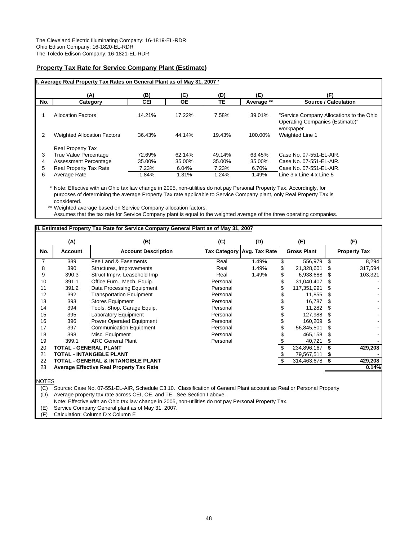#### **Property Tax Rate for Service Company Plant (Estimate)**

|     | I. Average Real Property Tax Rates on General Plant as of May 31, 2007 * |        |        |        |            |                                          |
|-----|--------------------------------------------------------------------------|--------|--------|--------|------------|------------------------------------------|
|     |                                                                          |        |        |        |            |                                          |
|     | (A)                                                                      | (B)    | (C)    | (D)    | (E)        | (F)                                      |
| No. | Category                                                                 | CEI    | ОE     | TΕ     | Average ** | <b>Source / Calculation</b>              |
|     |                                                                          |        |        |        |            |                                          |
|     | <b>Allocation Factors</b>                                                | 14.21% | 17.22% | 7.58%  | 39.01%     | "Service Company Allocations to the Ohio |
|     |                                                                          |        |        |        |            | Operating Companies (Estimate)"          |
|     |                                                                          |        |        |        |            | workpaper                                |
| 2   | <b>Weighted Allocation Factors</b>                                       | 36.43% | 44.14% | 19.43% | 100.00%    | Weighted Line 1                          |
|     |                                                                          |        |        |        |            |                                          |
|     | <b>Real Property Tax</b>                                                 |        |        |        |            |                                          |
| 3   | True Value Percentage                                                    | 72.69% | 62.14% | 49.14% | 63.45%     | Case No. 07-551-EL-AIR.                  |
| 4   | <b>Assessment Percentage</b>                                             | 35.00% | 35.00% | 35.00% | 35.00%     | Case No. 07-551-EL-AIR.                  |
| 5   | Real Property Tax Rate                                                   | 7.23%  | 6.04%  | 7.23%  | 6.70%      | Case No. 07-551-EL-AIR.                  |
| 6   | Average Rate                                                             | 1.84%  | 1.31%  | 1.24%  | 1.49%      | Line 3 x Line 4 x Line 5                 |
|     |                                                                          |        |        |        |            |                                          |

\* Note: Effective with an Ohio tax law change in 2005, non-utilities do not pay Personal Property Tax. Accordingly, for purposes of determining the average Property Tax rate applicable to Service Company plant, only Real Property Tax is considered.

\*\* Weighted average based on Service Company allocation factors. Assumes that the tax rate for Service Company plant is equal to the weighted average of the three operating companies.

#### **II. Estimated Property Tax Rate for Service Company General Plant as of May 31, 2007**

|                | (A)                          | (B)                                             | (C)      | (D)                        | (E)                |     | (F)                 |
|----------------|------------------------------|-------------------------------------------------|----------|----------------------------|--------------------|-----|---------------------|
| No.            | Account                      | <b>Account Description</b>                      |          | Tax Category Avg. Tax Rate | <b>Gross Plant</b> |     | <b>Property Tax</b> |
| $\overline{7}$ | 389                          | Fee Land & Easements                            | Real     | 1.49%                      | \$<br>556,979      | \$  | 8,294               |
| 8              | 390                          | Structures, Improvements                        | Real     | 1.49%                      | 21,328,601         | \$. | 317,594             |
| 9              | 390.3                        | Struct Imprv, Leasehold Imp                     | Real     | 1.49%                      | 6,938,688          | \$. | 103,321             |
| 10             | 391.1                        | Office Furn., Mech. Equip.                      | Personal |                            | 31,040,407         |     |                     |
| 11             | 391.2                        | Data Processing Equipment                       | Personal |                            | 117,351,991        |     |                     |
| 12             | 392                          | <b>Transportation Equipment</b>                 | Personal |                            | 11,855             |     |                     |
| 13             | 393                          | <b>Stores Equipment</b>                         | Personal |                            | 16,787             |     |                     |
| 14             | 394                          | Tools, Shop, Garage Equip.                      | Personal |                            | 11,282             | \$. |                     |
| 15             | 395                          | <b>Laboratory Equipment</b>                     | Personal |                            | 127,988            |     |                     |
| 16             | 396                          | Power Operated Equipment                        | Personal |                            | 160.209            |     |                     |
| 17             | 397                          | <b>Communication Equipment</b>                  | Personal |                            | 56,845,501         |     |                     |
| 18             | 398                          | Misc. Equipment                                 | Personal |                            | 465,158            | S   |                     |
| 19             | 399.1                        | <b>ARC General Plant</b>                        | Personal |                            | 40,721             |     |                     |
| 20             | <b>TOTAL - GENERAL PLANT</b> |                                                 |          |                            | 234,896,167        |     | 429,208             |
| 21             |                              | <b>TOTAL - INTANGIBLE PLANT</b>                 |          |                            | 79,567,511         |     |                     |
| 22             |                              | <b>TOTAL - GENERAL &amp; INTANGIBLE PLANT</b>   |          |                            | 314,463,678        | \$  | 429,208             |
| 23             |                              | <b>Average Effective Real Property Tax Rate</b> |          |                            |                    |     | 0.14%               |
|                |                              |                                                 |          |                            |                    |     |                     |

NOTES

(C) Source: Case No. 07-551-EL-AIR, Schedule C3.10. Classification of General Plant account as Real or Personal Property (D) Average property tax rate across CEI, OE, and TE. See Section I above.

Note: Effective with an Ohio tax law change in 2005, non-utilities do not pay Personal Property Tax.

(E) Service Company General plant as of May 31, 2007.

Calculation: Column D x Column E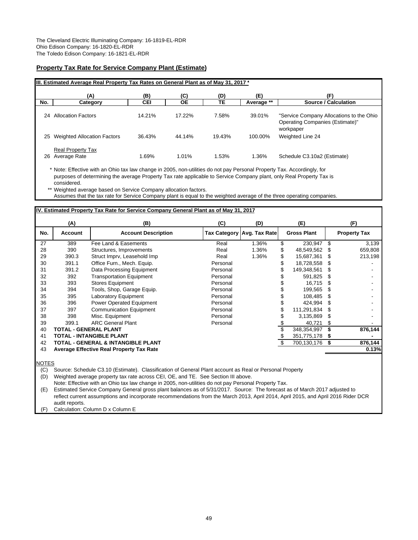### **Property Tax Rate for Service Company Plant (Estimate)**

|     | III. Estimated Average Real Property Tax Rates on General Plant as of May 31, 2017 * |            |        |        |            |                                                                                          |
|-----|--------------------------------------------------------------------------------------|------------|--------|--------|------------|------------------------------------------------------------------------------------------|
|     | (A)                                                                                  | (B)        | (C)    | (D)    | (E)        | Έ)                                                                                       |
| No. | Category                                                                             | <b>CEI</b> | ОE     | TЕ     | Average ** | Source / Calculation                                                                     |
| 24  | <b>Allocation Factors</b>                                                            | 14.21%     | 17.22% | 7.58%  | 39.01%     | "Service Company Allocations to the Ohio<br>Operating Companies (Estimate)"<br>workpaper |
| 25  | <b>Weighted Allocation Factors</b>                                                   | 36.43%     | 44.14% | 19.43% | 100.00%    | Weighted Line 24                                                                         |
| 26  | <b>Real Property Tax</b><br>Average Rate                                             | 1.69%      | 1.01%  | 1.53%  | 1.36%      | Schedule C3.10a2 (Estimate)                                                              |

\* Note: Effective with an Ohio tax law change in 2005, non-utilities do not pay Personal Property Tax. Accordingly, for purposes of determining the average Property Tax rate applicable to Service Company plant, only Real Property Tax is considered.

\*\* Weighted average based on Service Company allocation factors.

Assumes that the tax rate for Service Company plant is equal to the weighted average of the three operating companies.

#### **IV. Estimated Property Tax Rate for Service Company General Plant as of May 31, 2017**

|     | (A)                          | (B)                                             | (C)      | (D)                        | (E)                |     | (F)                 |
|-----|------------------------------|-------------------------------------------------|----------|----------------------------|--------------------|-----|---------------------|
| No. | <b>Account</b>               | <b>Account Description</b>                      |          | Tax Category Avg. Tax Rate | <b>Gross Plant</b> |     | <b>Property Tax</b> |
| 27  | 389                          | Fee Land & Easements                            | Real     | 1.36%                      | \$<br>230,947      | \$  | 3,139               |
| 28  | 390                          | Structures, Improvements                        | Real     | 1.36%                      | \$<br>48,549,562   | S   | 659,808             |
| 29  | 390.3                        | Struct Imprv, Leasehold Imp                     | Real     | 1.36%                      | \$<br>15,687,361   | S.  | 213,198             |
| 30  | 391.1                        | Office Furn., Mech. Equip.                      | Personal |                            | \$<br>18,728,558   | S   |                     |
| 31  | 391.2                        | Data Processing Equipment                       | Personal |                            | 149,348,561        | \$. |                     |
| 32  | 392                          | <b>Transportation Equipment</b>                 | Personal |                            | 591,825            | \$. |                     |
| 33  | 393                          | <b>Stores Equipment</b>                         | Personal |                            | 16,715             | \$  |                     |
| 34  | 394                          | Tools, Shop, Garage Equip.                      | Personal |                            | 199,565            | S   |                     |
| 35  | 395                          | Laboratory Equipment                            | Personal |                            | 108,485            | \$. |                     |
| 36  | 396                          | Power Operated Equipment                        | Personal |                            | 424.994            | \$. |                     |
| 37  | 397                          | <b>Communication Equipment</b>                  | Personal |                            | 111,291,834        | \$  |                     |
| 38  | 398                          | Misc. Equipment                                 | Personal |                            | 3,135,869          | S   |                     |
| 39  | 399.1                        | <b>ARC General Plant</b>                        | Personal |                            | 40,721             | S   |                     |
| 40  | <b>TOTAL - GENERAL PLANT</b> |                                                 |          |                            | 348,354,997        | \$  | 876,144             |
| 41  |                              | <b>TOTAL - INTANGIBLE PLANT</b>                 |          |                            | 351,775,178        | S   |                     |
| 42  |                              | TOTAL - GENERAL & INTANGIBLE PLANT              |          |                            | \$<br>700,130,176  | S   | 876,144             |
| 43  |                              | <b>Average Effective Real Property Tax Rate</b> |          |                            |                    |     | 0.13%               |
|     |                              |                                                 |          |                            |                    |     |                     |

NOTES

(C) Source: Schedule C3.10 (Estimate). Classification of General Plant account as Real or Personal Property

(D) Weighted average property tax rate across CEI, OE, and TE. See Section III above.

Note: Effective with an Ohio tax law change in 2005, non-utilities do not pay Personal Property Tax.

(E) Estimated Service Company General gross plant balances as of 5/31/2017. Source: The forecast as of March 2017 adjusted to reflect current assumptions and incorporate recommendations from the March 2013, April 2014, April 2015, and April 2016 Rider DCR audit reports.

(F) Calculation: Column D x Column E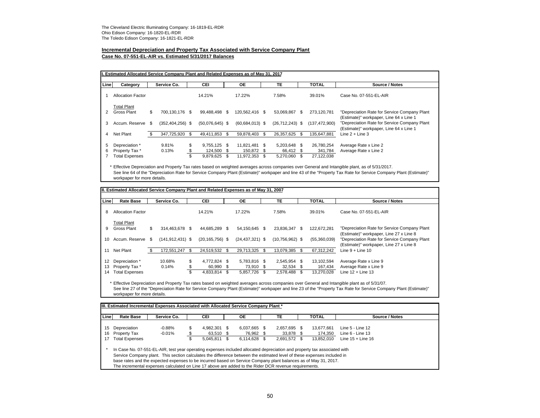# **Incremental Depreciation and Property Tax Associated with Service Company Plant**

#### **Case No. 07-551-EL-AIR vs. Estimated 5/31/2017 Balances**

|        | I. Estimated Allocated Service Company Plant and Related Expenses as of May 31, 2017 |      |                      |          |                                         |    |                                           |      |                                           |      |                                     |                                                                                         |  |  |  |
|--------|--------------------------------------------------------------------------------------|------|----------------------|----------|-----------------------------------------|----|-------------------------------------------|------|-------------------------------------------|------|-------------------------------------|-----------------------------------------------------------------------------------------|--|--|--|
| Line   | Category                                                                             |      | Service Co.          |          | <b>CEI</b>                              |    | <b>OE</b>                                 |      | TE.                                       |      | <b>TOTAL</b>                        | Source / Notes                                                                          |  |  |  |
|        | <b>Allocation Factor</b>                                                             |      |                      |          | 14.21%                                  |    | 17.22%                                    |      | 7.58%                                     |      | 39.01%                              | Case No. 07-551-EL-AIR                                                                  |  |  |  |
|        | <b>Total Plant</b><br>Gross Plant                                                    | \$   | 700.130.176 \$       |          | 99.488.498 \$                           |    | 120.562.416 \$                            |      | 53,069,867 \$                             |      | 273,120,781                         | "Depreciation Rate for Service Company Plant<br>(Estimate)" workpaper, Line 64 x Line 1 |  |  |  |
| 3      | Accum, Reserve                                                                       | - \$ | $(352, 404, 256)$ \$ |          | $(50,076,645)$ \$                       |    | $(60, 684, 013)$ \$                       |      | $(26, 712, 243)$ \$                       |      | (137, 472, 900)                     | "Depreciation Rate for Service Company Plant<br>(Estimate)" workpaper, Line 64 x Line 1 |  |  |  |
| 4      | Net Plant                                                                            | \$.  | 347.725.920          | S        | 49.411.853                              | \$ | 59.878.403                                | - \$ | 26.357.625                                | - \$ | 135.647.881                         | Line $2 +$ Line 3                                                                       |  |  |  |
| 5<br>6 | Depreciation *<br>Property Tax*<br><b>Total Expenses</b>                             |      | 9.81%<br>0.13%       | \$<br>\$ | 9,755,125 \$<br>124,500 \$<br>9.879.625 | S  | 11,821,481 \$<br>150.872 \$<br>11,972,353 | - \$ | 5,203,648 \$<br>66,412 \$<br>5,270,060 \$ |      | 26,780,254<br>341,784<br>27,122,038 | Average Rate x Line 2<br>Average Rate x Line 2                                          |  |  |  |

\* Effective Depreciation and Property Tax rates based on weighted averages across companies over General and Intangible plant, as of 5/31/2017. See line 64 of the "Depreciation Rate for Service Company Plant (Estimate)" workpaper and line 43 of the "Property Tax Rate for Service Company Plant (Estimate)" workpaper for more details.

| Line | <b>Rate Base</b>         |     | Service Co.          | <b>CEI</b>          | 0E                  | TE                |     | <b>TOTAL</b> | Source / Notes                                                                          |
|------|--------------------------|-----|----------------------|---------------------|---------------------|-------------------|-----|--------------|-----------------------------------------------------------------------------------------|
| 8    | <b>Allocation Factor</b> |     |                      | 14.21%              | 17.22%              | 7.58%             |     | 39.01%       | Case No. 07-551-EL-AIR                                                                  |
|      | <b>Total Plant</b>       |     |                      |                     |                     |                   |     |              |                                                                                         |
| 9    | <b>Gross Plant</b>       | \$  | 314.463.678 \$       | 44.685.289 \$       | 54.150.645 \$       | 23.836.347 \$     |     | 122,672,281  | "Depreciation Rate for Service Company Plant<br>(Estimate)" workpaper, Line 27 x Line 8 |
| 10   | Accum. Reserve \$        |     | $(141, 912, 431)$ \$ | $(20, 165, 756)$ \$ | $(24, 437, 321)$ \$ | $(10,756,962)$ \$ |     | (55,360,039) | "Depreciation Rate for Service Company Plant<br>(Estimate)" workpaper, Line 27 x Line 8 |
| 11   | Net Plant                | \$. | 172,551,247          | \$<br>24.519.532 \$ | 29.713.325 \$       | 13.079.385 \$     |     | 67,312,242   | Line $9 +$ Line $10$                                                                    |
| 12   | Depreciation *           |     | 10.68%               | \$<br>4.772.824 \$  | 5.783.816 \$        | 2.545.954 \$      |     | 13.102.594   | Average Rate x Line 9                                                                   |
| 13   | Property Tax *           |     | 0.14%                | \$<br>60,990 \$     | 73.910 \$           | 32.534 \$         |     | 167,434      | Average Rate x Line 9                                                                   |
| 14   | <b>Total Expenses</b>    |     |                      | \$<br>4,833,814 \$  | 5,857,726 \$        | 2,578,488         | \$. | 13.270.028   | Line $12 +$ Line 13                                                                     |

\* Effective Depreciation and Property Tax rates based on weighted averages across companies over General and Intangible plant as of 5/31/07. See line 27 of the "Depreciation Rate for Service Company Plant (Estimate)" workpaper and line 23 of the "Property Tax Rate for Service Company Plant (Estimate)" workpaper for more details.

| Line | <b>Rate Base</b>      | Service Co. | <b>CEI</b>   | ОE           | TE           | TOTAL      | Source / Notes       |
|------|-----------------------|-------------|--------------|--------------|--------------|------------|----------------------|
| 15   | Depreciation          | $-0.88%$    | 4.982.301 \$ | 6,037,665 \$ | 2,657,695 \$ | 13,677,661 | Line $5 -$ Line $12$ |
| 16   | Property Tax          | $-0.01%$    | 63.510 \$    | 76.962 \$    | 33.878 \$    | 174.350    | Line 6 - Line 13     |
| 17   | <b>Total Expenses</b> |             | 5.045.811 \$ | 6.114.628 \$ | 2.691.572 \$ | 13.852.010 | Line $15 +$ Line 16  |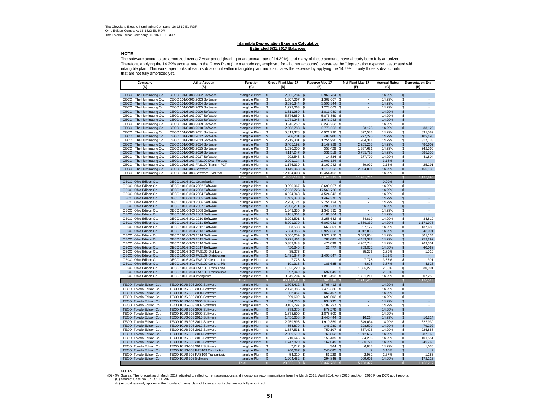# **Intangible Depreciation Expense Calculation Estimated 5/31/2017 Balances**

#### **NOTE**

 The software accounts are amortized over a 7 year period (leading to an accrual rate of 14.29%), and many of these accounts have already been fully amortized. Therefore, applying the 14.29% accrual rate to the Gross Plant (the methodology employed for all other accounts) overstates the "depreciation expense" associated with intangible plant. This workpaper looks at each sub account within intangible plant and calculates the expense by applying the 14.29% to only those sub-accounts that are not fully amortized yet.

| Company<br>(A)                                            | <b>Utility Account</b><br>(B)                                            | <b>Function</b><br>(C)               | <b>Gross Plant May-17</b><br>(D)              | Reserve May-17<br>(E)        | Net Plant May-17<br>(F)             | <b>Accrual Rates</b><br>(G) | <b>Depreciation Exp</b><br>(H)                        |
|-----------------------------------------------------------|--------------------------------------------------------------------------|--------------------------------------|-----------------------------------------------|------------------------------|-------------------------------------|-----------------------------|-------------------------------------------------------|
|                                                           |                                                                          |                                      |                                               |                              |                                     |                             |                                                       |
| CECO The Illuminating Co.                                 | CECO 101/6-303 2002 Software                                             | Intangible Plant                     | 2,966,784 \$<br>$\mathbf{\hat{s}}$            | 2,966,784 \$                 |                                     | 14.29%                      | \$<br>÷.                                              |
| CECO<br>The Illuminating Co.<br>CECO The Illuminating Co. | CECO 101/6-303 2003 Software                                             | Intangible Plant                     | \$<br>1,307,067 \$                            | 1,307,067 \$                 | $\overline{\phantom{a}}$            | 14.29%<br>14.29%            | \$<br>÷<br>\$<br>÷.                                   |
| The Illuminating Co.<br>CECO                              | CECO 101/6-303 2004 Software<br>CECO 101/6-303 2005 Software             | Intangible Plant<br>Intangible Plant | \$<br>3,596,344 \$<br>\$<br>1,223,063 \$      | 3,596,344 \$<br>1,223,063 \$ | $\sim$                              | 14.29%                      | \$<br>÷                                               |
| The Illuminating Co.<br>CECO                              | CECO 101/6-303 2006 Software                                             | Intangible Plant                     | $\mathsf{\$}$<br>1,811,980 \$                 | 1,811,980                    | \$<br>÷                             | 14.29%                      | a.<br>\$                                              |
| CECO The Illuminating Co.                                 | CECO 101/6-303 2007 Software                                             | Intangible Plant                     | 5,876,859 \$<br>\$                            | 5,876,859 \$                 |                                     | 14.29%                      | s                                                     |
| CECO<br>The Illuminating Co.                              | CECO 101/6-303 2008 Software                                             | Intangible Plant                     | $\sqrt{2}$<br>1,071,243 \$                    | 1,071,243 \$                 | ÷.                                  | 14.29%                      | $\mathsf{\$}$<br>÷.                                   |
| CECO<br>The Illuminating Co.                              | CECO 101/6-303 2009 Software                                             | Intangible Plant                     | S.<br>3,245,252 \$                            | 3,245,252 \$                 |                                     | 14.29%                      | \$<br>$\sim$                                          |
| CECO<br>The Illuminating Co.                              | CECO 101/6-303 2010 Software                                             | Intangible Plant                     | 2,808,788 \$<br>\$                            | 2,775,663 \$                 | 33,125                              | 14.29%                      | 33,125<br>\$                                          |
| The Illuminating Co.<br>CECO                              | CECO 101/6-303 2011 Software                                             | Intangible Plant                     | \$<br>5,819,378 \$                            | 4,921,796 \$                 | 897,583                             | 14.29%                      | $\hat{\mathbb{S}}$<br>831,589                         |
| CECO<br>The Illuminating Co.                              | CECO 101/6-303 2012 Software                                             | Intangible Plant                     | 766,201 \$<br>\$                              | 488,906                      | \$<br>277,295                       | 14.29%                      | 109,490<br>\$                                         |
| CECO<br>The Illuminating Co.                              | CECO 101/6-303 2013 Software                                             | Intangible Plant                     | \$<br>2,219,301 \$                            | 1,254,990                    | - \$<br>964,311                     | 14.29%                      | \$<br>317,138                                         |
| CECO<br>The Illuminating Co.                              | CECO 101/6-303 2014 Software                                             | Intangible Plant                     | 3,405,192 \$<br>\$                            | 1,149,929 \$                 | 2,255,263                           | 14.29%                      | \$<br>486,602                                         |
| CECO<br>The Illuminating Co.                              | CECO 101/6-303 2015 Software                                             | Intangible Plant                     | <b>S</b><br>1,696,050 \$                      | 358,429 \$                   | 1,337,621                           | 14.29%                      | \$<br>242,366                                         |
| CECO<br>The Illuminating Co.<br>The Illuminating Co.      | CECO 101/6-303 2016 Software                                             | Intangible Plant                     | $\mathbf{s}$<br>4,117,247 \$                  | 331,519 \$                   | 3,785,728                           | 14.29%<br>14.29%            | \$<br>588,355                                         |
| CECO<br>The Illuminating Co.<br>CECO                      | CECO 101/6-303 2017 Software<br>CECO 101/6-303 FAS109 Dist- Forcast      | Intangible Plant<br>Intangible Plant | S.<br>292,543 \$<br>\$<br>2,001,124 \$        | 14,834 \$<br>2,001,124 \$    | 277,709                             | 3.18%                       | 41,804<br>\$<br>\$                                    |
| The Illuminating Co.<br>CECO                              | CECO 101/6-303 FAS109 Transm-FCT                                         | Intangible Plant                     | \$<br>1,176,339 \$                            | 1,107,242 \$                 | 69,097                              | 2.15%                       | \$<br>25,291                                          |
| The Illuminating Co.<br>CECO                              | CECO 101/6-303 Software                                                  | Intangible Plant                     | 3,149,963 \$<br>$\mathbf{s}$                  | 1,115,962 \$                 | 2.034.001                           | 14.29%                      | $\mathsf{s}$<br>450,130                               |
| CECO The Illuminating Co                                  | CECO 101/6-303 Software Evolution                                        | Intangible Plant                     | 12,454,403 \$<br>\$                           | 12,454,403 \$                |                                     | 14.29%                      | \$                                                    |
|                                                           |                                                                          | <b>Total</b>                         | 61,005,123                                    | 49.073.391<br>- \$           | 11,931,731<br><b>S</b>              |                             | 3,125,890<br>$\mathbf{s}$                             |
| OECO Ohio Edison Co.                                      | OECO 101/6-301 Organization                                              | Intangible Plant                     | $\sqrt{3}$                                    | $\mathfrak{L}$               | \$                                  | 0.00%                       | $\overline{\mathcal{S}}$                              |
| OECO Ohio Edison Co.                                      | OECO 101/6-303 2002 Software                                             | Intangible Plant                     | \$<br>3,690,067 \$                            | 3,690,067                    | $\mathbf{\hat{s}}$                  | 14.29%                      | \$                                                    |
| OECO Ohio Edison Co.                                      | OECO 101/6-303 2003 Software                                             | Intangible Plant                     | \$<br>17,568,726 \$                           | 17,568,726                   | <b>S</b>                            | 14.29%                      | \$                                                    |
| OECO Ohio Edison Co.                                      | OECO 101/6-303 2004 Software                                             | Intangible Plant                     | \$<br>4,524,343 \$                            | 4,524,343 \$                 | $\sim$                              | 14.29%                      | \$<br>$\sim$                                          |
| OECO Ohio Edison Co.                                      | OECO 101/6-303 2005 Software                                             | Intangible Plant                     | $\mathbf{\hat{s}}$<br>1,469,370 \$            | 1,469,370 \$                 | $\sim$                              | 14.29%                      | \$<br>$\bullet$                                       |
| OECO Ohio Edison Co.                                      | OECO 101/6-303 2006 Software                                             | Intangible Plant                     | <b>S</b><br>2,754,124 \$                      | 2,754,124 \$                 | $\sim$                              | 14.29%                      | \$<br>$\mathcal{L}_{\mathcal{A}}$                     |
| OECO Ohio Edison Co.                                      | OECO 101/6-303 2007 Software                                             | Intangible Plant                     | $\mathsf{\$}$<br>7,208,211 \$                 | 7,208,211 \$                 |                                     | 14.29%                      | $\omega_{\rm c}$<br>\$                                |
| OECO Ohio Edison Co.                                      | OECO 101/6-303 2008 Software                                             | Intangible Plant                     | \$<br>1,343,335 \$                            | 1,343,335 \$                 |                                     | 14.29%                      | \$<br>÷.                                              |
| OECO Ohio Edison Co.                                      | OECO 101/6-303 2009 Software                                             | Intangible Plant                     | \$<br>4, 181, 304 \$                          | 4,181,304 \$                 | $\sim$                              | 14.29%                      | ¥.<br>\$                                              |
| OECO Ohio Edison Co.                                      | OECO 101/6-303 2010 Software                                             | Intangible Plant                     | \$<br>3,293,501 \$                            | 3,258,682 \$                 | 34,819                              | 14.29%                      | 34,819<br>\$                                          |
| OECO Ohio Edison Co.                                      | OECO 101/6-303 2011 Software                                             | Intangible Plant                     | $\mathbf{\hat{s}}$<br>8,201,370 \$            | 6,862,031 \$                 | 1,339,339                           | 14.29%                      | 1,171,976<br>\$                                       |
| OECO Ohio Edison Co.                                      | OECO 101/6-303 2012 Software                                             | Intangible Plant<br>Intangible Plant | 963,533 \$<br>\$                              | 666,361 \$<br>2,922,852      | 297,172<br>3,012,003<br>$\sqrt{3}$  | 14.29%<br>14.29%            | 137,689<br>s<br>\$                                    |
| OECO Ohio Edison Co.<br>OECO Ohio Edison Co.              | OECO 101/6-303 2013 Software<br>OECO 101/6-303 2014 Software             | Intangible Plant                     | \$<br>5,934,855 \$<br>\$<br>5,606,259         | 1,973,256<br>\$              | - \$<br>3,633,004                   | 14.29%                      | 848,091<br>\$<br>801,134                              |
| OECO Ohio Edison Co.                                      | OECO 101/6-303 2015 Software                                             | Intangible Plant                     | 5,271,464 \$<br>$\mathbf{s}$                  | 788.087                      | 4.483.377<br>$\mathbf{s}$           | 14.29%                      | $\mathbf{s}$<br>753.292                               |
| OECO Ohio Edison Co.                                      | OECO 101/6-303 2016 Software                                             | Intangible Plant                     | 5,383,843 \$<br>\$                            | 476,099 \$                   | 4,907,744                           | 14.29%                      | \$<br>769,351                                         |
| OECO Ohio Edison Co.                                      | OECO 101/6-303 2017 Software                                             | Intangible Plant                     | 420,349 \$<br>-\$                             | 21,477 \$                    | 398,872                             | 14.29%                      | \$<br>60,068                                          |
| OECO Ohio Edison Co.                                      | OECO 101/6-303 FAS109 Dist Land                                          | Intangible Plant                     | \$<br>35,276 \$                               |                              | \$<br>35,276                        | 2.89%                       | \$<br>1,019                                           |
| OECO Ohio Edison Co.                                      | OECO 101/6-303 FAS109 Distribution                                       | Intangible Plant                     | $\mathbb{S}$<br>1,495,847 \$                  | 1,495,847 \$                 |                                     | 2.89%                       | \$                                                    |
| OECO Ohio Edison Co.                                      | OECO 101/6-303 FAS109 General Lan                                        | Intangible Plant                     | \$<br>7,778 \$                                |                              | \$<br>7,778                         | 3.87%                       | $\overline{\mathbb{S}}$<br>301                        |
| OECO Ohio Edison Co.                                      | OECO 101/6-303 FAS109 General Plt                                        | Intangible Plant                     | \$<br>191,313 \$                              | 186,685                      | $\mathfrak{s}$<br>4,628             | 3.87%                       | \$<br>4,628                                           |
| OECO Ohio Edison Co.                                      | OECO 101/6-303 FAS109 Trans Land                                         | Intangible Plant                     | 1,326,229 \$<br>\$                            |                              | S.<br>1,326,229                     | 2.33%                       | 30,901<br>\$                                          |
| OECO Ohio Edison Co.                                      | OECO 101/6-303 FAS109 Transmissio                                        | Intangible Plant                     | \$<br>697,049 \$                              | 697,049 \$                   | ÷                                   | 2.33%                       | \$<br>a.                                              |
| OECO Ohio Edison Co.                                      | OECO 101/6-303 Intangibles                                               | Intangible Plant                     | 3,549,704 \$<br>\$                            | 1,818,493                    | 1,731,211<br>- \$                   | 14.29%                      | 507,253<br>\$                                         |
|                                                           |                                                                          | Tota                                 | 85,117,851                                    | 63.906.399                   | 21,211,451                          |                             | 5.120.523<br>S.                                       |
| TECO Toledo Edison Co.                                    | TECO 101/6-303 2002 Software                                             | Intangible Plant                     | \$<br>1,708,412 \$                            | 1,708,412                    | \$                                  | 14.29%                      | \$                                                    |
| TECO Toledo Edison Co.<br>TECO Toledo Edison Co.          | TECO 101/6-303 2003 Software<br>TECO 101/6-303 2004 Software             | Intangible Plant<br>Intangible Plant | \$<br>7,478,386 \$<br>\$<br>862,457 \$        | 7,478,386 \$<br>862,457 \$   | $\sim$<br>$\sim$                    | 14.29%<br>14.29%            | \$<br>$\overline{\phantom{a}}$<br>$\mathsf{\$}$<br>÷. |
| TECO Toledo Edison Co.                                    | TECO 101/6-303 2005 Software                                             | Intangible Plant                     | \$<br>699,602 \$                              | 699,602 \$                   | $\sim$                              | 14.29%                      | \$<br>÷                                               |
| TECO Toledo Edison Co.                                    | TECO 101/6-303 2006 Software                                             | Intangible Plant                     | 834,735 \$<br>\$                              | 834,735 \$                   | ÷.                                  | 14.29%                      | \$<br>$\mathcal{L}_{\mathcal{A}}$                     |
| TECO Toledo Edison Co.                                    | TECO 101/6-303 2007 Software                                             | Intangible Plant                     | \$<br>3,182,797 \$                            | 3,182,797 \$                 | $\sim$                              | 14.29%                      | \$<br>$\sim$                                          |
| TECO Toledo Edison Co.                                    | TECO 101/6-303 2008 Software                                             | Intangible Plant                     | \$<br>578,279 \$                              | 578,279                      | $\mathfrak{s}$                      | 14.29%                      | ¥.<br>\$                                              |
| TECO Toledo Edison Co.                                    | TECO 101/6-303 2009 Software                                             | Intangible Plant                     | 1,878,500 \$<br>\$                            | 1,878,500                    | - \$                                | 14.29%                      | S.                                                    |
| TECO Toledo Edison Co.                                    | TECO 101/6-303 2010 Software                                             | Intangible Plant                     | $\sqrt{2}$<br>1,456,658 \$                    | 1,440,444 \$                 | 16,214                              | 14.29%                      | 16,214<br>\$                                          |
| TECO Toledo Edison Co.                                    | TECO 101/6-303 2011 Software                                             | Intangible Plant                     | \$<br>2,259,893 \$                            | 1,910,859 \$                 | 349,034                             | 14.29%                      | \$<br>322,939                                         |
| TECO Toledo Edison Co.                                    | TECO 101/6-303 2012 Software                                             | Intangible Plant                     | 554,879 \$<br>\$                              | 346,280 \$                   | 208,599                             | 14.29%                      | \$<br>79,292                                          |
| TECO Toledo Edison Co.                                    | TECO 101/6-303 2013 Software                                             | Intangible Plant                     | \$<br>1,587,531 \$                            | 750,107 \$                   | 837,425                             | 14.29%                      | \$<br>226,858                                         |
| TECO Toledo Edison Co.                                    | TECO 101/6-303 2014 Software                                             | Intangible Plant                     | 2,009,519 \$<br>\$                            | 766,862                      | \$<br>1,242,657                     | 14.29%                      | \$<br>287,160                                         |
| TECO Toledo Edison Co.                                    | TECO 101/6-303 2015 Software                                             | Intangible Plant                     | \$<br>710,645 \$                              | 156,439                      | \$<br>554,206                       | 14.29%                      | \$<br>101,551                                         |
| TECO Toledo Edison Co.                                    | TECO 101/6-303 2016 Software                                             | Intangible Plant                     | \$<br>1,747,820 \$                            | 167,049 \$                   | 1,580,771                           | 14.29%                      | $\mathbf{s}$<br>249,763                               |
| TECO Toledo Edison Co.                                    | TECO 101/6-303 2017 Software                                             | Intangible Plant                     | \$<br>7,247 \$                                | 364 \$                       | 6,883                               | 14.29%                      | 1,036<br>\$                                           |
| TECO Toledo Edison Co.<br>TECO Toledo Edison Co.          | TECO 101/6-303 FAS109 Distribution<br>TECO 101/6-303 FAS109 Transmission | Intangible Plant<br>Intangible Plant | 240,087 \$<br>$\mathbf{s}$<br>54,210 \$<br>\$ | 240,085 \$<br>51.229         | $\overline{2}$<br>2.982<br><b>S</b> | 3.10%<br>2.37%              | \$<br>$\overline{2}$<br>S.<br>1,285                   |
| TECO Toledo Edison Co.                                    | TECO 101/6-303 Software                                                  | Intangible Plant                     | S<br>1,204,452 \$                             | 294,846                      | - \$<br>909,606                     | 14.29%                      | \$<br>172,116                                         |
|                                                           |                                                                          | Total                                | 29,056,110                                    | 23,347,733                   | S<br>5,708,377                      |                             | 1,458,217                                             |

NOTES

(D) - (F) Source: The forecast as of March 2017 adjusted to reflect current assumptions and incorporate recommendations from the March 2013, April 2014, April 2015, and April 2016 Rider DCR audit reports.<br>(G) Source: Case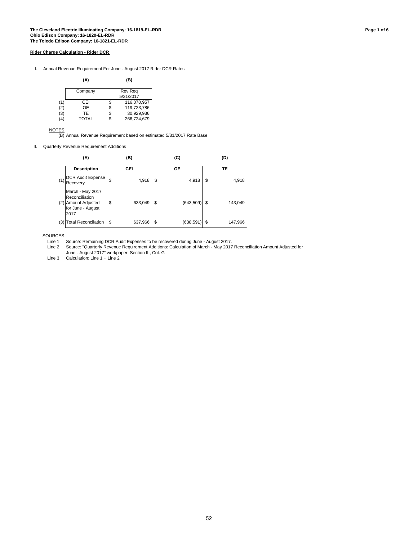I. Annual Revenue Requirement For June - August 2017 Rider DCR Rates

|     | (A)          |    | (B)         |
|-----|--------------|----|-------------|
|     | Company      |    | Rev Reg     |
|     |              |    | 5/31/2017   |
| (1) | CEI          | \$ | 116,070,957 |
| (2) | OE           | \$ | 119,723,786 |
| (3) | TE           | S. | 30,929,936  |
| (4) | <b>TOTAL</b> |    | 266,724,679 |

**NOTES** 

(B) Annual Revenue Requirement based on estimated 5/31/2017 Rate Base

II. Quarterly Revenue Requirement Additions

|     | (A)                                                                                    | (B) |         | (C)                  | (D) |         |  |  |
|-----|----------------------------------------------------------------------------------------|-----|---------|----------------------|-----|---------|--|--|
|     | <b>Description</b>                                                                     | CEI |         | ОE                   | TE  |         |  |  |
| (1) | <b>DCR Audit Expense</b><br>Recovery                                                   | \$  | 4,918   | \$<br>4,918          | \$  | 4,918   |  |  |
|     | March - May 2017<br>Reconciliation<br>(2) Amount Adjusted<br>for June - August<br>2017 | \$  | 633,049 | \$<br>$(643,509)$ \$ |     | 143,049 |  |  |
| (3) | <b>Total Reconcilation</b>                                                             | \$  | 637,966 | \$<br>(638,591) \$   |     | 147,966 |  |  |

**SOURCES** 

Line 1: Source: Remaining DCR Audit Expenses to be recovered during June - August 2017.

Line 2: Source: "Quarterly Revenue Requirement Additions: Calculation of March - May 2017 Reconciliation Amount Adjusted for June - August 2017" workpaper, Section III, Col. G

Line 3: Calculation: Line 1 + Line 2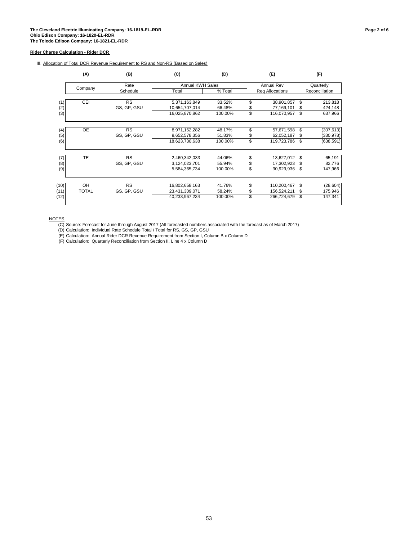III. Allocation of Total DCR Revenue Requirement to RS and Non-RS (Based on Sales)

|      | (A)          | (B)         | (C)                     | (D)     |    | (E)             | (F) |                |  |
|------|--------------|-------------|-------------------------|---------|----|-----------------|-----|----------------|--|
|      |              | Rate        | <b>Annual KWH Sales</b> |         |    | Annual Rev      |     | Quarterly      |  |
|      | Company      | Schedule    | Total                   | % Total |    | Reg Allocations |     | Reconciliation |  |
|      |              |             |                         |         |    |                 |     |                |  |
| (1)  | CEI          | <b>RS</b>   | 5,371,163,849           | 33.52%  | \$ | 38,901,857      | \$  | 213,818        |  |
| (2)  |              | GS, GP, GSU | 10,654,707,014          | 66.48%  | \$ | 77,169,101      | \$  | 424,148        |  |
| (3)  |              |             | 16,025,870,862          | 100.00% | \$ | 116,070,957     | \$  | 637,966        |  |
|      |              |             |                         |         |    |                 |     |                |  |
| (4)  | <b>OE</b>    | <b>RS</b>   | 8,971,152,282           | 48.17%  | \$ | 57,671,598      | \$  | (307, 613)     |  |
| (5)  |              | GS, GP, GSU | 9,652,578,356           | 51.83%  | S  | 62,052,187      | \$  | (330, 978)     |  |
| (6)  |              |             | 18,623,730,638          | 100.00% | \$ | 119,723,786     | \$  | (638, 591)     |  |
|      |              |             |                         |         |    |                 |     |                |  |
| (7)  | TE           | RS          | 2,460,342,033           | 44.06%  | \$ | 13,627,012      | \$  | 65,191         |  |
| (8)  |              | GS, GP, GSU | 3,124,023,701           | 55.94%  | \$ | 17,302,923      | \$  | 82,776         |  |
| (9)  |              |             | 5,584,365,734           | 100.00% | \$ | 30,929,936      | \$  | 147,966        |  |
|      |              |             |                         |         |    |                 |     |                |  |
| (10) | OH           | <b>RS</b>   | 16,802,658,163          | 41.76%  | \$ | 110,200,467     | \$  | (28, 604)      |  |
| (11) | <b>TOTAL</b> | GS, GP, GSU | 23,431,309,071          | 58.24%  | \$ | 156,524,211     | \$  | 175,946        |  |
| (12) |              |             | 40,233,967,234          | 100.00% | \$ | 266,724,679     | \$  | 147,341        |  |
|      |              |             |                         |         |    |                 |     |                |  |

NOTES

(C) Source: Forecast for June through August 2017 (All forecasted numbers associated with the forecast as of March 2017)

(D) Calculation: Individual Rate Schedule Total / Total for RS, GS, GP, GSU

(E) Calculation: Annual Rider DCR Revenue Requirement from Section I, Column B x Column D

(F) Calculation: Quarterly Reconciliation from Section II, Line 4 x Column D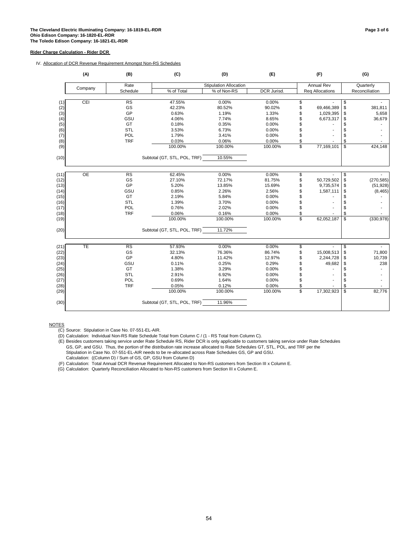#### IV. Allocation of DCR Revenue Requirement Amongst Non-RS Schedules

|              | (A)       | (B)        | (C)                          | (D)                           | (E)             |          | (F)                    |            | (G)                   |
|--------------|-----------|------------|------------------------------|-------------------------------|-----------------|----------|------------------------|------------|-----------------------|
|              |           | Rate       |                              | <b>Stipulation Allocation</b> |                 |          | <b>Annual Rev</b>      |            | Quarterly             |
|              | Company   | Schedule   | % of Total                   | % of Non-RS                   | DCR Jurisd.     |          | <b>Reg Allocations</b> |            | Reconciliation        |
|              |           |            |                              |                               |                 |          |                        |            |                       |
| (1)          | CEI       | RS         | 47.55%                       | 0.00%                         | 0.00%           | \$       |                        | \$         |                       |
| (2)          |           | GS         | 42.23%                       | 80.52%                        | 90.02%          | \$       | 69,466,389             | \$         | 381,811               |
| (3)          |           | GP         | 0.63%                        | 1.19%                         | 1.33%           | \$       | 1,029,395              | \$         | 5,658                 |
| (4)          |           | GSU        | 4.06%                        | 7.74%                         | 8.65%           | \$       | 6,673,317              | \$         | 36,679                |
| (5)          |           | GT         | 0.18%                        | 0.35%                         | 0.00%           | \$       |                        | \$         |                       |
| (6)          |           | STL        | 3.53%                        | 6.73%                         | 0.00%           | \$       |                        | \$         |                       |
| (7)          |           | POL        | 1.79%                        | 3.41%                         | 0.00%           | \$       |                        | \$         |                       |
| (8)          |           | <b>TRF</b> | 0.03%                        | 0.06%                         | 0.00%           | \$       |                        | \$         |                       |
| (9)          |           |            | 100.00%                      | 100.00%                       | 100.00%         | \$       | 77,169,101             | \$         | 424,148               |
| (10)         |           |            | Subtotal (GT, STL, POL, TRF) | 10.55%                        |                 |          |                        |            |                       |
|              |           |            |                              |                               |                 |          |                        |            |                       |
| (11)         | <b>OE</b> | RS         | 62.45%                       | 0.00%                         | 0.00%           | \$       |                        | \$         |                       |
| (12)         |           | GS<br>GP   | 27.10%                       | 72.17%                        | 81.75%          | \$       | 50,729,502             | \$         | (270, 585)            |
| (13)         |           | GSU        | 5.20%<br>0.85%               | 13.85%<br>2.26%               | 15.69%<br>2.56% | \$<br>\$ | 9,735,574<br>1,587,111 | \$         | (51, 928)<br>(8, 465) |
| (14)         |           | GT         | 2.19%                        | 5.84%                         | 0.00%           | \$       |                        | \$<br>\$   |                       |
| (15)<br>(16) |           | <b>STL</b> | 1.39%                        | 3.70%                         | 0.00%           | \$       |                        | \$         |                       |
| (17)         |           | POL        | 0.76%                        | 2.02%                         | 0.00%           | \$       |                        | \$         |                       |
| (18)         |           | <b>TRF</b> | 0.06%                        | 0.16%                         | 0.00%           | \$       |                        | \$         |                       |
| (19)         |           |            | 100.00%                      | 100.00%                       | 100.00%         | \$       | 62,052,187             | \$         | (330, 978)            |
| (20)         |           |            | Subtotal (GT, STL, POL, TRF) | 11.72%                        |                 |          |                        |            |                       |
|              |           |            |                              |                               |                 |          |                        |            |                       |
| (21)         | TE        | RS         | 57.93%                       | 0.00%                         | 0.00%           | \$       | $\blacksquare$         | \$         |                       |
| (22)         |           | GS         | 32.13%                       | 76.36%                        | 86.74%          | \$       | 15,008,513             | \$         | 71,800                |
| (23)         |           | GP         | 4.80%                        | 11.42%                        | 12.97%          | \$       | 2,244,728              | \$         | 10,739                |
| (24)         |           | GSU        | 0.11%                        | 0.25%                         | 0.29%           | \$       | 49,682                 | \$         | 238                   |
| (25)         |           | GT         | 1.38%                        | 3.29%                         | 0.00%           | \$       |                        | \$         |                       |
| (26)         |           | STL        | 2.91%                        | 6.92%                         | 0.00%           | \$       |                        | \$         |                       |
| (27)         |           | POL        | 0.69%                        | 1.64%                         | 0.00%           | \$       |                        | \$         |                       |
| (28)         |           | <b>TRF</b> | 0.05%                        | 0.12%                         | 0.00%           | \$       |                        | \$         |                       |
| (29)         |           |            | 100.00%                      | 100.00%                       | 100.00%         | \$       | 17,302,923             | $\sqrt{2}$ | 82,776                |
| (30)         |           |            | Subtotal (GT, STL, POL, TRF) | 11.96%                        |                 |          |                        |            |                       |

NOTES

(E) Besides customers taking service under Rate Schedule RS, Rider DCR is only applicable to customers taking service under Rate Schedules GS, GP, and GSU. Thus, the portion of the distribution rate increase allocated to Rate Schedules GT, STL, POL, and TRF per the Stipulation in Case No. 07-551-EL-AIR needs to be re-allocated across Rate Schedules GS, GP and GSU.

Calculation: ((Column D) / Sum of GS, GP, GSU from Column D)

(F) Calculation: Total Annual DCR Revenue Requirement Allocated to Non-RS customers from Section III x Column E.

(G) Calculation: Quarterly Reconciliation Allocated to Non-RS customers from Section III x Column E.

<sup>(</sup>C) Source: Stipulation in Case No. 07-551-EL-AIR.

<sup>(</sup>D) Calculation: Individual Non-RS Rate Schedule Total from Column C / (1 - RS Total from Column C).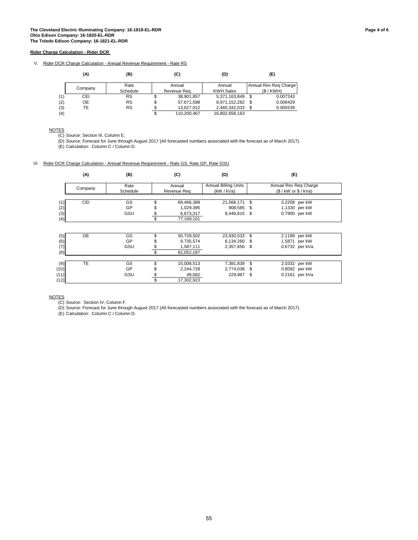V. Rider DCR Charge Calculation - Annual Revenue Requirement - Rate RS

|     | (A)     | (B)       |             | (C)         | (D)              |      | (E)                   |
|-----|---------|-----------|-------------|-------------|------------------|------|-----------------------|
|     |         | Rate      |             | Annual      | Annual           |      | Annual Rev Reg Charge |
|     | Company | Schedule  | Revenue Rea |             | <b>KWH Sales</b> |      | (S/KWH)               |
| (1) | CEI     | <b>RS</b> | S           | 38.901.857  | 5,371,163,849    | - \$ | 0.007243              |
| (2) | OE      | <b>RS</b> | S           | 57,671,598  | 8,971,152,282    | - \$ | 0.006429              |
| (3) | TE      | <b>RS</b> | σ           | 13.627.012  | 2,460,342,033    |      | 0.005539              |
| (4) |         |           | \$          | 110.200.467 | 16,802,658,163   |      |                       |

**NOTES** 

(C) Source: Section III, Column E.

(D) Source: Forecast for June through August 2017 (All forecasted numbers associated with the forecast as of March 2017).

(E) Calculation: Column C / Column D.

#### VI. Rider DCR Charge Calculation - Annual Revenue Requirement - Rate GS, Rate GP, Rate GSU

|      | (A)       | (B)      | (C)              | (D)                         | (E)          |                       |  |  |  |  |
|------|-----------|----------|------------------|-----------------------------|--------------|-----------------------|--|--|--|--|
|      |           | Rate     | Annual           | <b>Annual Billing Units</b> |              | Annual Rev Reg Charge |  |  |  |  |
|      | Company   | Schedule | Revenue Reg      | (kW / kVa)                  |              | (S / kW or \$ / KVa)  |  |  |  |  |
|      |           |          |                  |                             |              |                       |  |  |  |  |
| (1)  | CEI       | GS       | 69,466,389       | 21,568,171                  | \$           | 3.2208 per kW         |  |  |  |  |
| (2)  |           | GP       | 1,029,395        | 908,585                     | - \$         | 1.1330 per kW         |  |  |  |  |
| (3)  |           | GSU      | 6,673,317        | 8,446,815                   | $\mathbb{S}$ | 0.7900 per kW         |  |  |  |  |
| (4)  |           |          | \$<br>77,169,101 |                             |              |                       |  |  |  |  |
|      |           |          |                  |                             |              |                       |  |  |  |  |
| (5)  | <b>OE</b> | GS       | 50,729,502       | 23,930,533 \$               |              | 2.1199 per kW         |  |  |  |  |
| (6)  |           | GP       | 9,735,574        | 6,134,260 \$                |              | 1.5871 per kW         |  |  |  |  |
| (7)  |           | GSU      | 1,587,111        | 2,357,656 \$                |              | 0.6732 per kVa        |  |  |  |  |
| (8)  |           |          | \$<br>62,052,187 |                             |              |                       |  |  |  |  |
|      |           |          |                  |                             |              |                       |  |  |  |  |
| (9)  | <b>TE</b> | GS       | 15,008,513       | 7,381,839                   | \$           | 2.0332 per kW         |  |  |  |  |
| (10) |           | GP       | 2,244,728        | 2,774,038 \$                |              | 0.8092 per kW         |  |  |  |  |
| (11) |           | GSU      | 49,682           | 229,867                     | \$           | 0.2161 per kVa        |  |  |  |  |
| (12) |           |          | \$<br>17,302,923 |                             |              |                       |  |  |  |  |

**NOTES** 

(C) Source: Section IV, Column F.

(D) Source: Forecast for June through August 2017 (All forecasted numbers associated with the forecast as of March 2017).

(E) Calculation: Column C / Column D.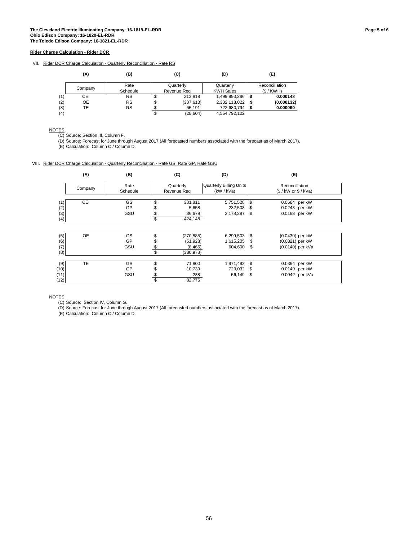VII. Rider DCR Charge Calculation - Quarterly Reconciliation - Rate RS

|     | (A)     | (B)       |    | (C)         | (D)              | (E)            |
|-----|---------|-----------|----|-------------|------------------|----------------|
|     |         | Rate      |    | Quarterly   | Quarterly        | Reconciliation |
|     | Company | Schedule  |    | Revenue Rea | <b>KWH Sales</b> | (S/KWH)        |
| (1) | CEI     | <b>RS</b> |    | 213,818     | 1,499,993,286    | 0.000143       |
| (2) | OE      | <b>RS</b> | \$ | (307, 613)  | 2,332,118,022    | (0.000132)     |
| (3) | TE      | <b>RS</b> |    | 65.191      | 722.680.794      | 0.000090       |
| (4) |         |           | \$ | (28, 604)   | 4.554.792.102    |                |

**NOTES** 

(C) Source: Section III, Column F.

(D) Source: Forecast for June through August 2017 (All forecasted numbers associated with the forecast as of March 2017).

(E) Calculation: Column C / Column D.

#### VIII. Rider DCR Charge Calculation - Quarterly Reconciliation - Rate GS, Rate GP, Rate GSU

|      | (A)       | (B)      |    | (C)         | (D)                            |      | (E)                     |  |
|------|-----------|----------|----|-------------|--------------------------------|------|-------------------------|--|
|      |           | Rate     |    | Quarterly   | <b>Quarterly Billing Units</b> |      | Reconciliation          |  |
|      | Company   | Schedule |    | Revenue Req | (kW / kVa)                     |      | $(S / kW$ or $S / KVa)$ |  |
|      |           |          |    |             |                                |      |                         |  |
| (1)  | CEI       | GS       | \$ | 381,811     | 5,751,528                      | \$   | 0.0664 per kW           |  |
| (2)  |           | GP       | S  | 5,658       | 232,508                        | - \$ | 0.0243 per kW           |  |
| (3)  |           | GSU      |    | 36,679      | 2,178,397 \$                   |      | 0.0168 per kW           |  |
| (4)  |           |          | \$ | 424,148     |                                |      |                         |  |
| (5)  | <b>OE</b> | GS       | \$ | (270, 585)  | 6,299,503                      | \$   | (0.0430) per kW         |  |
| (6)  |           | GP       |    | (51, 928)   | 1,615,205                      | \$   | (0.0321) per kW         |  |
| (7)  |           | GSU      |    | (8, 465)    | 604.600                        | \$   | (0.0140) per kVa        |  |
| (8)  |           |          | \$ | (330, 978)  |                                |      |                         |  |
|      |           |          |    |             |                                |      |                         |  |
| (9)  | <b>TE</b> | GS       | \$ | 71,800      | 1,971,492 \$                   |      | 0.0364 per kW           |  |
| (10) |           | GP       | C  | 10,739      | 723,032 \$                     |      | 0.0149 per kW           |  |
| (11) |           | GSU      |    | 238         | 56,149 \$                      |      | 0.0042 per kVa          |  |
| (12) |           |          | \$ | 82,776      |                                |      |                         |  |

**NOTES** 

(C) Source: Section IV, Column G.

(D) Source: Forecast for June through August 2017 (All forecasted numbers associated with the forecast as of March 2017).

(E) Calculation: Column C / Column D.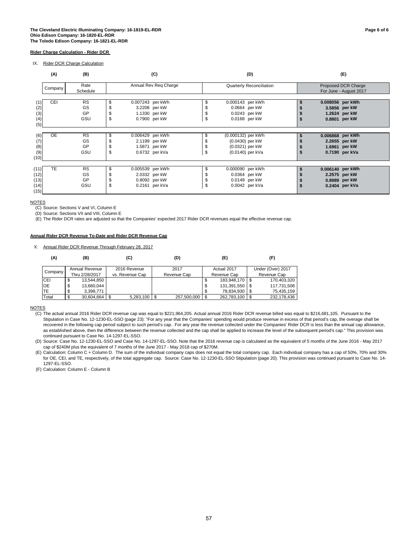IX. Rider DCR Charge Calculation

|                                      | (A)<br>(B)<br>(C) |                              |                     |                                                                      |          | (D)                                                                          | (E)                                                                  |  |  |  |
|--------------------------------------|-------------------|------------------------------|---------------------|----------------------------------------------------------------------|----------|------------------------------------------------------------------------------|----------------------------------------------------------------------|--|--|--|
|                                      | Company           | Rate<br>Schedule             |                     | Annual Rev Reg Charge                                                |          | Quarterly Reconciliation                                                     | Proposed DCR Charge<br>For June - August 2017                        |  |  |  |
| (2)<br>(3)<br>(4)<br>(5)             | <b>CEI</b>        | <b>RS</b><br>GS<br>GP<br>GSU | S<br>\$             | 0.007243 per kWh<br>3.2208 per kW<br>1.1330 per kW<br>0.7900 per kW  | \$<br>\$ | 0.000143 per kWh<br>0.0664 per kW<br>0.0243 per kW<br>0.0168 per kW          | 0.008056 per kWh<br>3.5856 per kW<br>1.2624 per kW<br>0.8801 per kW  |  |  |  |
| (6)<br>(7)<br>(8)<br>(9)<br>(10)     | <b>OE</b>         | <b>RS</b><br>GS<br>GP<br>GSU | S<br>£.<br>\$<br>\$ | 0.006429 per kWh<br>2.1199 per kW<br>1.5871 per kW<br>0.6732 per kVa | S        | (0.000132) per kWh<br>(0.0430) per kW<br>(0.0321) per kW<br>(0.0140) per kVa | 0.006868 per kWh<br>2.2655 per kW<br>1.6961 per kW<br>0.7190 per kVa |  |  |  |
| (11)<br>(12)<br>(13)<br>(14)<br>(15) | <b>TE</b>         | <b>RS</b><br>GS<br>GP<br>GSU | S<br>\$             | 0.005539 per kWh<br>2.0332 per kW<br>0.8092 per kW<br>0.2161 per kVa | S        | 0.000090 per kWh<br>0.0364 per kW<br>0.0149 per kW<br>0.0042 per kVa         | 0.006140 per kWh<br>2.2575 per kW<br>0.8989 per kW<br>0.2404 per kVa |  |  |  |

#### NOTES

(C) Source: Sections V and VI, Column E

(D) Source: Sections VII and VIII, Column E

(E) The Rider DCR rates are adjusted so that the Companies' expected 2017 Rider DCR revenues equal the effective revenue cap.

#### **Annual Rider DCR Revenue To-Date and Rider DCR Revenue Cap**

X. Annual Rider DCR Revenue Through February 28, 2017

| (A)       |    | (B)            | (C)             |           |     | (D)         |     | (E)         | (F)               |
|-----------|----|----------------|-----------------|-----------|-----|-------------|-----|-------------|-------------------|
| Company   |    | Annual Revenue | 2016 Revenue    |           |     | 2017        |     | Actual 2017 | Under (Over) 2017 |
|           |    | Thru 2/28/2017 | vs. Revenue Cap |           |     | Revenue Cap |     | Revenue Cap | Revenue Cap       |
| CEI       | Φ  | 13,544,850     |                 |           |     |             | Œ   | 183,948,170 | 170,403,320       |
| <b>OE</b> | S  | 13,660,044     |                 |           |     |             | \$  | 131,391,550 | 117,731,506       |
| <b>TE</b> | Φ  | 3.399.771      |                 |           |     |             |     | 78.834.930  | 75,435,159        |
| Total     | ۰D | 30,604,664     |                 | 5,283,100 | ΙSΙ | 257,500,000 | l S | 262,783,100 | 232,178,436       |

**NOTES** 

(C) The actual annual 2016 Rider DCR revenue cap was equal to \$221,964,205. Actual annual 2016 Rider DCR revenue billed was equal to \$216,681,105. Pursuant to the Stipulation in Case No. 12-1230-EL-SSO (page 23): "For any year that the Companies' spending would produce revenue in excess of that period's cap, the overage shall be recovered in the following cap period subject to such period's cap. For any year the revenue collected under the Companies' Rider DCR is less than the annual cap allowance, as established above, then the difference between the revenue collected and the cap shall be applied to increase the level of the subsequent period's cap." This provision was continued pursuant to Case No. 14-1297-EL-SSO.

(D) Source: Case No. 12-1230-EL-SSO and Case No. 14-1297-EL-SSO. Note that the 2016 revenue cap is calculated as the equivalent of 5 months of the June 2016 - May 2017 cap of \$240M plus the equivalent of 7 months of the June 2017 - May 2018 cap of \$270M.

(E) Calculation: Column C + Column D. The sum of the individual company caps does not equal the total company cap. Each individual company has a cap of 50%, 70% and 30% for OE, CEI, and TE, respectively, of the total aggregate cap. Source: Case No. 12-1230-EL-SSO Stipulation (page 20). This provision was continued pursuant to Case No. 14- 1297-EL-SSO.

(F) Calculation: Column E - Column B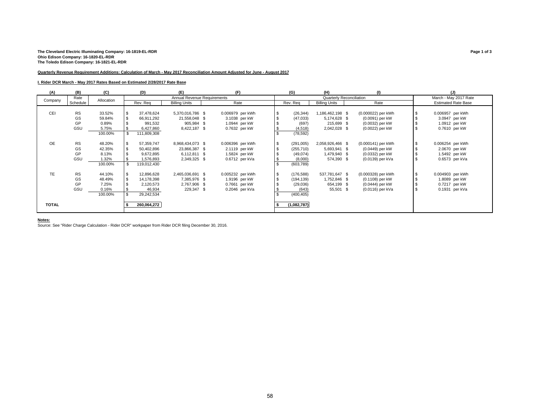# The Cleveland Electric Illuminating Company: 16-1819-EL-RDR<br>Ohio Edison Company: 16-1820-EL-RDR<br>The Toledo Edison Company: 16-1821-EL-RDR

#### **Quarterly Revenue Requirement Additions: Calculation of March - May 2017 Reconciliation Amount Adjusted for June - August 2017**

#### **I. Rider DCR March - May 2017 Rates Based on Estimated 2/28/2017 Rate Base**

| (A)          | (B)       | (C)        | (D)         | (E)                         | (F)              |     | (G)         | (H)                             | (1)                |  | (J)                        |  |  |
|--------------|-----------|------------|-------------|-----------------------------|------------------|-----|-------------|---------------------------------|--------------------|--|----------------------------|--|--|
| Company      | Rate      | Allocation |             | Annual Revenue Requirements |                  |     |             | <b>Quarterly Reconciliation</b> |                    |  | March - May 2017 Rate      |  |  |
|              | Schedule  |            | Rev. Reg    | <b>Billing Units</b>        | Rate             |     | Rev. Req    | <b>Billing Units</b>            | Rate               |  | <b>Estimated Rate Base</b> |  |  |
|              |           |            |             |                             |                  |     |             |                                 |                    |  |                            |  |  |
| CEI          | <b>RS</b> | 33.52%     | 37,478,624  | 5,370,016,786 \$            | 0.006979 per kWh | -S  | (26, 344)   | 1,186,462,198 \$                | (0.000022) per kWh |  | 0.006957 per kWh           |  |  |
|              | GS        | 59.84%     | 66,911,292  | 21,558,048 \$               | 3.1038 per kW    |     | (47, 033)   | 5,174,628 \$                    | (0.0091) per kW    |  | 3.0947 per kW              |  |  |
|              | GP        | 0.89%      | 991,532     | 905,984 \$                  | 1.0944 per kW    |     | (697)       | 215,699 \$                      | (0.0032) per kW    |  | 1.0912 per kW              |  |  |
|              | GSU       | 5.75%      | 6,427,860   | 8,422,187 \$                | 0.7632 per kW    |     | (4, 518)    | 2,042,028 \$                    | (0.0022) per kW    |  | 0.7610 per kW              |  |  |
|              |           | 100.00%    | 111,809,308 |                             |                  |     | (78, 592)   |                                 |                    |  |                            |  |  |
|              |           |            |             |                             |                  |     |             |                                 |                    |  |                            |  |  |
| <b>OE</b>    | <b>RS</b> | 48.20%     | 57,359,747  | 8,968,434,073 \$            | 0.006396 per kWh |     | (291,005)   | 2,058,926,466 \$                | (0.000141) per kWh |  | 0.006254 per kWh           |  |  |
|              | GS        | 42.35%     | 50,402,896  | 23,866,387 \$               | 2.1119 per kW    |     | (255, 710)  | 5,693,941 \$                    | (0.0449) per kW    |  | 2.0670 per kW              |  |  |
|              | GP        | 8.13%      | 9,672,895   | 6,112,811 \$                | 1.5824 per kW    |     | (49,074)    | 1,479,940 \$                    | (0.0332) per kW    |  | 1.5492 per kW              |  |  |
|              | GSU       | 1.32%      | 1,576,893   | 2,349,325 \$                | 0.6712 per kVa   |     | (8,000)     | 574,390 \$                      | (0.0139) per kVa   |  | 0.6573 per kVa             |  |  |
|              |           | 100.00%    | 119,012,430 |                             |                  |     | (603, 789)  |                                 |                    |  |                            |  |  |
|              |           |            |             |                             |                  |     |             |                                 |                    |  |                            |  |  |
| <b>TE</b>    | <b>RS</b> | 44.10%     | 12,896,628  | 2,465,036,691 \$            | 0.005232 per kWh | -\$ | (176, 588)  | 537,781,647 \$                  | (0.000328) per kWh |  | 0.004903 per kWh           |  |  |
|              | GS        | 48.49%     | 14,178,398  | 7,385,976 \$                | 1.9196 per kW    |     | (194, 139)  | 1,752,846 \$                    | (0.1108) per kW    |  | 1.8089 per kW              |  |  |
|              | GP        | 7.25%      | 2,120,573   | 2,767,906 \$                | 0.7661 per kW    |     | (29,036)    | 654,199 \$                      | (0.0444) per kW    |  | 0.7217 per kW              |  |  |
|              | GSU       | 0.16%      | 46,934      | 229,347 \$                  | 0.2046 per kVa   |     | (643)       | 55,501 \$                       | (0.0116) per kVa   |  | 0.1931 per kVa             |  |  |
|              |           | 100.00%    | 29,242,534  |                             |                  |     | (400, 405)  |                                 |                    |  |                            |  |  |
|              |           |            |             |                             |                  |     |             |                                 |                    |  |                            |  |  |
| <b>TOTAL</b> |           |            | 260,064,272 |                             |                  |     | (1,082,787) |                                 |                    |  |                            |  |  |
|              |           |            |             |                             |                  |     |             |                                 |                    |  |                            |  |  |

**Notes:** Source: See "Rider Charge Calculation - Rider DCR" workpaper from Rider DCR filing December 30, 2016.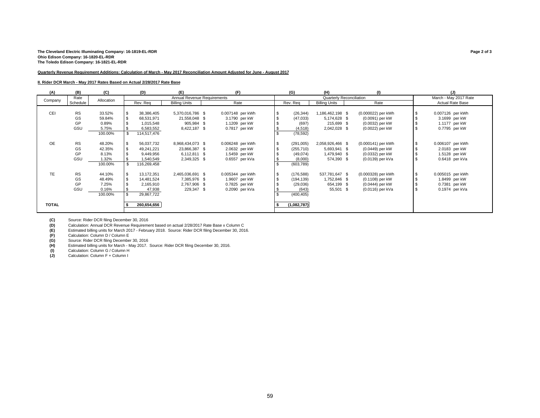#### **The Cleveland Electric Illuminating Company: 16-1819-EL-RDR Page 2 of 3 Ohio Edison Company: 16-1820-EL-RDR The Toledo Edison Company: 16-1821-EL-RDR**

#### **Quarterly Revenue Requirement Additions: Calculation of March - May 2017 Reconciliation Amount Adjusted for June - August 2017**

#### **II. Rider DCR March - May 2017 Rates Based on Actual 2/28/2017 Rate Base**

| (A)          | (B)       | (C)        | (D)         | (E)                         | (F)              |          | (G)         | (H)                      | (1)                | (J)                   |
|--------------|-----------|------------|-------------|-----------------------------|------------------|----------|-------------|--------------------------|--------------------|-----------------------|
| Company      | Rate      | Allocation |             | Annual Revenue Requirements |                  |          |             | Quarterly Reconciliation |                    | March - May 2017 Rate |
|              | Schedule  |            | Rev. Req    | <b>Billing Units</b>        | Rate             | Rev. Req |             | <b>Billing Units</b>     | Rate               | Actual Rate Base      |
|              |           |            |             |                             |                  |          |             |                          |                    |                       |
| <b>CEI</b>   | <b>RS</b> | 33.52%     | 38,386,405  | 5,370,016,786 \$            | 0.007148 per kWh |          | (26, 344)   | 1,186,462,198 \$         | (0.000022) per kWh | 0.007126 per kWh      |
|              | GS        | 59.84%     | 68,531,971  | 21,558,048 \$               | 3.1790 per kW    |          | (47,033)    | 5,174,628 \$             | (0.0091) per kW    | 3.1699 per kW         |
|              | GP        | 0.89%      | 1,015,548   | 905,984 \$                  | 1.1209 per kW    |          | (697)       | 215,699 \$               | (0.0032) per kW    | 1.1177 per kW         |
|              | GSU       | 5.75%      | 6,583,552   | 8,422,187 \$                | 0.7817 per kW    |          | (4, 518)    | 2,042,028 \$             | (0.0022) per kW    | 0.7795 per kW         |
|              |           | 100.00%    | 114,517,476 |                             |                  |          | (78, 592)   |                          |                    |                       |
|              |           |            |             |                             |                  |          |             |                          |                    |                       |
| <b>OE</b>    | <b>RS</b> | 48.20%     | 56,037,732  | 8,968,434,073 \$            | 0.006248 per kWh | \$       | (291,005)   | 2,058,926,466 \$         | (0.000141) per kWh | 0.006107 per kWh      |
|              | GS        | 42.35%     | 49,241,221  | 23,866,387 \$               | 2.0632 per kW    |          | (255, 710)  | 5,693,941 \$             | (0.0449) per kW    | 2.0183 per kW         |
|              | GP        | 8.13%      | 9,449,956   | 6,112,811 \$                | 1.5459 per kW    |          | (49,074)    | 1,479,940 \$             | (0.0332) per kW    | 1.5128 per kW         |
|              | GSU       | 1.32%      | 1,540,549   | 2,349,325 \$                | 0.6557 per kVa   |          | (8,000)     | 574,390 \$               | (0.0139) per kVa   | $0.6418$ per kVa      |
|              |           | 100.00%    | 116,269,458 |                             |                  |          | (603, 789)  |                          |                    |                       |
|              |           |            |             |                             |                  |          |             |                          |                    |                       |
| <b>TE</b>    | <b>RS</b> | 44.10%     | 13,172,351  | 2,465,036,691 \$            | 0.005344 per kWh | \$       | (176, 588)  | 537,781,647 \$           | (0.000328) per kWh | 0.005015 per kWh      |
|              | GS        | 48.49%     | 14,481,524  | 7,385,976 \$                | 1.9607 per kW    |          | (194, 139)  | 1,752,846 \$             | (0.1108) per kW    | 1.8499 per kW         |
|              | GP        | 7.25%      | 2,165,910   | 2,767,906 \$                | 0.7825 per kW    |          | (29,036)    | 654,199 \$               | (0.0444) per kW    | 0.7381 per kW         |
|              | GSU       | 0.16%      | 47,938      | 229,347 \$                  | 0.2090 per kVa   |          | (643)       | 55,501 \$                | (0.0116) per kVa   | $0.1974$ per kVa      |
|              |           | 100.00%    | 29,867,722  |                             |                  |          | (400, 405)  |                          |                    |                       |
|              |           |            |             |                             |                  |          |             |                          |                    |                       |
| <b>TOTAL</b> |           |            | 260,654,656 |                             |                  |          | (1,082,787) |                          |                    |                       |
|              |           |            |             |                             |                  |          |             |                          |                    |                       |

**(C)** Source: Rider DCR filing December 30, 2016<br>**(D)** Calculation: Annual DCR Revenue Requireme

**(D)** Calculation: Annual DCR Revenue Requirement based on actual 2/28/2017 Rate Base x Column C **(E)** Estimated billing units for March 2017 - February 2018. Source: Rider DCR filing December 30, 2016.

(F) Calculation: Column D / Column E<br> **(G)** Source: Rider DCR filing December

**(G)** Source: Rider DCR filing December 30, 2016 **(H)** Estimated billing units for March - May 2017. Source: Rider DCR filing December 30, 2016. **(I)** Calculation: Column G / Column H

**(J)** Calculation: Column F + Column I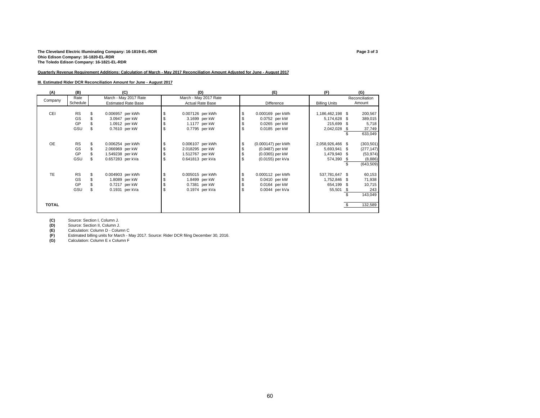# The Cleveland Electric Illuminating Company: 16-1819-EL-RDR<br>Ohio Edison Company: 16-1820-EL-RDR<br>The Toledo Edison Company: 16-1821-EL-RDR

#### **Quarterly Revenue Requirement Additions: Calculation of March - May 2017 Reconciliation Amount Adjusted for June - August 2017**

#### **III. Estimated Rider DCR Reconciliation Amount for June - August 2017**

| (A)          | (B)       |    |                  | (C)                        |                  | (D)                     |    | (E)                | (F)                  | (G)            |
|--------------|-----------|----|------------------|----------------------------|------------------|-------------------------|----|--------------------|----------------------|----------------|
| Company      | Rate      |    |                  | March - May 2017 Rate      |                  | March - May 2017 Rate   |    |                    |                      | Reconciliation |
|              | Schedule  |    |                  | <b>Estimated Rate Base</b> |                  | <b>Actual Rate Base</b> |    | Difference         | <b>Billing Units</b> | Amount         |
|              |           |    |                  |                            |                  |                         |    |                    |                      |                |
| CEI          | <b>RS</b> | S  | 0.006957 per kWh |                            | 0.007126 per kWh |                         |    | 0.000169 per kWh   | 1,186,462,198 \$     | 200,567        |
|              | GS        |    |                  | 3.0947 per kW              |                  | 3.1699 per kW           |    | 0.0752 per kW      | 5,174,628 \$         | 389,015        |
|              | GP        |    |                  | 1.0912 per kW              |                  | 1.1177 per kW           |    | 0.0265 per kW      | 215,699 \$           | 5,718          |
|              | GSU       |    |                  | 0.7610 per kW              |                  | 0.7795 per kW           | S. | 0.0185 per kW      | 2,042,028 \$         | 37,749         |
|              |           |    |                  |                            |                  |                         |    |                    |                      | 633,049        |
|              |           |    |                  |                            |                  |                         |    |                    |                      |                |
| <b>OE</b>    | <b>RS</b> | \$ | 0.006254 per kWh |                            | 0.006107 per kWh |                         | \$ | (0.000147) per kWh | 2,058,926,466 \$     | (303, 501)     |
|              | GS        |    | 2.066969 per kW  |                            | 2.018295 per kW  |                         |    | (0.0487) per kW    | 5,693,941 \$         | (277, 147)     |
|              | GP        |    | 1.549238 per kW  |                            | 1.512767 per kW  |                         |    | (0.0365) per kW    | 1,479,940 \$         | (53, 974)      |
|              | GSU       |    | 0.657283 per kVa |                            | 0.641813 per kVa |                         |    | (0.0155) per kVa   | 574,390 \$           | (8,886)        |
|              |           |    |                  |                            |                  |                         |    |                    |                      | (643, 509)     |
|              |           |    |                  |                            |                  |                         |    |                    |                      |                |
| <b>TE</b>    | <b>RS</b> | \$ | 0.004903 per kWh |                            | 0.005015 per kWh |                         |    | 0.000112 per kWh   | 537,781,647 \$       | 60,153         |
|              | GS        |    |                  | 1.8089 per kW              |                  | 1.8499 per kW           |    | 0.0410 per kW      | 1,752,846 \$         | 71,938         |
|              | GP        |    |                  | 0.7217 per kW              |                  | 0.7381 per kW           |    | 0.0164 per kW      | 654,199 \$           | 10,715         |
|              | GSU       |    |                  | 0.1931 per kVa             |                  | 0.1974 per kVa          |    | 0.0044 per kVa     | 55,501 \$            | 243            |
|              |           |    |                  |                            |                  |                         |    |                    |                      | 143,049        |
|              |           |    |                  |                            |                  |                         |    |                    |                      |                |
| <b>TOTAL</b> |           |    |                  |                            |                  |                         |    |                    |                      | 132,589        |
|              |           |    |                  |                            |                  |                         |    |                    |                      |                |

**(C)** Source: Section I, Column J. **(D)** Source: Section II, Column J.<br> **(E)** Calculation: Column D - Column

**(F)** Estimated billing units for March - May 2017. Source: Rider DCR filing December 30, 2016. **(G)** Calculation: Column E x Column F

(E) Calculation: Column D - Column C<br> **(F)** Estimated billing units for March - M<br> **(G)** Calculation: Column E x Column F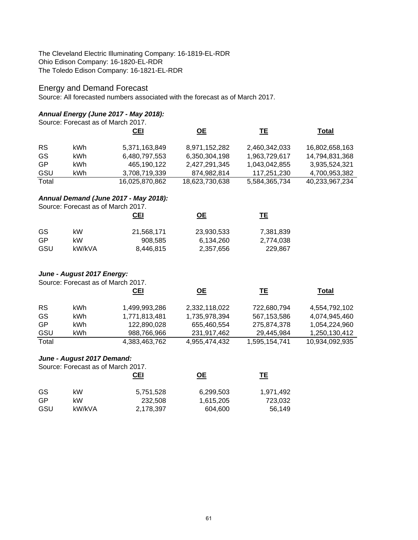The Cleveland Electric Illuminating Company: 16-1819-EL-RDR Ohio Edison Company: 16-1820-EL-RDR The Toledo Edison Company: 16-1821-EL-RDR

# Energy and Demand Forecast

Source: All forecasted numbers associated with the forecast as of March 2017.

## *Annual Energy (June 2017 - May 2018):*

|                                       |      | Source: Forecast as of March 2017. |                |               |                |  |  |  |  |  |  |
|---------------------------------------|------|------------------------------------|----------------|---------------|----------------|--|--|--|--|--|--|
|                                       |      | <b>CEI</b>                         | <b>OE</b>      | TЕ            | <b>Total</b>   |  |  |  |  |  |  |
| <b>RS</b>                             | kWh. | 5,371,163,849                      | 8,971,152,282  | 2,460,342,033 | 16,802,658,163 |  |  |  |  |  |  |
| GS                                    | kWh. | 6,480,797,553                      | 6,350,304,198  | 1,963,729,617 | 14,794,831,368 |  |  |  |  |  |  |
| GP                                    | kWh  | 465,190,122                        | 2,427,291,345  | 1,043,042,855 | 3,935,524,321  |  |  |  |  |  |  |
| GSU                                   | kWh  | 3,708,719,339                      | 874,982,814    | 117,251,230   | 4,700,953,382  |  |  |  |  |  |  |
| Total                                 |      | 16,025,870,862                     | 18,623,730,638 | 5,584,365,734 | 40,233,967,234 |  |  |  |  |  |  |
| Annual Demand (June 2017 - May 2018): |      |                                    |                |               |                |  |  |  |  |  |  |
|                                       |      | Source: Forecast as of March 2017. |                |               |                |  |  |  |  |  |  |
|                                       |      | CEI                                | OЕ             | TΕ            |                |  |  |  |  |  |  |

| GS. | kW     | 21,568,171 | 23,930,533 | 7,381,839 |
|-----|--------|------------|------------|-----------|
| GP  | kW     | 908.585    | 6,134,260  | 2,774,038 |
| GSU | kW/kVA | 8,446,815  | 2,357,656  | 229.867   |

# *June - August 2017 Energy:*

Source: Forecast as of March 2017.

|           |      | <b>CEI</b>    | OЕ            | TΕ            | Total          |
|-----------|------|---------------|---------------|---------------|----------------|
| <b>RS</b> | kWh. | 1,499,993,286 | 2,332,118,022 | 722,680,794   | 4,554,792,102  |
| GS        | kWh. | 1,771,813,481 | 1,735,978,394 | 567,153,586   | 4,074,945,460  |
| GP        | kWh. | 122,890,028   | 655,460,554   | 275,874,378   | 1,054,224,960  |
| GSU       | kWh  | 988,766,966   | 231.917.462   | 29,445,984    | 1,250,130,412  |
| Total     |      | 4,383,463,762 | 4,955,474,432 | 1,595,154,741 | 10,934,092,935 |

# *June - August 2017 Demand:*

Source: Forecast as of March 2017.

|     |        | <b>CEI</b> | <u>ОЕ</u> | TΕ        |  |  |
|-----|--------|------------|-----------|-----------|--|--|
| GS  | kW     | 5,751,528  | 6,299,503 | 1,971,492 |  |  |
| GP  | kW     | 232,508    | 1,615,205 | 723,032   |  |  |
| GSU | kW/kVA | 2,178,397  | 604,600   | 56.149    |  |  |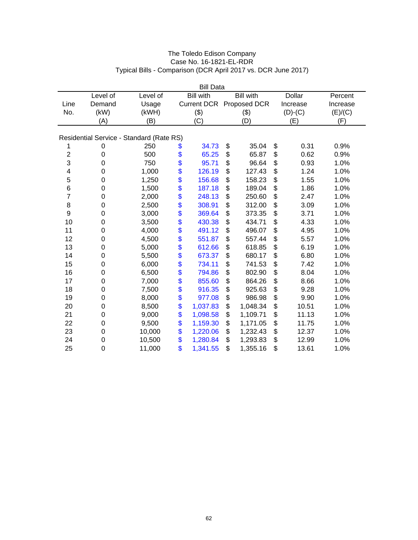| The Toledo Edison Company                                     |
|---------------------------------------------------------------|
| Case No. 16-1821-EL-RDR                                       |
| Typical Bills - Comparison (DCR April 2017 vs. DCR June 2017) |

| <b>Bill Data</b>        |                  |                                          |    |                    |    |                  |    |               |          |  |
|-------------------------|------------------|------------------------------------------|----|--------------------|----|------------------|----|---------------|----------|--|
|                         | Level of         | Level of                                 |    | <b>Bill with</b>   |    | <b>Bill with</b> |    | <b>Dollar</b> | Percent  |  |
| Line                    | Demand           | Usage                                    |    | <b>Current DCR</b> |    | Proposed DCR     |    | Increase      | Increase |  |
| No.                     | (kW)             | (kWH)                                    |    | (3)                |    | (3)              |    | $(D)-(C)$     | (E)/(C)  |  |
|                         | (A)              | (B)                                      |    | (C)                |    | (D)              |    | (E)           | (F)      |  |
|                         |                  |                                          |    |                    |    |                  |    |               |          |  |
|                         |                  | Residential Service - Standard (Rate RS) |    |                    |    |                  |    |               |          |  |
| 1                       | 0                | 250                                      | \$ | 34.73              | \$ | 35.04            | \$ | 0.31          | 0.9%     |  |
| $\overline{\mathbf{c}}$ | $\boldsymbol{0}$ | 500                                      | \$ | 65.25              | \$ | 65.87            | \$ | 0.62          | 0.9%     |  |
| 3                       | 0                | 750                                      | \$ | 95.71              | \$ | 96.64            | \$ | 0.93          | 1.0%     |  |
| 4                       | 0                | 1,000                                    | \$ | 126.19             | \$ | 127.43           | \$ | 1.24          | 1.0%     |  |
| 5                       | 0                | 1,250                                    | \$ | 156.68             | \$ | 158.23           | \$ | 1.55          | 1.0%     |  |
| 6                       | 0                | 1,500                                    | \$ | 187.18             | \$ | 189.04           | \$ | 1.86          | 1.0%     |  |
| $\overline{7}$          | $\boldsymbol{0}$ | 2,000                                    | \$ | 248.13             | \$ | 250.60           | \$ | 2.47          | 1.0%     |  |
| 8                       | $\boldsymbol{0}$ | 2,500                                    | \$ | 308.91             | \$ | 312.00           | \$ | 3.09          | 1.0%     |  |
| 9                       | $\mathbf 0$      | 3,000                                    | \$ | 369.64             | \$ | 373.35           | \$ | 3.71          | 1.0%     |  |
| 10                      | $\mathbf 0$      | 3,500                                    | \$ | 430.38             | \$ | 434.71           | \$ | 4.33          | 1.0%     |  |
| 11                      | $\mathbf 0$      | 4,000                                    | \$ | 491.12             | \$ | 496.07           | \$ | 4.95          | 1.0%     |  |
| 12                      | 0                | 4,500                                    | \$ | 551.87             | \$ | 557.44           | \$ | 5.57          | 1.0%     |  |
| 13                      | $\mathbf 0$      | 5,000                                    | \$ | 612.66             | \$ | 618.85           | \$ | 6.19          | 1.0%     |  |
| 14                      | 0                | 5,500                                    | \$ | 673.37             | \$ | 680.17           | \$ | 6.80          | 1.0%     |  |
| 15                      | $\boldsymbol{0}$ | 6,000                                    | \$ | 734.11             | \$ | 741.53           | \$ | 7.42          | 1.0%     |  |
| 16                      | $\mathbf 0$      | 6,500                                    | \$ | 794.86             | \$ | 802.90           | \$ | 8.04          | 1.0%     |  |
| 17                      | 0                | 7,000                                    | \$ | 855.60             | \$ | 864.26           | \$ | 8.66          | 1.0%     |  |
| 18                      | 0                | 7,500                                    | \$ | 916.35             | \$ | 925.63           | \$ | 9.28          | 1.0%     |  |
| 19                      | $\mathbf 0$      | 8,000                                    | \$ | 977.08             | \$ | 986.98           | \$ | 9.90          | 1.0%     |  |
| 20                      | 0                | 8,500                                    | \$ | 1,037.83           | \$ | 1,048.34         | \$ | 10.51         | 1.0%     |  |
| 21                      | 0                | 9,000                                    | \$ | 1,098.58           | \$ | 1,109.71         | \$ | 11.13         | 1.0%     |  |
| 22                      | $\boldsymbol{0}$ | 9,500                                    | \$ | 1,159.30           | \$ | 1,171.05         | \$ | 11.75         | 1.0%     |  |
| 23                      | 0                | 10,000                                   | \$ | 1,220.06           | \$ | 1,232.43         | \$ | 12.37         | 1.0%     |  |
| 24                      | 0                | 10,500                                   | \$ | 1,280.84           | \$ | 1,293.83         | \$ | 12.99         | 1.0%     |  |
| 25                      | 0                | 11,000                                   | \$ | 1,341.55           | \$ | 1,355.16         | \$ | 13.61         | 1.0%     |  |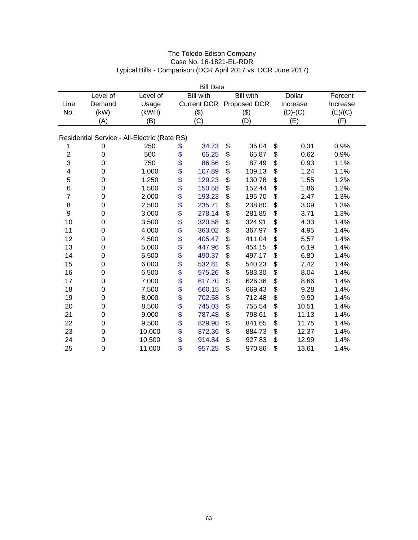| The Toledo Edison Company                                     |
|---------------------------------------------------------------|
| Case No. 16-1821-EL-RDR                                       |
| Typical Bills - Comparison (DCR April 2017 vs. DCR June 2017) |

| <b>Bill Data</b> |             |                                              |          |                    |    |                  |          |               |          |  |
|------------------|-------------|----------------------------------------------|----------|--------------------|----|------------------|----------|---------------|----------|--|
|                  | Level of    | Level of                                     |          | <b>Bill with</b>   |    | <b>Bill with</b> |          | <b>Dollar</b> | Percent  |  |
| Line             | Demand      | Usage                                        |          | <b>Current DCR</b> |    | Proposed DCR     | Increase |               | Increase |  |
| No.              | (kW)        | (kWH)                                        |          | (3)                |    | (3)              |          | $(D)-(C)$     | (E)/(C)  |  |
|                  | (A)         | (B)                                          |          | (C)                |    | (D)              |          | (E)           | (F)      |  |
|                  |             |                                              |          |                    |    |                  |          |               |          |  |
|                  |             | Residential Service - All-Electric (Rate RS) |          |                    |    |                  |          |               |          |  |
| 1                | 0           | 250                                          | \$       | 34.73              | \$ | 35.04            | \$       | 0.31          | 0.9%     |  |
| $\overline{c}$   | 0           | 500                                          | \$       | 65.25              | \$ | 65.87            | \$       | 0.62          | 0.9%     |  |
| 3                | $\mathbf 0$ | 750                                          | \$       | 86.56              | \$ | 87.49            | \$       | 0.93          | 1.1%     |  |
| 4                | 0           | 1,000                                        | \$       | 107.89             | \$ | 109.13           | \$       | 1.24          | 1.1%     |  |
| 5                | 0           | 1,250                                        | \$       | 129.23             | \$ | 130.78           | \$       | 1.55          | 1.2%     |  |
| 6                | 0           | 1,500                                        | \$       | 150.58             | \$ | 152.44           | \$       | 1.86          | 1.2%     |  |
| 7                | $\mathbf 0$ | 2,000                                        | \$       | 193.23             | \$ | 195.70           | \$       | 2.47          | 1.3%     |  |
| 8                | 0           | 2,500                                        |          | 235.71             | \$ | 238.80           | \$       | 3.09          | 1.3%     |  |
| 9                | 0           | 3,000                                        | \$<br>\$ | 278.14             | \$ | 281.85           | \$       | 3.71          | 1.3%     |  |
| 10               | $\mathbf 0$ | 3,500                                        | \$       | 320.58             | \$ | 324.91           | \$       | 4.33          | 1.4%     |  |
| 11               | 0           | 4,000                                        | \$       | 363.02             | \$ | 367.97           | \$       | 4.95          | 1.4%     |  |
| 12               | $\mathbf 0$ | 4,500                                        | \$       | 405.47             | \$ | 411.04           | \$       | 5.57          | 1.4%     |  |
| 13               | 0           | 5,000                                        | \$       | 447.96             | \$ | 454.15           | \$       | 6.19          | 1.4%     |  |
| 14               | $\mathbf 0$ | 5,500                                        | \$       | 490.37             | \$ | 497.17           | \$       | 6.80          | 1.4%     |  |
| 15               | 0           | 6,000                                        | \$       | 532.81             | \$ | 540.23           | \$       | 7.42          | 1.4%     |  |
| 16               | $\mathbf 0$ | 6,500                                        | \$       | 575.26             | \$ | 583.30           | \$       | 8.04          | 1.4%     |  |
| 17               | 0           | 7,000                                        | \$       | 617.70             | \$ | 626.36           | \$       | 8.66          | 1.4%     |  |
| 18               | 0           | 7,500                                        | \$       | 660.15             | \$ | 669.43           | \$       | 9.28          | 1.4%     |  |
| 19               | 0           | 8,000                                        | \$       | 702.58             | \$ | 712.48           | \$       | 9.90          | 1.4%     |  |
| 20               | 0           | 8,500                                        | \$       | 745.03             | \$ | 755.54           | \$       | 10.51         | 1.4%     |  |
| 21               | 0           | 9,000                                        | \$       | 787.48             | \$ | 798.61           | \$       | 11.13         | 1.4%     |  |
| 22               | 0           | 9,500                                        | \$       | 829.90             | \$ | 841.65           | \$       | 11.75         | 1.4%     |  |
| 23               | 0           | 10,000                                       | \$       | 872.36             | \$ | 884.73           | \$       | 12.37         | 1.4%     |  |
| 24               | $\mathbf 0$ | 10,500                                       | \$       | 914.84             | \$ | 927.83           | \$       | 12.99         | 1.4%     |  |
| 25               | $\mathbf 0$ | 11,000                                       | \$       | 957.25             | \$ | 970.86           | \$       | 13.61         | 1.4%     |  |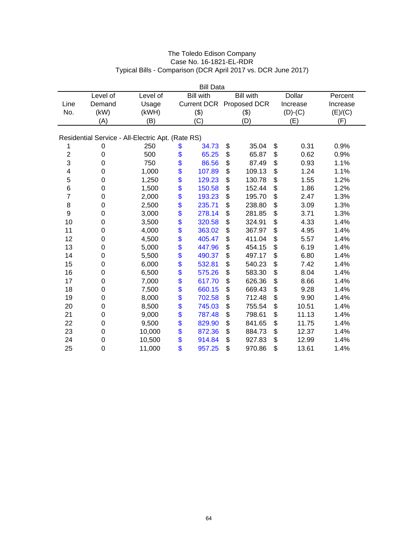| <b>Bill Data</b> |                                                   |          |          |                    |                  |        |    |               |          |  |  |  |
|------------------|---------------------------------------------------|----------|----------|--------------------|------------------|--------|----|---------------|----------|--|--|--|
|                  | Level of                                          | Level of |          | <b>Bill with</b>   | <b>Bill</b> with |        |    | <b>Dollar</b> | Percent  |  |  |  |
| Line             | Demand                                            | Usage    |          | <b>Current DCR</b> | Proposed DCR     |        |    | Increase      | Increase |  |  |  |
| No.              | (kW)                                              | (kWH)    |          | (3)                | (3)              |        |    | $(D)-(C)$     | (E)/(C)  |  |  |  |
|                  | (A)                                               | (B)      |          | (C)                | (D)              |        |    | (E)           | (F)      |  |  |  |
|                  | Residential Service - All-Electric Apt. (Rate RS) |          |          |                    |                  |        |    |               |          |  |  |  |
| 1                | 0                                                 | 250      | \$       | 34.73              | \$               | 35.04  | \$ | 0.31          | 0.9%     |  |  |  |
| $\overline{c}$   | 0                                                 | 500      | \$       | 65.25              | \$               | 65.87  | \$ | 0.62          | 0.9%     |  |  |  |
| 3                | $\mathbf 0$                                       | 750      | \$       | 86.56              | \$               | 87.49  | \$ | 0.93          | 1.1%     |  |  |  |
| 4                | $\mathbf 0$                                       | 1,000    | \$       | 107.89             | \$               | 109.13 | \$ | 1.24          | 1.1%     |  |  |  |
| 5                | 0                                                 | 1,250    | \$       | 129.23             | \$               | 130.78 | \$ | 1.55          | 1.2%     |  |  |  |
| 6                | $\mathbf 0$                                       | 1,500    |          | 150.58             | \$               | 152.44 | \$ | 1.86          | 1.2%     |  |  |  |
| $\overline{7}$   | $\mathbf 0$                                       | 2,000    | \$<br>\$ | 193.23             | \$               | 195.70 | \$ | 2.47          | 1.3%     |  |  |  |
| 8                | 0                                                 | 2,500    | \$       | 235.71             | \$               | 238.80 | \$ | 3.09          | 1.3%     |  |  |  |
| 9                | $\mathbf 0$                                       | 3,000    |          | 278.14             | \$               | 281.85 | \$ | 3.71          | 1.3%     |  |  |  |
| 10               | 0                                                 | 3,500    | \$       | 320.58             | \$               | 324.91 | \$ | 4.33          | 1.4%     |  |  |  |
| 11               | 0                                                 | 4,000    | \$       | 363.02             | \$               | 367.97 | \$ | 4.95          | 1.4%     |  |  |  |
| 12               | $\mathbf 0$                                       | 4,500    |          | 405.47             | \$               | 411.04 | \$ | 5.57          | 1.4%     |  |  |  |
| 13               | 0                                                 | 5,000    | \$       | 447.96             | \$               | 454.15 | \$ | 6.19          | 1.4%     |  |  |  |
| 14               | 0                                                 | 5,500    | \$       | 490.37             | \$               | 497.17 | \$ | 6.80          | 1.4%     |  |  |  |
| 15               | 0                                                 | 6,000    |          | 532.81             | \$               | 540.23 | \$ | 7.42          | 1.4%     |  |  |  |
| 16               | 0                                                 | 6,500    | \$       | 575.26             | \$               | 583.30 | \$ | 8.04          | 1.4%     |  |  |  |
| 17               | 0                                                 | 7,000    | \$       | 617.70             | \$               | 626.36 | \$ | 8.66          | 1.4%     |  |  |  |
| 18               | $\mathbf 0$                                       | 7,500    | \$       | 660.15             | \$               | 669.43 | \$ | 9.28          | 1.4%     |  |  |  |
| 19               | 0                                                 | 8,000    | \$       | 702.58             | \$               | 712.48 | \$ | 9.90          | 1.4%     |  |  |  |
| 20               | 0                                                 | 8,500    | \$       | 745.03             | \$               | 755.54 | \$ | 10.51         | 1.4%     |  |  |  |
| 21               | $\mathbf 0$                                       | 9,000    | \$       | 787.48             | \$               | 798.61 | \$ | 11.13         | 1.4%     |  |  |  |
| 22               | $\mathbf 0$                                       | 9,500    | \$       | 829.90             | \$               | 841.65 | \$ | 11.75         | 1.4%     |  |  |  |
| 23               | 0                                                 | 10,000   | \$       | 872.36             | \$               | 884.73 | \$ | 12.37         | 1.4%     |  |  |  |
| 24               | $\mathbf 0$                                       | 10,500   | \$       | 914.84             | \$               | 927.83 | \$ | 12.99         | 1.4%     |  |  |  |
| 25               | $\mathbf 0$                                       | 11,000   | \$       | 957.25             | \$               | 970.86 | \$ | 13.61         | 1.4%     |  |  |  |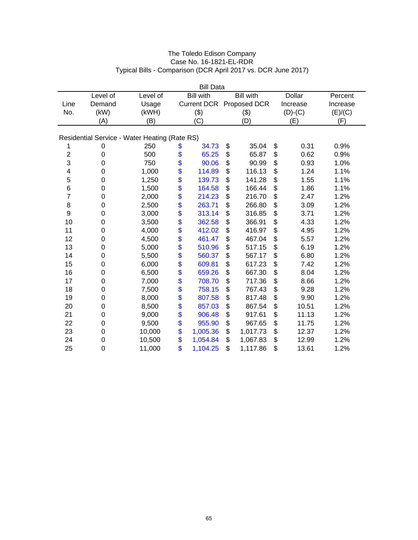| <b>Bill Data</b> |             |                                               |          |                  |     |                          |    |               |          |  |
|------------------|-------------|-----------------------------------------------|----------|------------------|-----|--------------------------|----|---------------|----------|--|
|                  | Level of    | Level of                                      |          | <b>Bill with</b> |     | <b>Bill</b> with         |    | <b>Dollar</b> | Percent  |  |
| Line             | Demand      | Usage                                         |          |                  |     | Current DCR Proposed DCR |    | Increase      | Increase |  |
| No.              | (kW)        | (kWH)                                         |          | (3)              | (3) |                          |    | $(D)-(C)$     | (E)/(C)  |  |
|                  | (A)         | (B)                                           |          | (C)              | (D) |                          |    | (E)           | (F)      |  |
|                  |             |                                               |          |                  |     |                          |    |               |          |  |
|                  |             | Residential Service - Water Heating (Rate RS) |          |                  |     |                          |    |               |          |  |
| 1                | 0           | 250                                           | \$       | 34.73            | \$  | 35.04                    | \$ | 0.31          | 0.9%     |  |
| $\overline{c}$   | 0           | 500                                           | \$       | 65.25            | \$  | 65.87                    | \$ | 0.62          | 0.9%     |  |
| 3                | $\mathbf 0$ | 750                                           | \$       | 90.06            | \$  | 90.99                    | \$ | 0.93          | 1.0%     |  |
| 4                | $\mathbf 0$ | 1,000                                         | \$       | 114.89           | \$  | 116.13                   | \$ | 1.24          | 1.1%     |  |
| 5                | 0           | 1,250                                         | \$       | 139.73           | \$  | 141.28                   | \$ | 1.55          | 1.1%     |  |
| 6                | $\mathbf 0$ | 1,500                                         |          | 164.58           | \$  | 166.44                   | \$ | 1.86          | 1.1%     |  |
| $\overline{7}$   | $\mathbf 0$ | 2,000                                         | \$<br>\$ | 214.23           | \$  | 216.70                   | \$ | 2.47          | 1.2%     |  |
| 8                | 0           | 2,500                                         | \$       | 263.71           | \$  | 266.80                   | \$ | 3.09          | 1.2%     |  |
| $\boldsymbol{9}$ | $\mathbf 0$ | 3,000                                         |          | 313.14           | \$  | 316.85                   | \$ | 3.71          | 1.2%     |  |
| 10               | 0           | 3,500                                         |          | 362.58           | \$  | 366.91                   | \$ | 4.33          | 1.2%     |  |
| 11               | 0           | 4,000                                         | \$\$     | 412.02           | \$  | 416.97                   | \$ | 4.95          | 1.2%     |  |
| 12               | $\mathbf 0$ | 4,500                                         |          | 461.47           | \$  | 467.04                   | \$ | 5.57          | 1.2%     |  |
| 13               | 0           | 5,000                                         | \$\$     | 510.96           | \$  | 517.15                   | \$ | 6.19          | 1.2%     |  |
| 14               | 0           | 5,500                                         |          | 560.37           | \$  | 567.17                   | \$ | 6.80          | 1.2%     |  |
| 15               | 0           | 6,000                                         |          | 609.81           | \$  | 617.23                   | \$ | 7.42          | 1.2%     |  |
| 16               | 0           | 6,500                                         | \$       | 659.26           | \$  | 667.30                   | \$ | 8.04          | 1.2%     |  |
| 17               | 0           | 7,000                                         | \$       | 708.70           | \$  | 717.36                   | \$ | 8.66          | 1.2%     |  |
| 18               | $\mathbf 0$ | 7,500                                         | \$       | 758.15           | \$  | 767.43                   | \$ | 9.28          | 1.2%     |  |
| 19               | 0           | 8,000                                         | \$       | 807.58           | \$  | 817.48                   | \$ | 9.90          | 1.2%     |  |
| 20               | 0           | 8,500                                         | \$       | 857.03           | \$  | 867.54                   | \$ | 10.51         | 1.2%     |  |
| 21               | $\mathbf 0$ | 9,000                                         | \$       | 906.48           | \$  | 917.61                   | \$ | 11.13         | 1.2%     |  |
| 22               | $\mathbf 0$ | 9,500                                         | \$       | 955.90           | \$  | 967.65                   | \$ | 11.75         | 1.2%     |  |
| 23               | 0           | 10,000                                        | \$       | 1,005.36         | \$  | 1,017.73                 | \$ | 12.37         | 1.2%     |  |
| 24               | $\mathbf 0$ | 10,500                                        | \$       | 1,054.84         | \$  | 1,067.83                 | \$ | 12.99         | 1.2%     |  |
| 25               | $\mathbf 0$ | 11,000                                        | \$       | 1,104.25         | \$  | 1,117.86                 | \$ | 13.61         | 1.2%     |  |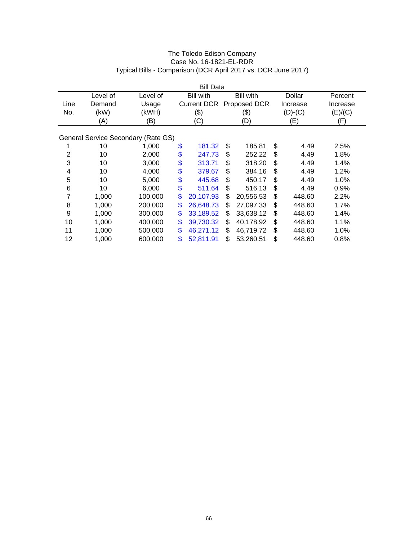|                | <b>Bill Data</b> |                                     |    |                    |    |                  |    |           |          |  |  |
|----------------|------------------|-------------------------------------|----|--------------------|----|------------------|----|-----------|----------|--|--|
|                | Level of         | Level of                            |    | <b>Bill with</b>   |    | <b>Bill with</b> |    | Dollar    | Percent  |  |  |
| Line           | Demand           | Usage                               |    | <b>Current DCR</b> |    | Proposed DCR     |    | Increase  | Increase |  |  |
| No.            | (kW)             | (kWH)                               |    | (3)                |    | (\$)             |    | $(D)-(C)$ | (E)/(C)  |  |  |
|                | (A)              | (B)                                 |    | (C)                |    | (D)              |    | (E)       | (F)      |  |  |
|                |                  |                                     |    |                    |    |                  |    |           |          |  |  |
|                |                  | General Service Secondary (Rate GS) |    |                    |    |                  |    |           |          |  |  |
|                | 10               | 1,000                               | \$ | 181.32             | \$ | 185.81           | \$ | 4.49      | 2.5%     |  |  |
| $\overline{2}$ | 10               | 2,000                               | \$ | 247.73             | \$ | 252.22           | \$ | 4.49      | 1.8%     |  |  |
| 3              | 10               | 3,000                               | \$ | 313.71             | \$ | 318.20           | \$ | 4.49      | 1.4%     |  |  |
| 4              | 10               | 4,000                               | \$ | 379.67             | \$ | 384.16           | \$ | 4.49      | 1.2%     |  |  |
| 5              | 10               | 5,000                               | \$ | 445.68             | \$ | 450.17           | \$ | 4.49      | 1.0%     |  |  |
| 6              | 10               | 6,000                               | \$ | 511.64             | \$ | 516.13           | \$ | 4.49      | 0.9%     |  |  |
| 7              | 1,000            | 100,000                             | \$ | 20,107.93          | \$ | 20,556.53        | \$ | 448.60    | 2.2%     |  |  |
| 8              | 1,000            | 200,000                             | \$ | 26,648.73          | \$ | 27,097.33        | \$ | 448.60    | 1.7%     |  |  |
| 9              | 1,000            | 300,000                             | \$ | 33,189.52          | \$ | 33,638.12        | \$ | 448.60    | 1.4%     |  |  |
| 10             | 1,000            | 400,000                             | \$ | 39,730.32          | \$ | 40,178.92        | \$ | 448.60    | 1.1%     |  |  |
| 11             | 1,000            | 500,000                             | \$ | 46,271.12          | \$ | 46,719.72        | \$ | 448.60    | 1.0%     |  |  |
| 12             | 1,000            | 600,000                             | \$ | 52,811.91          | \$ | 53,260.51        | \$ | 448.60    | 0.8%     |  |  |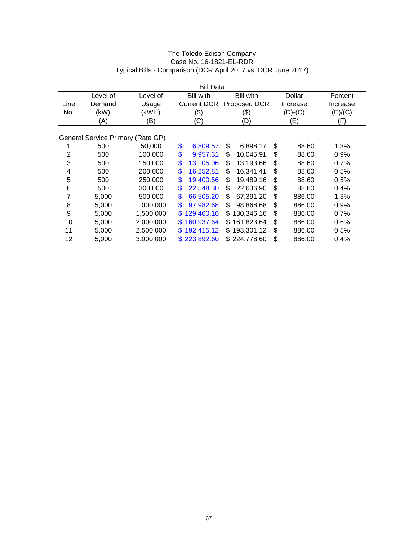| <b>Bill Data</b> |          |                                   |    |                    |     |                  |              |          |  |
|------------------|----------|-----------------------------------|----|--------------------|-----|------------------|--------------|----------|--|
|                  | Level of | Level of                          |    | <b>Bill with</b>   |     | <b>Bill with</b> | Dollar       | Percent  |  |
| Line             | Demand   | Usage                             |    | <b>Current DCR</b> |     | Proposed DCR     | Increase     | Increase |  |
| No.              | (kW)     | (kWH)                             |    | (3)                |     | (\$)             | $(D)-(C)$    | (E)/(C)  |  |
|                  | (A)      | (B)                               |    | (C)                | (D) |                  | (E)          | (F)      |  |
|                  |          |                                   |    |                    |     |                  |              |          |  |
|                  |          | General Service Primary (Rate GP) |    |                    |     |                  |              |          |  |
|                  | 500      | 50,000                            | \$ | 6,809.57           | \$  | 6,898.17         | \$<br>88.60  | 1.3%     |  |
| 2                | 500      | 100,000                           | \$ | 9,957.31           | \$  | 10,045.91        | \$<br>88.60  | 0.9%     |  |
| 3                | 500      | 150,000                           | \$ | 13,105.06          | \$  | 13,193.66        | \$<br>88.60  | 0.7%     |  |
| 4                | 500      | 200,000                           | \$ | 16,252.81          | \$  | 16,341.41        | \$<br>88.60  | 0.5%     |  |
| 5                | 500      | 250,000                           | \$ | 19,400.56          | \$  | 19,489.16        | \$<br>88.60  | 0.5%     |  |
| 6                | 500      | 300,000                           | \$ | 22,548.30          | \$  | 22.636.90        | \$<br>88.60  | 0.4%     |  |
| 7                | 5,000    | 500,000                           | \$ | 66,505.20          | \$  | 67,391.20        | \$<br>886.00 | 1.3%     |  |
| 8                | 5,000    | 1,000,000                         | \$ | 97,982.68          | \$  | 98,868.68        | \$<br>886.00 | 0.9%     |  |
| 9                | 5,000    | 1,500,000                         | \$ | 129,460.16         | S   | 130,346.16       | \$<br>886.00 | 0.7%     |  |
| 10               | 5,000    | 2,000,000                         | \$ | 160,937.64         | \$  | 161,823.64       | \$<br>886.00 | 0.6%     |  |
| 11               | 5,000    | 2,500,000                         | S. | 192,415.12         | \$  | 193,301.12       | \$<br>886.00 | 0.5%     |  |
| 12               | 5,000    | 3,000,000                         |    | \$223,892.60       |     | \$224,778.60     | \$<br>886.00 | 0.4%     |  |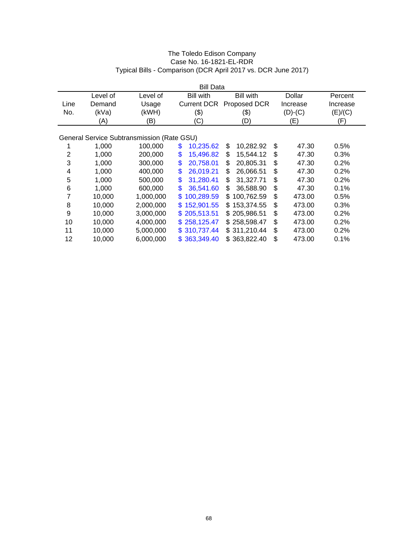| <b>Bill Data</b> |          |                                            |                    |                   |              |          |
|------------------|----------|--------------------------------------------|--------------------|-------------------|--------------|----------|
|                  | Level of | Level of                                   | <b>Bill with</b>   | <b>Bill with</b>  | Dollar       | Percent  |
| Line             | Demand   | Usage                                      | <b>Current DCR</b> | Proposed DCR      | Increase     | Increase |
| No.              | (kVa)    | (kWH)                                      | (3)                | (\$)              | $(D)-(C)$    | (E)/(C)  |
|                  | (A)      | (B)                                        | (C)                | (D)               | (E)          | (F)      |
|                  |          |                                            |                    |                   |              |          |
|                  |          | General Service Subtransmission (Rate GSU) |                    |                   |              |          |
|                  | 1,000    | 100,000                                    | \$<br>10,235.62    | 10,282.92<br>\$   | \$<br>47.30  | 0.5%     |
| 2                | 1,000    | 200,000                                    | \$<br>15,496.82    | 15,544.12<br>\$   | \$<br>47.30  | 0.3%     |
| 3                | 1,000    | 300,000                                    | \$<br>20,758.01    | 20,805.31<br>\$   | \$<br>47.30  | 0.2%     |
| 4                | 1,000    | 400,000                                    | \$<br>26,019.21    | 26,066.51<br>\$   | \$<br>47.30  | 0.2%     |
| 5                | 1,000    | 500,000                                    | \$<br>31,280.41    | 31,327.71<br>\$   | \$<br>47.30  | 0.2%     |
| 6                | 1,000    | 600,000                                    | \$<br>36,541.60    | 36,588.90<br>\$   | \$<br>47.30  | 0.1%     |
| 7                | 10,000   | 1,000,000                                  | 100,289.59<br>\$.  | 100,762.59<br>\$. | \$<br>473.00 | 0.5%     |
| 8                | 10,000   | 2,000,000                                  | 152,901.55<br>\$.  | 153,374.55<br>\$. | \$<br>473.00 | 0.3%     |
| 9                | 10,000   | 3,000,000                                  | 205,513.51<br>\$.  | \$205,986.51      | \$<br>473.00 | 0.2%     |
| 10               | 10,000   | 4,000,000                                  | 258,125.47<br>S.   | \$258,598.47      | \$<br>473.00 | 0.2%     |
| 11               | 10,000   | 5,000,000                                  | \$310,737.44       | \$311,210.44      | \$<br>473.00 | 0.2%     |
| 12               | 10,000   | 6,000,000                                  | \$363,349.40       | \$363,822.40      | \$<br>473.00 | 0.1%     |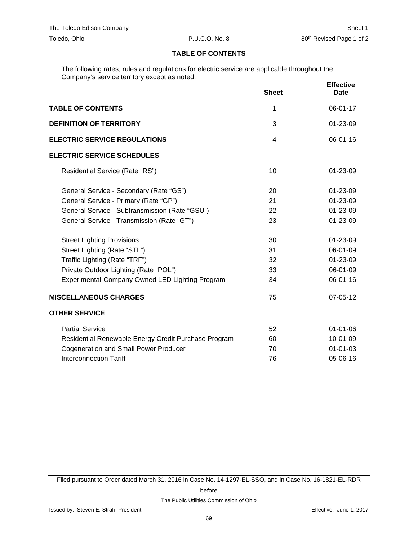# **TABLE OF CONTENTS**

The following rates, rules and regulations for electric service are applicable throughout the Company's service territory except as noted.

|                                                      | <b>Sheet</b>   | <b>Effective</b><br><b>Date</b> |
|------------------------------------------------------|----------------|---------------------------------|
| <b>TABLE OF CONTENTS</b>                             | 1              | 06-01-17                        |
| <b>DEFINITION OF TERRITORY</b>                       | 3              | 01-23-09                        |
| <b>ELECTRIC SERVICE REGULATIONS</b>                  | $\overline{4}$ | $06 - 01 - 16$                  |
| <b>ELECTRIC SERVICE SCHEDULES</b>                    |                |                                 |
| Residential Service (Rate "RS")                      | 10             | $01 - 23 - 09$                  |
| General Service - Secondary (Rate "GS")              | 20             | 01-23-09                        |
| General Service - Primary (Rate "GP")                | 21             | 01-23-09                        |
| General Service - Subtransmission (Rate "GSU")       | 22             | 01-23-09                        |
| General Service - Transmission (Rate "GT")           | 23             | 01-23-09                        |
| <b>Street Lighting Provisions</b>                    | 30             | 01-23-09                        |
| Street Lighting (Rate "STL")                         | 31             | 06-01-09                        |
| Traffic Lighting (Rate "TRF")                        | 32             | 01-23-09                        |
| Private Outdoor Lighting (Rate "POL")                | 33             | 06-01-09                        |
| Experimental Company Owned LED Lighting Program      | 34             | 06-01-16                        |
| <b>MISCELLANEOUS CHARGES</b>                         | 75             | 07-05-12                        |
| <b>OTHER SERVICE</b>                                 |                |                                 |
| <b>Partial Service</b>                               | 52             | $01 - 01 - 06$                  |
| Residential Renewable Energy Credit Purchase Program | 60             | 10-01-09                        |
| <b>Cogeneration and Small Power Producer</b>         | 70             | $01 - 01 - 03$                  |
| <b>Interconnection Tariff</b>                        | 76             | 05-06-16                        |

Filed pursuant to Order dated March 31, 2016 in Case No. 14-1297-EL-SSO, and in Case No. 16-1821-EL-RDR

before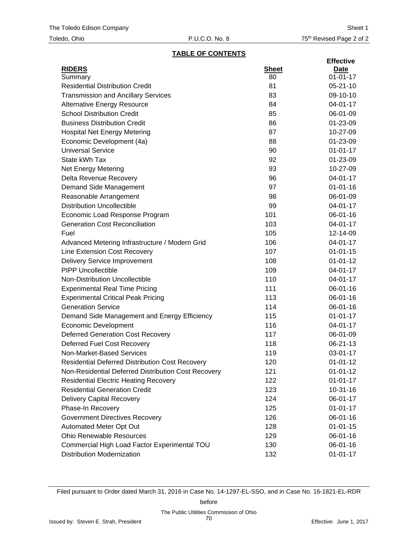## **TABLE OF CONTENTS**

|                                                        |              | <b>Effective</b> |
|--------------------------------------------------------|--------------|------------------|
| <b>RIDERS</b>                                          | <b>Sheet</b> | <u>Date</u>      |
| Summary                                                | 80           | $01 - 01 - 17$   |
| <b>Residential Distribution Credit</b>                 | 81           | $05 - 21 - 10$   |
| <b>Transmission and Ancillary Services</b>             | 83           | 09-10-10         |
| <b>Alternative Energy Resource</b>                     | 84           | 04-01-17         |
| <b>School Distribution Credit</b>                      | 85           | 06-01-09         |
| <b>Business Distribution Credit</b>                    | 86           | 01-23-09         |
| <b>Hospital Net Energy Metering</b>                    | 87           | 10-27-09         |
| Economic Development (4a)                              | 88           | 01-23-09         |
| <b>Universal Service</b>                               | 90           | $01 - 01 - 17$   |
| State kWh Tax                                          | 92           | 01-23-09         |
| <b>Net Energy Metering</b>                             | 93           | 10-27-09         |
| Delta Revenue Recovery                                 | 96           | 04-01-17         |
| Demand Side Management                                 | 97           | $01 - 01 - 16$   |
| Reasonable Arrangement                                 | 98           | 06-01-09         |
| <b>Distribution Uncollectible</b>                      | 99           | 04-01-17         |
| Economic Load Response Program                         | 101          | 06-01-16         |
| <b>Generation Cost Reconciliation</b>                  | 103          | 04-01-17         |
| Fuel                                                   | 105          | 12-14-09         |
| Advanced Metering Infrastructure / Modern Grid         | 106          | 04-01-17         |
| Line Extension Cost Recovery                           | 107          | $01 - 01 - 15$   |
| <b>Delivery Service Improvement</b>                    | 108          | $01 - 01 - 12$   |
| <b>PIPP Uncollectible</b>                              | 109          | 04-01-17         |
| Non-Distribution Uncollectible                         | 110          | 04-01-17         |
| <b>Experimental Real Time Pricing</b>                  | 111          | 06-01-16         |
| <b>Experimental Critical Peak Pricing</b>              | 113          | 06-01-16         |
| <b>Generation Service</b>                              | 114          | 06-01-16         |
| Demand Side Management and Energy Efficiency           | 115          | $01 - 01 - 17$   |
| <b>Economic Development</b>                            | 116          | 04-01-17         |
| <b>Deferred Generation Cost Recovery</b>               | 117          | 06-01-09         |
| Deferred Fuel Cost Recovery                            | 118          | 06-21-13         |
| Non-Market-Based Services                              | 119          | 03-01-17         |
| <b>Residential Deferred Distribution Cost Recovery</b> | 120          | $01 - 01 - 12$   |
| Non-Residential Deferred Distribution Cost Recovery    | 121          | $01 - 01 - 12$   |
| <b>Residential Electric Heating Recovery</b>           | 122          | $01 - 01 - 17$   |
| <b>Residential Generation Credit</b>                   | 123          | $10 - 31 - 16$   |
| <b>Delivery Capital Recovery</b>                       | 124          | 06-01-17         |
| Phase-In Recovery                                      | 125          | $01 - 01 - 17$   |
| <b>Government Directives Recovery</b>                  | 126          | 06-01-16         |
| Automated Meter Opt Out                                | 128          | $01 - 01 - 15$   |
| <b>Ohio Renewable Resources</b>                        | 129          | 06-01-16         |
| Commercial High Load Factor Experimental TOU           | 130          | 06-01-16         |
| <b>Distribution Modernization</b>                      | 132          | $01 - 01 - 17$   |
|                                                        |              |                  |

Filed pursuant to Order dated March 31, 2016 in Case No. 14-1297-EL-SSO, and in Case No. 16-1821-EL-RDR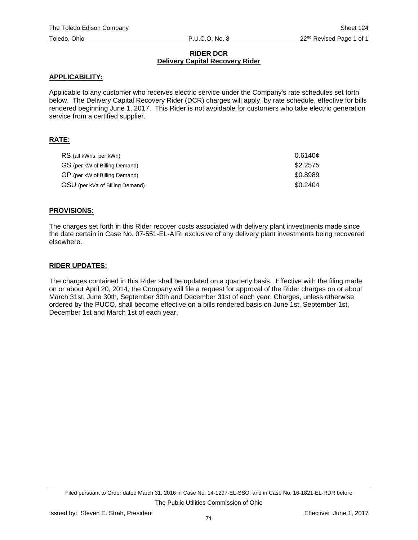#### **RIDER DCR Delivery Capital Recovery Rider**

## **APPLICABILITY:**

Applicable to any customer who receives electric service under the Company's rate schedules set forth below. The Delivery Capital Recovery Rider (DCR) charges will apply, by rate schedule, effective for bills rendered beginning June 1, 2017. This Rider is not avoidable for customers who take electric generation service from a certified supplier.

## **RATE:**

| RS (all kWhs, per kWh)          | 0.6140c  |
|---------------------------------|----------|
| GS (per kW of Billing Demand)   | \$2,2575 |
| GP (per kW of Billing Demand)   | \$0.8989 |
| GSU (per kVa of Billing Demand) | \$0.2404 |

## **PROVISIONS:**

The charges set forth in this Rider recover costs associated with delivery plant investments made since the date certain in Case No. 07-551-EL-AIR, exclusive of any delivery plant investments being recovered elsewhere.

#### **RIDER UPDATES:**

The charges contained in this Rider shall be updated on a quarterly basis. Effective with the filing made on or about April 20, 2014, the Company will file a request for approval of the Rider charges on or about March 31st, June 30th, September 30th and December 31st of each year. Charges, unless otherwise ordered by the PUCO, shall become effective on a bills rendered basis on June 1st, September 1st, December 1st and March 1st of each year.